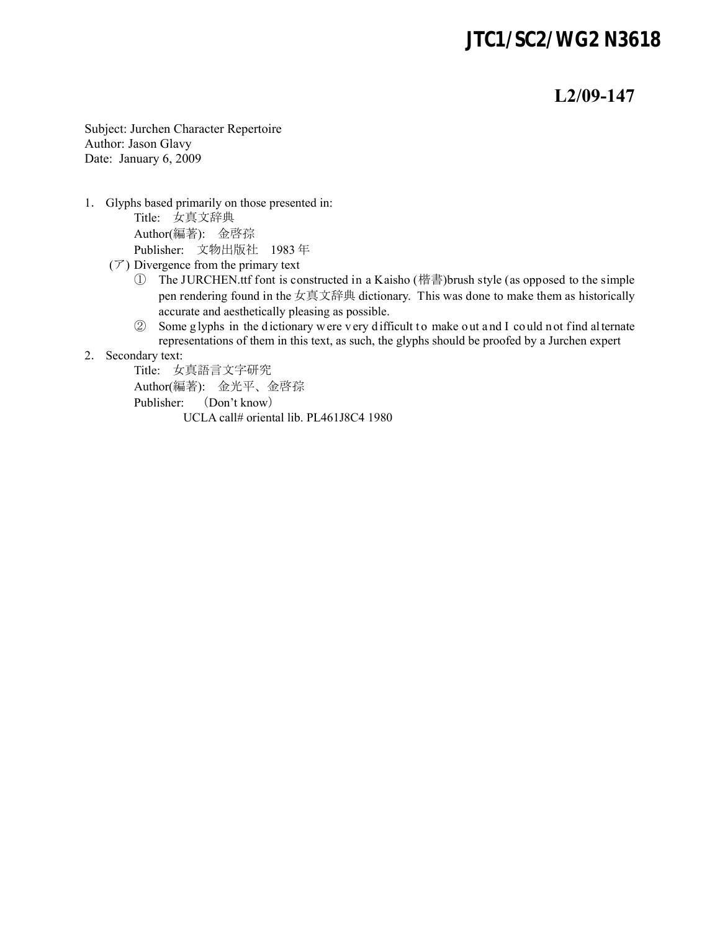#### *JTC1/SC2/WG2 N3618*

#### **L2/09-147**

Subject: Jurchen Character Repertoire Author: Jason Glavy Date: January 6, 2009

1. Glyphs based primarily on those presented in:

Title: 女真文辞典 Author(編著): 金啓孮 Publisher: 文物出版社 1983 年

- $(\mathcal{T})$  Divergence from the primary text
	- ① The JURCHEN.ttf font is constructed in a Kaisho (楷書)brush style (as opposed to the simple pen rendering found in the 女真文辞典 dictionary. This was done to make them as historically accurate and aesthetically pleasing as possible.
	- ② Some g lyphs in the d ictionary w ere v ery d ifficult t o make o ut a nd I co uld n ot find al ternate representations of them in this text, as such, the glyphs should be proofed by a Jurchen expert
- 2. Secondary text:

Title: 女真語言文字研究 Author(編著): 金光平、金啓孮 Publisher: (Don't know) UCLA call# oriental lib. PL461J8C4 1980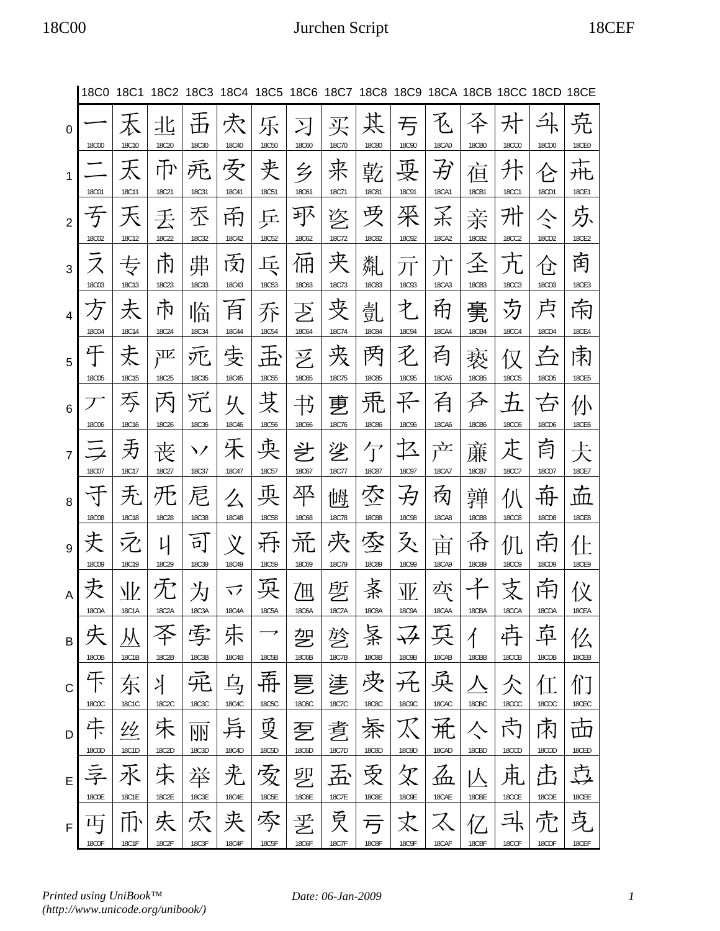#### 18C00 Jurchen Script 18CEF

|                | 18C0 18C1         |              |            | 18C2 18C3                                             |                        | 18C4 18C5 18C6 18C7 18C8 18C9 18CA 18CB 18CC 18CD 18CE |                   |            |                   |                             |                   |                |                   |                   |                     |
|----------------|-------------------|--------------|------------|-------------------------------------------------------|------------------------|--------------------------------------------------------|-------------------|------------|-------------------|-----------------------------|-------------------|----------------|-------------------|-------------------|---------------------|
| $\mathbf 0$    | <b>18C00</b>      | 18C10        | 北<br>18C20 | 18C30                                                 | 灻<br>18C40             | 乐<br><b>18C50</b>                                      | 习<br><b>18C60</b> | 买<br>18C70 | 某<br><b>18C80</b> | 亐<br><b>18C90</b>           | 飞<br><b>18CA0</b> | <b>18CB0</b>   | <b>18CC0</b>      | 18CD0             | 尭<br><b>18CE0</b>   |
| $\mathbf{1}$   | <b>18C01</b>      | 天<br>18C11   | 币<br>18C21 | 死<br><b>18C31</b>                                     | 安<br>18C41             | 夹<br><b>18C51</b>                                      | 乡<br><b>18C61</b> | 来<br>18C71 | 乾<br><b>18C81</b> | 耍<br><b>18C91</b>           | 孑<br><b>18CA1</b> | 亱<br>18CB1     | 升<br><b>18CC1</b> | 仑<br>18CD1        | 圥<br>18CE1          |
| $\overline{2}$ | 子<br>18C02        | 天<br>18C12   | 丢<br>18C22 | 丕<br><b>18C32</b>                                     | 甬<br>18C42             | 丘<br>18C52                                             | 郅<br>18C62        | 乲<br>18C72 | 受<br><b>18C82</b> | 采<br>18C92                  | 孑<br>18CA2        | 亲<br>18CB2     | 升<br><b>18CC2</b> | ぐ<br>18CD2        | 苏<br><b>18CE2</b>   |
| 3              |                   | 专            | 帀          | 丳                                                     | 闵                      | स्ट                                                    | 佣                 | 夹          | 亃                 | 丌                           | 亣                 | 圣              |                   | 仓                 | 南                   |
| $\overline{4}$ | <b>18C03</b>      | 18C13<br>天   | 18C23<br>市 | <b>18C33</b><br>临                                     | <b>18C43</b><br>百      | 18C53<br>乔                                             | 18C63<br>乤        | 18C73<br>夹 | <b>18C83</b><br>亄 | <b>18C93</b><br>才           | 18CA3<br>甬        | 18CB3<br>亴     | <b>18CC3</b><br>芀 | 18CD3<br>卢        | 18CE3<br>南          |
| 5              | <b>18C04</b><br>干 | 18C14<br>丈   | 18C24<br>严 | <b>18C34</b><br>兀                                     | <b>18C44</b><br>庋      | <b>18C54</b><br>玉                                      | <b>18C64</b><br>乥 | 18C74<br>戎 | <b>18C84</b><br>丙 | <b>18C94</b><br>飞           | <b>18CA4</b><br>有 | 18CB4<br>亵     | <b>18CC4</b><br>仅 | 18CD4             | <b>18CE4</b><br>肃   |
| 6              | <b>18C05</b>      | 18C15<br>吞   | 18C25<br>内 | <b>18C35</b>                                          | <b>18C45</b><br>乆      | <b>18C55</b><br>芆                                      | <b>18C65</b><br>书 | 18C75<br>乶 | <b>18C85</b><br>퓼 | <b>18C95</b><br>玉           | <b>18CA5</b><br>有 | 18CB5<br>呑     | <b>18CC5</b><br>五 | <b>18CD5</b><br>夻 | <b>18CE5</b><br>仦   |
| $\overline{7}$ | <b>18C06</b>      | 18C16<br>灻   | 18C26<br>丧 | <b>18C36</b><br>ヽノ                                    | 18C46<br>禾             | <b>18C56</b><br>央                                      | <b>18C66</b><br>乧 | 18C76<br>乷 | <b>18C86</b><br>亇 | <b>18C96</b><br>乜           | <b>18CA6</b><br>产 | 18CB6<br>亷     | <b>18CC6</b><br>正 | 18CD6<br>首        | <b>18CE6</b><br>仧   |
| 8              | 18C07<br>₹        | 18C17<br>无   | 18C27<br>旡 | 18C37<br>尼                                            | <b>18C47</b><br>么      | 18C57<br>英                                             | 18C67<br>平        | 18C77<br>懙 | <b>18C87</b><br>枩 | <b>18C97</b><br>孕           | <b>18CA7</b><br>肏 | 18CB7<br>亸     | <b>18CC7</b><br>仈 | 18CD7<br>荊        | 18CE7<br>壶          |
|                | <b>18C08</b>      | <b>18C18</b> | 18C28      | <b>18C38</b>                                          | <b>18C48</b>           | <b>18C58</b>                                           | <b>18C68</b>      | 18C78      | <b>18C88</b>      | <b>18C98</b>                | <b>18CA8</b>      | <b>18CB8</b>   | <b>18CC8</b>      | <b>18CD8</b>      | <b>18CE8</b>        |
| 9              | 夫<br><b>18C09</b> | 18C19        | Ц<br>18C29 | $\overline{\overline{\mathfrak{p}}} $<br><b>18C39</b> | $\chi$<br><b>18C49</b> | 呑<br><b>18C59</b>                                      | 流<br>18C69        | 决<br>18C79 | 季<br><b>18C89</b> | 爻<br><b>18C99</b>           | 亩<br>18CA9        | 쥬<br>18CB9     | 仉<br><b>18CC9</b> | 甬<br>18CD9        | 1 E<br><b>18CE9</b> |
| $\overline{A}$ | 18C0A             | NĿ<br>18C1A  | 18C2A      | 为<br>18C3A                                            | 乊<br>18C4A             | 18C5A                                                  | 乪<br>18C6A        | 乺<br>18C7A | 案<br>18C8A        | 亚<br>18C9A                  | 亦<br>18CAA        | 18CBA          | 18CCA             | 南<br>18CDA        | 仪<br>18CEA          |
| B              |                   |              |            | 孛                                                     | 莯                      |                                                        | 乫                 | 乻          | 案                 |                             | 兵                 | $\overline{A}$ |                   | 迃                 |                     |
| C              | 18C0B<br>干        | 18C1B<br>东   | 18C2B<br>丬 | 18C3B                                                 | 18C4B<br>乌             | 18C5B<br>希                                             | 18C6B<br>乬        | 18C7B<br>乼 | 18C8B<br>丧        | 18C9B<br>允                  | 18CAB<br>耎        | 18CBB          | 18CCB             | 18CDB             | 18CEB               |
|                | <b>18C0C</b>      | 18C1C        | 18C2C      | 18C3C                                                 | 18C4C                  | 18C5C                                                  | 18C6C             | 18C7C      | <b>18C8C</b>      | 18C9C                       | 18CAC             | 18CBC          | 18CCC             | 18CDC             | 18CEC               |
| D              | 干<br>18C0D        | 44<br>18C1D  | 禾<br>18C2D | 丽<br>18C3D                                            | 异<br>18C4D             | 受<br>18C5D                                             | 乭<br>18C6D        | 乽<br>18C7D | 秦<br>18C8D        | $\bm{\mathcal{K}}$<br>18C9D | 朮<br>18CAD        | 亽<br>18CBD     | 芮<br>18CCD        | 肃<br>18CDD        | 击<br>18CED          |
| E              | 享                 | 水            | 朱          | 举                                                     | 兂                      | 安                                                      | 乮                 |            | 受                 | ${\mathcal{R}}$             | $\AA$             |                | 束                 | 屳                 | 卢                   |
|                | 18C0E             | 18C1E        | 18C2E      | 18C3E                                                 | 18C4E                  | 18C5E                                                  | 18C6E             | 18C7E      | 18C8E             | 18C9E                       | 18CAE             | 18CBE          | 18CCE             | 18CDE             | 18CEE               |
| F              | 山<br>18C0F        | 18C1F        | 夫<br>18C2F | 穴<br>18C3F                                            | 夹<br><b>18C4F</b>      | 零<br>18C5F                                             | 乯<br>18C6F        | 受<br>18C7F | 丂<br><b>18C8F</b> | 18C9F                       | 18CAF             | 18CBF          | 斗<br>18CCF        | 18CDF             | 克<br>18CEF          |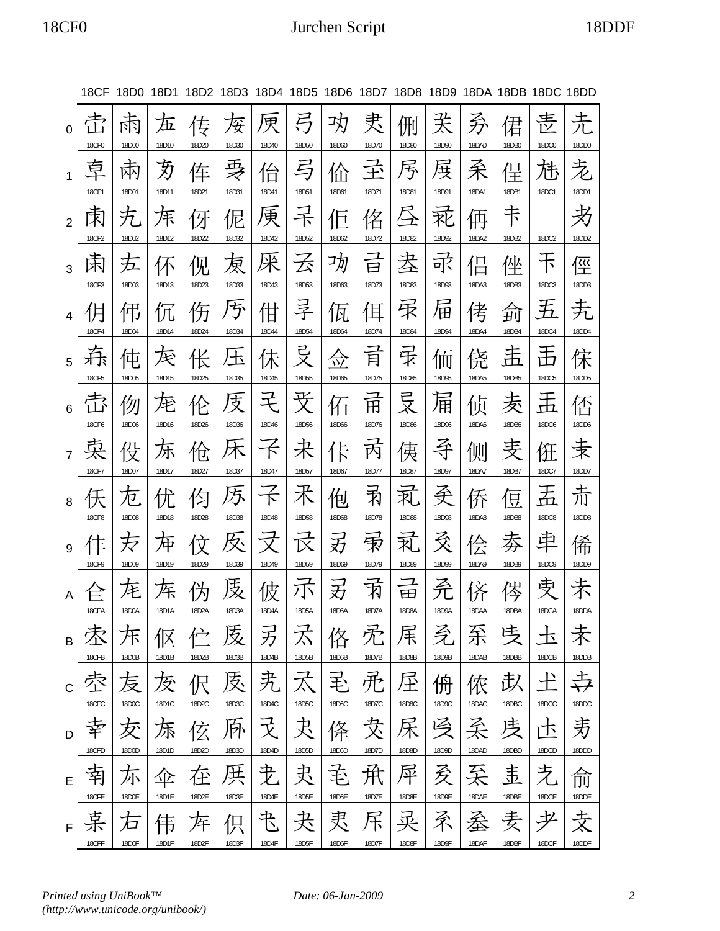## 18CF0 Jurchen Script 18DDF

|                |                    | 18CF 18D0 18D1         |             |             |            |            |                      |                 |                                  | 18D2 18D3 18D4 18D5 18D6 18D7 18D8 18D9 18DA 18DB 18DC 18DD |            |            |            |                   |            |
|----------------|--------------------|------------------------|-------------|-------------|------------|------------|----------------------|-----------------|----------------------------------|-------------------------------------------------------------|------------|------------|------------|-------------------|------------|
| 0              | <b>18CF0</b>       | চার<br>18D00           | 五<br>18D10  | 传<br>18D20  | 伢<br>18D30 | 甲<br>18D40 | 弓<br>18D50           | 功<br>18D60      | 叏<br>18D70                       | 侀<br>18D80                                                  | 关<br>18D90 | 矛<br>18DA0 | 侰<br>18DB0 | 赱<br><b>18DC0</b> | 圥<br>18DD0 |
| $\mathbf{1}$   | 草<br><b>18CF1</b>  | 阫<br>18D01             | 刃<br>18D11  | 伡<br>18D21  | 耍<br>18D31 | 佁<br>18D41 | 与<br>18D51           | 佡<br>18D61      | 玊<br>18D71                       | 丐<br>18D81                                                  | 戽<br>18D91 | 柔<br>18DA1 | 侱<br>18DB1 | 芿<br>18DC1        | 赱<br>18DD1 |
| $\overline{2}$ | 床<br><b>18CF2</b>  | 万<br>18D02             | 厈<br>18D12  | 伢<br>18D22  | 伲<br>18D32 | 庚<br>18D42 | 干<br>18D52           | $\Box$<br>18D62 | 佲<br>18D72                       | 18D82                                                       | 恥<br>18D92 | 侢<br>18DA2 | 下<br>18DB2 | 18DC2             | 18DD2      |
| 3              | 斥<br>18CF3         | 五<br>18D03             | 仏<br>18D13  | 伣<br>18D23  | 戾<br>18D33 | 侎<br>18D43 | 云<br>18D53           | 功<br>18D63      | 曰<br>18D73                       | 坴<br>18D83                                                  | 可<br>18D93 | 侣<br>18DA3 | 侳<br>18DB3 | 下<br>18DC3        | 俓<br>18DD3 |
| 4              | <b>18CF4</b>       | 伄<br>18D04             | 1Л<br>18D14 | 伤<br>18D24  | ゟ<br>18D34 | 佄<br>18D44 | 旱<br>18D54           | 瓦<br>18D64      | 耳<br>18D74                       | 乑<br>18D84                                                  | 佃<br>18D94 | 侤<br>18DA4 | 珂<br>18DB4 | 五<br>18DC4        | 18DD4      |
| 5              | <b>18CF5</b>       | 伅<br>18D05             | 厌<br>18D15  | 伥<br>18D25  | 圡<br>18D35 | 行<br>18D45 | <b>弓</b><br>18D55    | 爫<br>18D65      | 肎<br>18D75                       | 斥<br>18D85                                                  | 侕<br>18D95 | 侥<br>18DA5 | 盂<br>18DB5 | 舌<br>18DC5        | 宋<br>18DD5 |
| 6              | 司令<br><b>18CF6</b> | 伆<br>18D06             | 庀<br>18D16  | 伦<br>18D26  | 庋<br>18D36 | モ<br>18D46 | 戈<br>18D56           | 佦<br>18D66      | $\overline{\mathrm{H}}$<br>18D76 | 吴<br>18D86                                                  | 佣<br>18D96 | 侦<br>18DA6 | 叐<br>18DB6 | 盂<br><b>18DC6</b> | 否<br>18DD6 |
| $\overline{7}$ | 宊<br><b>18CF7</b>  | 伇<br>18D07             | 泺<br>18D17  | 伧<br>18D27  | 炑<br>18D37 | 18D47      | 未<br>18D57           | 卡<br>18D67      | 丙<br>18D77                       | 侇<br>18D87                                                  | 呑<br>18D97 | 侧<br>18DA7 | 雯<br>18DB7 | 俇<br>18DC7        | 汞<br>18DD7 |
| 8              | <b>18CF8</b>       | $\mathcal{N}$<br>18D08 | 仃<br>18D18  | 仡<br>18D28  | 乃<br>18D38 | 18D48      | 术<br>18D58           | 佨<br>18D68      | 丙<br>18D78                       | 玌<br>18D88                                                  | 圣<br>18D98 | 侨<br>18DA8 | 昱<br>18DB8 | 盂<br><b>18DC8</b> | 夼<br>18DD8 |
| 9              | <b>18CF9</b>       | 万<br>18D09             | 冲<br>18D19  | 1Y<br>18D29 | 及<br>18D39 | 18D49      | $\boxtimes$<br>18D59 | 刃<br>18D69      | 雨<br>18D79                       | 지<br>18D89                                                  | 爻<br>18D99 | 侩<br>18DA9 | 沗<br>18DB9 | 串<br>18DC9        | 俙<br>18DD9 |
|                | 18CFA              | ᢛ<br>18D0A             | 仵<br>18D1A  | 18D2A       | 庋<br>18D3A | 佊<br>18D4A | 小<br>18D5A           | 刃<br>18D6A      | 闲<br>18D7A                       | 田<br>18D8A                                                  | 矛<br>18D9A | 18DAA      | 18DBA      | 孛<br>18DCA        | 18DDA      |
| B              | 18CFB              | 不<br>18D0B             | 伛<br>18D1B  | 伫<br>18D2B  | 庋<br>18D3B | 另<br>18D4B | 不<br>18D5B           | 佫<br>18D6B      | 禿<br>18D7B                       | 杘<br>18D8B                                                  | 乏<br>18D9B | 系<br>18DAB | 戋<br>18DBB | 卡<br>18DCB        | 18DDB      |
| C              | 18CFC              | 叐<br>18D0C             | 及<br>18D1C  | 伬<br>18D2C  | 医<br>18D3C | 夬<br>18D4C | 氶<br>18D5C           | 毛<br>18D6C      | 퓼<br>18D7C                       | 圧<br>18D8C                                                  | 侜<br>18D9C | 侬<br>18DAC | 苡<br>18DBC | 十<br>18DCC        | 18DDC      |
| D              | 18CFD              | 叐<br>18D0D             | 炁<br>18D1D  | 伭<br>18D2D  | 质<br>18D3D | 굿<br>18D4D | 夬<br>18D5D           | 佭<br>18D6D      | 犮<br>18D7D                       | 18D8D                                                       | 冯<br>18D9D | 柔<br>18DAD | 庋<br>18DBD | 卞<br>18DCD        | 艻<br>18DDD |
| E              | 18CFE              | 尓<br>18D0E             | 企<br>18D1E  | 在<br>18D2E  | 厌<br>18D3E | 叏<br>18D4E | 夬<br>18D5E           | 毛<br>18D6E      | 伊<br>18D7E                       | 曱<br>18D8E                                                  | 叐<br>18D9E | 줒<br>18DAE | 违<br>18DBE | 赱<br>18DCE        | 俞<br>18DDE |
| F              | 18CFF              | 石<br>18D0F             | 伟<br>18D1F  | 厍<br>18D2F  | 伿<br>18D3F | 书<br>18D4F | 夬<br>18D5F           | 隶<br>18D6F      | 斥<br>18D7F                       | 买<br>18D8F                                                  | 矛<br>18D9F | 蚕<br>18DAF | 麦<br>18DBF | 耂<br>18DCF        | 支<br>18DDF |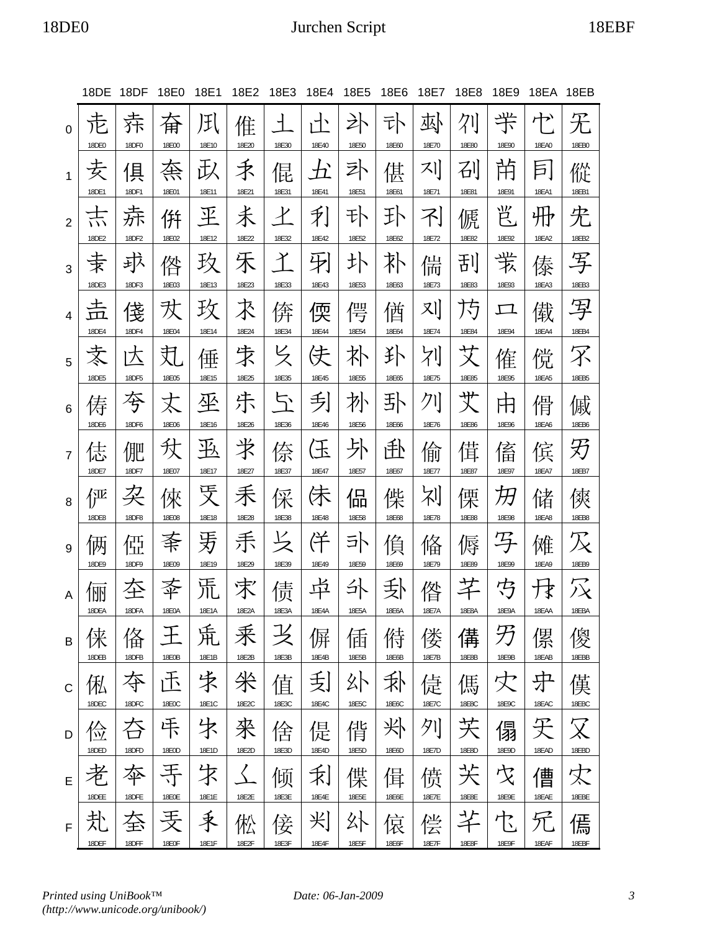## 18DE0 Jurchen Script 18EBF

|                | 18DE                             | 18DF                | 18E0                | 18E1                | 18E2                | 18E3                   | 18E4                   | 18E5                | 18E6                | 18E7                | 18E8                | 18E9                | 18EA                | 18EB                                |
|----------------|----------------------------------|---------------------|---------------------|---------------------|---------------------|------------------------|------------------------|---------------------|---------------------|---------------------|---------------------|---------------------|---------------------|-------------------------------------|
| 0              | 18DE0                            | 奍<br>18DF0          | 奋<br>18E00          | JF <br>18E10        | 倠<br>18E20          | $\mathcal{L}$<br>18E30 | $\mathcal{A}$<br>18E40 | 讣<br>18E50          | 타<br>18E60          | 邳<br>18E70          | 18E80               | 半<br>18E90          | ⊬≻<br>18EA0         | 旡<br>18EB0                          |
| $\mathbf{1}$   | 安<br>18DE1                       | 倶<br>18DF1          | 奈<br>18E01          | み<br>18E11          | 禾<br>18E21          | 倱<br>18E31             | 五<br>18E41             | 卟<br>18E51          | 偡<br>18E61          | 지<br>18E71          | 刟<br>18E81          | 芇<br>18E91          | 巨」<br>18EA1         | 傱<br>18EB1                          |
| $\overline{2}$ | 示<br>18DE2                       | 赤<br>18DF2          | 倂<br>18E02          | 玊<br>18E12          | 未<br>18E22          | $\mathcal{X}$<br>18E32 | 利<br>18E42             | 讣<br>18E52          | 玌<br>18E62          | 不<br>18E72          | 傂<br>18E82          | 岂<br>18E92          | 册<br>18EA2          | 兂<br>18EB2                          |
| 3              | 孛<br>18DE3                       | 邽<br>18DF3          | 倃<br>18E03          | 玖<br>18E13          | 禾<br>18E23          | イ<br>18E33             | 羽<br>18E43             | 圤                   | 补<br>18E63          | 偳<br>18E73          | 刮                   | 丵                   | 傣<br>18EA3          | 写<br>18EB3                          |
| 4              | 土<br>$\rm \overline{m}$<br>18DE4 | 俴                   | 欢<br>18E04          | 玫                   | 术<br>18E24          | 倴<br>18E34             | 偄                      | 18E53<br>偔<br>18E54 | 偤                   | 끼                   | 18E83<br>乃<br>18E84 | 18E93<br>工<br>18E94 | 傤                   | 写<br>18EB4                          |
| 5              | 支<br>18DE5                       | 18DF4<br>冮<br>18DF5 | 芄<br>18E05          | 18E14<br>倕<br>18E15 | 求<br>18E25          | と<br>18E35             | 18E44<br>伕<br>18E45    | 朴<br>18E55          | 18E64<br>扑          | 18E74<br>刈<br>18E75 | 艾<br>18E85          | 傕<br>18E95          | 18EA4<br>傥<br>18EA5 | 罙<br>18EB5                          |
| 6              | 俦                                | 夸                   | 丈                   | 坐                   | 尗                   | 51                     | 刮                      | 扑                   | 18E65<br>卦          | クー                  | 艾                   | 用<br>18E96          | 傦                   | 傶                                   |
| $\overline{7}$ | 18DE6<br>俧<br>18DE7              | 18DF6<br>俷<br>18DF7 | 18E06<br>犾<br>18E07 | 18E16<br>巠<br>18E17 | 18E26<br>氺<br>18E27 | 18E36<br>倷<br>18E37    | 18E46<br>仼<br>18E47    | 18E56<br>外<br>18E57 | 18E66<br>赴<br>18E67 | 18E76<br>偷<br>18E77 | 18E86<br>傇<br>18E87 | 傗<br>18E97          | 18EA6<br>傧<br>18EA7 | 18EB6<br>刃<br>18EB7                 |
| 8              | 俨<br>18DE8                       | 朶<br>18DF8          | 倈<br>18E08          | 烎<br>18E18          | 禾<br>18E28          | 倸<br>18E38             | 佅<br>18E48             | 偘<br>18E58          | 偨<br>18E68          | 剁<br>18E78          | 傈<br>18E88          | 汨<br>18E98          | 储<br><b>18EA8</b>   | 傸<br>18EB8                          |
| 9              | 俩<br>18DE9                       | 俹<br>18DF9          | 秊<br>18E09          | 牙<br>18E19          | 乕<br>18E29          | 18E39                  | 佯<br>18E49             | 卟<br>18E59          | 偩<br>18E69          | 偹<br>18E79          | 傉<br>18E89          | 子<br>18E99          | 傩<br>18EA9          | 18EB9                               |
| A              | 胭<br>18DFA                       | 圶<br>18DFA          | 18E0A               | 流<br>18E1A          | 求<br>18F2A          | 债<br>18F3A             | 中<br>18E4A             | 쇠<br>18E5A          | 卦<br>18E6A          | 偺<br>18E7A          | 18E8A               | 芍<br>18E9A          | 18EAA               | $\widetilde{\vphantom{M}}$          |
| B              | 俫                                | 俻                   | 王                   | 巟                   | 釆                   |                        | 偋                      | 偛                   | 偫                   | 偻                   | 傋                   | 乃                   | 傫                   | 18EBA<br>傻                          |
| C              | 18DEB<br>俬                       | 18DFB<br>夺          | 18E0B<br>压          | 18E1B<br>朱          | 18E2B<br>米          | 18E3B<br>值             | 18E4B<br>刮             | 18E5B<br>外          | 18E6B<br>乑          | 18E7B<br>偼          | 18E8B<br>傌          | 18E9B<br>灾          | 18EAB<br>中          | 18EBB<br>傼                          |
| D              | 18DEC<br>俭                       | 18DFC<br>夻          | 18E0C<br>咔          | 18E1C<br>字          | 18E2C<br>來          | 18E3C<br>倽             | 18E4C<br>偍             | 18E5C<br>俏          | 18E6C<br>氺          | 18E7C<br>列          | 18E8C<br>芖          | 18E9C<br>傝          | 18EAC<br>旡          | 18EBC<br>$\boldsymbol{\mathcal{R}}$ |
| E              | 18DED<br>者                       | 18DFD<br>夲          | 18E0D               | 18E1D<br>宋          | 18E2D<br>$\langle$  | 18E3D<br>倾             | 18E4D<br>利             | 18E5D<br>偞          | 18E6D<br>偮          | 18E7D<br>偾          | 18E8D<br>芖          | 18E9D<br>戈          | 18EAD<br>傮          | 18EBD<br>灾                          |
| F              | 18DEE<br>芤                       | 18DFE<br>夽          | <b>18E0E</b><br>丢   | 18E1E<br>秉          | 18E2E<br>倯          | 18E3E<br>倿             | 18E4E<br>刈             | 18E5E<br>外          | 18E6E<br>偯          | 18E7E<br>偿          | 18E8E<br>氺          | 18E9E<br>乜          | 18EAE               | 18EBE<br>傿                          |
|                | 18DEF                            | 18DFF               | 18E0F               | 18E1F               | 18E2F               | 18E3F                  | 18E4F                  | 18E5F               | 18E6F               | 18E7F               | 18E8F               | 18E9F               | 18EAF               | 18EBF                               |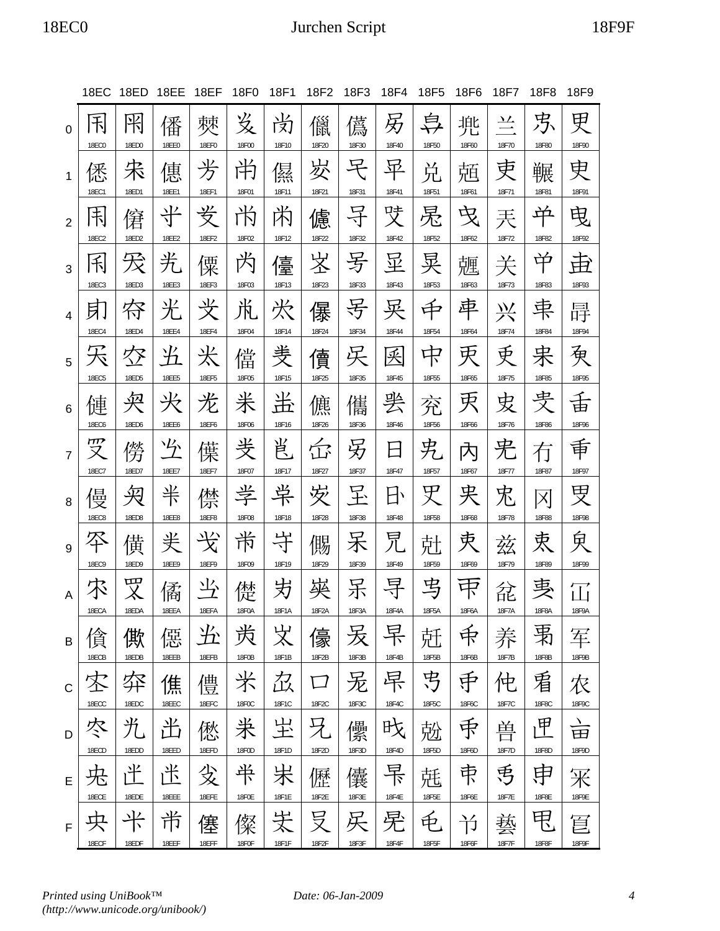# 18EC0 Jurchen Script 18F9F

|                | 18EC                   | 18ED       | 18EE              | 18EF                                    | 18F0        | 18F1            | 18F2            | 18F3       | 18F4                 | 18F5       | 18F6             | 18F7               | 18F8                    | 18F9            |
|----------------|------------------------|------------|-------------------|-----------------------------------------|-------------|-----------------|-----------------|------------|----------------------|------------|------------------|--------------------|-------------------------|-----------------|
| $\Omega$       | 闲<br><b>18EC0</b>      | 阠<br>18ED0 | 僠<br><b>18EE0</b> | 僰<br><b>18EF0</b>                       | 发<br>18F00  | 立<br>闵<br>18F10 | 儠<br>18F20      | 儰<br>18F30 | 另<br>18F40           | 阜<br>18F50 | 地<br>ノロ<br>18F60 | <u>고스</u><br>18F70 | 苏<br>18F80              | 更<br>18F90      |
| 1              | 僁<br>18EC1             | 朱<br>18ED1 | 僡<br>18EE1        | 芳<br>18EF1                              | 尚<br>18F01  | 儑<br>18F11      | 岁<br>18F21      | 宅<br>18F31 | 早<br>18F41           | 兑<br>18F51 | 兡<br>18F61       | 吏<br>18F71         | 冁<br>18F81              | 史<br>18F91      |
| $\overline{2}$ | 玉<br>18EC2             | 僒<br>18ED2 | 半<br>18EE2        | 妛<br>18EF2                              | ΓÑ<br>18F02 | 芮<br>18F12      | 儢<br>18F22      | 孑<br>18F32 | 哎<br>18F42           | 晃<br>18F52 | 曳<br>18F62       | 兲<br>18F72         | 央<br>18F82              | 曳<br>18F92      |
| 3              | 利<br>18EC3             | 18ED3      | 光<br>18EE3        | 僳<br>18EF3                              | 芮<br>18F03  | 儓<br>18F13      | 峑<br>18F23      | 号<br>18F33 | 显<br>18F43           | 晃<br>18F53 | 兣<br>18F63       | 关<br>18F73         | 中<br>18F83              | 臣<br>18F93      |
| $\overline{4}$ | 月                      | 符          | 光                 | 芠                                       | 鼡           | 犬               | 儤               | 号          | 吳                    | 中          | 車                | 兴                  | 束                       | 冔               |
| 5              | <b>18EC4</b>           | 18ED4<br>匁 | <b>18EE4</b><br>光 | <b>18EF4</b><br>米                       | 18F04<br>儅  | 18F14<br>羙      | 18F24<br>儥      | 18F34<br>呆 | 18F44<br>釆           | 18F54<br>中 | 18F64<br>灾       | 18F74<br>更         | 18F84<br>宋              | 18F94<br>袌      |
| 6              | <b>18EC5</b><br>僆      | 18ED5<br>哭 | <b>18EE5</b><br>光 | <b>18EF5</b><br>光                       | 18F05<br>米  | 18F15<br>蚩      | 18F25<br>儦      | 18F35<br>儶 | 18F45<br>罢           | 18F55<br>兖 | 18F65<br>灾       | 18F75<br>皮         | 18F85<br>叏              | 18F95<br>舌      |
| $\overline{7}$ | <b>18EC6</b><br>m<br>又 | 18ED6<br>僗 | <b>18EE6</b><br>吟 | 18EF6<br>僷                              | 18F06<br>戋  | 18F16<br>岜      | 18F26<br>岙      | 18F36<br>另 | 18F46<br>$\boxminus$ | 18F56<br>兂 | 18F66<br>內       | 18F76<br>兂         | 18F86<br>冇              | 18F96<br>重      |
| 8              | 18EC7<br>僈             | 18ED7<br>匊 | 18EE7<br>半        | 18EF7<br>僸                              | 18F07<br>学  | 18F17<br>岸      | 18F27<br>安      | 18F37<br>呈 | 18F47<br>日           | 18F57<br>罖 | 18F67<br>夹       | 18F77<br>兂         | 18F87<br>$ \mathsf{X} $ | 18F97<br>受      |
| 9              | <b>18EC8</b><br>쪽      | 18ED8<br>僙 | <b>18EE8</b><br>半 | <b>18EF8</b><br>$\overline{\mathsf{X}}$ | 18F08<br>耑  | 18F18<br>斗      | 18F28<br>儩      | 18F38<br>呆 | 18F48<br>兄           | 18F58<br>兙 | 18F68<br>宊       | 18F78<br>兹         | <b>18F88</b><br>衷       | 18F98<br>曱      |
| A              | <b>18EC9</b>           | 18ED9<br>罒 | <b>18EE9</b><br>僪 | 18EF9                                   | 18F09<br>儊  | 18F19<br>屴      | 18F29<br>쭂      | 18F39<br>呆 | 18F49<br>寻           | 18F59<br>丐 | 18F69            | 18F79<br>兺         | 18F89<br>軣              | 18F99<br>ப்     |
| B              | 18ECA                  | 18EDA<br>僛 | 18EEA<br>僫        | 18EFA<br>光                              | 18F0A<br>羙  | 18F1A<br>义      | 18F2A<br>儫      | 18F3A<br>叐 | 18F4A<br>早           | 18F5A<br>兛 | 18F6A<br>斥       | 18F7A<br>养         | 18F8A<br>禹              | 18F9A<br>军      |
|                | 18ECB                  | 18EDB      | 18EEB             | 18EFB                                   | 18F0B       | 18F1B           | 18F2B           | 18F3B      | 18F4B                | 18F5B      | 18F6B            | 18F7B              | 18F8B                   | 18F9B           |
| $\mathsf C$    | 宻<br>18ECC             | 弈<br>18EDC | 僬<br>18EEC        | 僼<br>18EFC                              | 米<br>18F0C  | 厽<br>18F1C      | $\Box$<br>18F2C | 无<br>18F3C | 早<br>18F4C           | 丐<br>18F5C | 重<br>18F6C       | 伅<br>18F7C         | 宥<br>18F8C              | 农<br>18F9C      |
| D              | 冭<br>18ECD             | 光<br>18EDD | 出<br>18EED        | 僽<br>18EFD                              | 米<br>18F0D  | 生<br>18F1D      | 兄<br>18F2D      | 儽<br>18F3D | 攺<br>18F4D           | 兝<br>18F5D | 手<br>18F6D       | 兽<br>18F7D         | 匣<br>18F8D              | )<br>田<br>18F9D |
| E              | 旡                      | 玊          | 冸                 | 殳                                       | 半           | 汖               | 儮               | 儾          | 吊                    | 兞          | 束                | 丐                  | 申                       | 冞               |
| $\mathsf F$    | 18ECE<br>央             | 18EDE<br>斗 | 18EEE<br>芇        | 18EFE<br>僿                              | 18F0E<br>儏  | 18F1E<br>芺      | 18F2E<br>旻      | 18F3E<br>戻 | 18F4E<br>宪           | 18F5E<br>电 | 18F6E<br>兯       | 18F7E<br>藝         | 18F8E<br>甩              | 18F9E<br>冟      |
|                | 18ECF                  | 18EDF      | 18EEF             | 18EFF                                   | 18F0F       | 18F1F           | 18F2F           | 18F3F      | 18F4F                | 18F5F      | 18F6F            | 18F7F              | 18F8F                   | 18F9F           |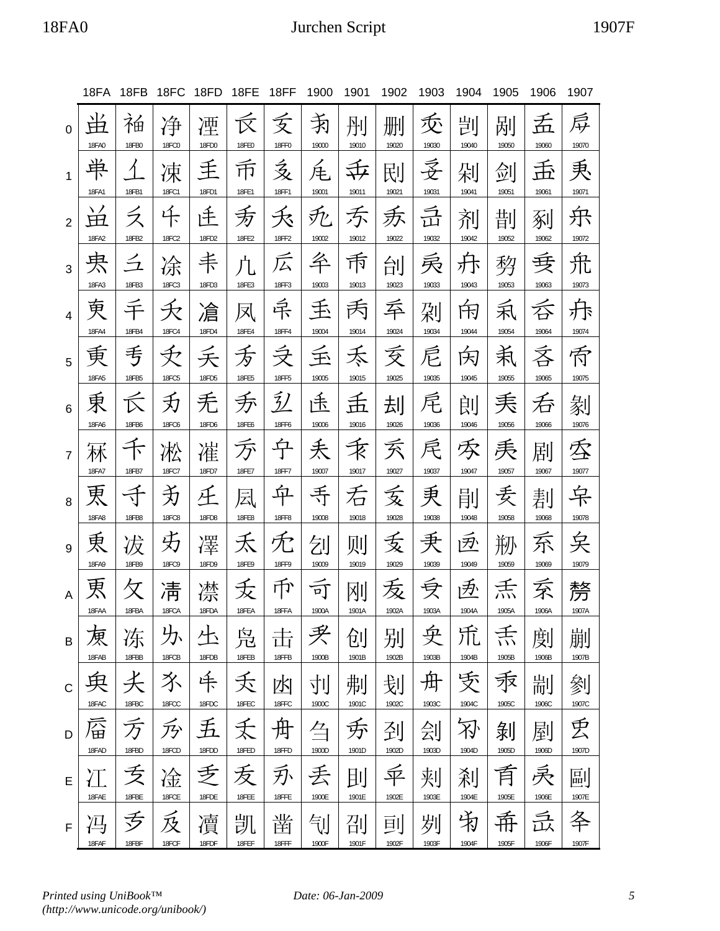## 18FA0 Jurchen Script 1907F

|                | 18FA              | 18FB                       | 18FC               | 18FD       | 18FE              | 18FF                             | 1900       | 1901       | 1902       | 1903       | 1904       | 1905       | 1906       | 1907       |
|----------------|-------------------|----------------------------|--------------------|------------|-------------------|----------------------------------|------------|------------|------------|------------|------------|------------|------------|------------|
| $\Omega$       | NZ.<br>Ħ<br>18FA0 | 袙<br>18FB0                 | 净<br><b>18FC0</b>  | 湮<br>18FD0 | 反<br><b>18FE0</b> | 乏<br><b>18FF0</b>                | 靑<br>19000 | 刐<br>19010 | 删<br>19020 | 叐<br>19030 | 剀<br>19040 | 剐<br>19050 | 孟<br>19060 | 戽<br>19070 |
| 1              | 束<br>18FA1        | 18FB1                      | 凁<br><b>18FC1</b>  | 主<br>18FD1 | 币<br>18FE1        | 亥<br>18FF1                       | 疟<br>19001 | 共<br>19011 | 刡<br>19021 | 妥<br>19031 | 剁<br>19041 | 剑<br>19051 | 孟<br>19061 | 秉<br>19071 |
| $\overline{2}$ | ⊞                 | ス                          | 仟                  | 迁          | 叐                 | 夭                                | 死          | 示          | 叐          | 亓          | 剂          | 剒          | 剢          | 乐          |
|                | 18FA2             | 18FB2                      | <b>18FC2</b>       | 18FD2      | 18FE2             | 18FF2                            | 19002      | 19012      | 19022      | 19032      | 19042      | 19052      | 19062      | 19072      |
| 3              | 界                 | $\mathcal{Z}_{\mathbf{Z}}$ | 凃                  | 耒          | 凣                 | 広                                | 夅          | 币          | 刣          | 叒          | 开          | 剓          | 丟          | 氘          |
|                | 18FA3             | 18FB3                      | 18FC3              | 18FD3      | 18FE3             | 18FF3                            | 19003      | 19013      | 19023      | 19033      | 19043      | 19053      | 19063      | 19073      |
| 4              | 更                 | 宇                          | 夭                  | 凔          | 凤                 | 异                                | 玉          | 丙          | 呑          | 刴          | 闲          | 利          | 呑          | 尗          |
|                | <b>18FA4</b>      | 18FB4                      | <b>18FC4</b>       | 18FD4      | <b>18FE4</b>      | <b>18FF4</b>                     | 19004      | 19014      | 19024      | 19034      | 19044      | 19054      | 19064      | 19074      |
| 5              | 重                 | 亐                          | $\bigtriangledown$ | 夭          | 叐                 | ラマ ランプ マンチ マンチ マイクス ライファイル しゅうかい | 玉          | 禾          | 叐          | 卮          | 闵          | 秉          | 吝          | 侨          |
|                | 18FA5             | 18FB5                      | <b>18FC5</b>       | 18FD5      | <b>18FE5</b>      | <b>18FF5</b>                     | 19005      | 19015      | 19025      | 19035      | 19045      | 19055      | 19065      | 19075      |
| 6              | 東<br>18FA6        | 18FB6                      | 劧<br><b>18FC6</b>  | 禿<br>18FD6 | 乔<br>18FE6        | $\tilde{Z}$<br>18FF6             | 伟<br>19006 | 孟<br>19016 | 刦<br>19026 | 尾<br>19036 | 剆<br>19046 | 耒<br>19056 | 呑<br>19066 | 剶<br>19076 |
| $\overline{7}$ | 18FA7             |                            | 凇<br>18FC7         | 凗<br>18FD7 | 万<br>18FE7        | 亇<br>18FF7                       | 丢<br>19007 | 禾<br>19017 | 叐<br>19027 | 戻<br>19037 | 豕<br>19047 | 耒<br>19057 | 剧          | 季<br>19077 |
| 8              | 更                 | 18FB7<br>র্ব               | 予                  | 圧          | 凨                 | 立                                | 手          | 石          | 叐          | 秉          | 剈          | 委          | 19067<br>剨 |            |
| 9              | <b>18FA8</b>      | 18FB8                      | <b>18FC8</b>       | 18FD8      | <b>18FE8</b>      | <b>18FF8</b>                     | 19008      | 19018      | 19028      | 19038      | 19048      | 19058      | 19068      | 19078      |
|                | 東                 | 冹                          | 艻                  | 凙          | 禾                 | 冘                                | 刉          | 则          | 叐          | 秉          | 逐          | 剙          | 乔          | 矣          |
| A              | 18FA9<br>叀        | 18FB9                      | <b>18FC9</b><br>淸  | 18FD9<br>凚 | 18FE9<br>叐        | 18FF9<br>币                       | 19009<br>司 | 19019<br>呕 | 19029<br>叐 | 19039      | 19049<br>匝 | 19059      | 19069<br>沗 | 19079<br>剺 |
| В              | 18FAA             | 18FBA                      | 18FCA              | 18FDA      | 18FEA             | 18FFA                            | 1900A      | 1901A      | 1902A      | 1903A      | 1904A      | 1905A      | 1906A      | 1907A      |
|                | 硬                 | 冻                          | 圦                  | と          | 凫                 | 击                                | 买          | 创          | 别          | 殳          | 巟          | 秃          | 剫          | 剻          |
| $\mathsf{C}$   | 18FAB             | 18FBB                      | 18FCB              | 18FDB      | 18FEB             | 18FFB                            | 1900B      | 1901B      | 1902B      | 1903B      | 1904B      | 1905B      | 1906B      | 1907B      |
|                | 臾                 | 仧                          | 氺                  | 牛          | 夭                 | 凼                                | 刌          | 刜          | 刬          | 舟          | 受          | 汞          | 剬          | 剼          |
| D              | 18FAC             | 18FBC                      | 18FCC              | 18FDC      | 18FEC             | 18FFC                            | 1900C      | 1901C      | 1902C      | 1903C      | 1904C      | 1905C      | 1906C      | 1907C      |
|                | 唇                 | 万                          | 夃                  | 五          | 夭                 | 舟                                | 刍          | 夯          | 刭          | 刽          | 刃          | 剝          | 剭          | 丢          |
| E              | 18FAD             | 18FBD                      | 18FCD              | 18FDD      | 18FED             | 18FFD                            | 1900D      | 1901D      | 1902D      | 1903D      | 1904D      | 1905D      | 1906D      | 1907D      |
|                | 冮                 | 乏                          | 凎                  | 手          | 叐                 | 刃                                | 丢          | 刞          | 平          | 刾          | 刹          | 育          | 戾          | 剾          |
| F              | 18FAE             | 18FBE                      | 18FCE              | 18FDE      | 18FEE             | 18FFE                            | 1900E      | 1901E      | 1902E      | 1903E      | 1904E      | 1905E      | 1906E      | 1907E      |
|                | 冯                 | 亏                          | 反                  | 凟          | 凯                 | 凿                                | 钊          | 刟          | 刯          | 刿          | 洧          | 希          | 氙          | 冬          |
|                | 18FAF             | 18FBF                      | 18FCF              | 18FDF      | 18FEF             | 18FFF                            | 1900F      | 1901F      | 1902F      | 1903F      | 1904F      | 1905F      | 1906F      | 1907F      |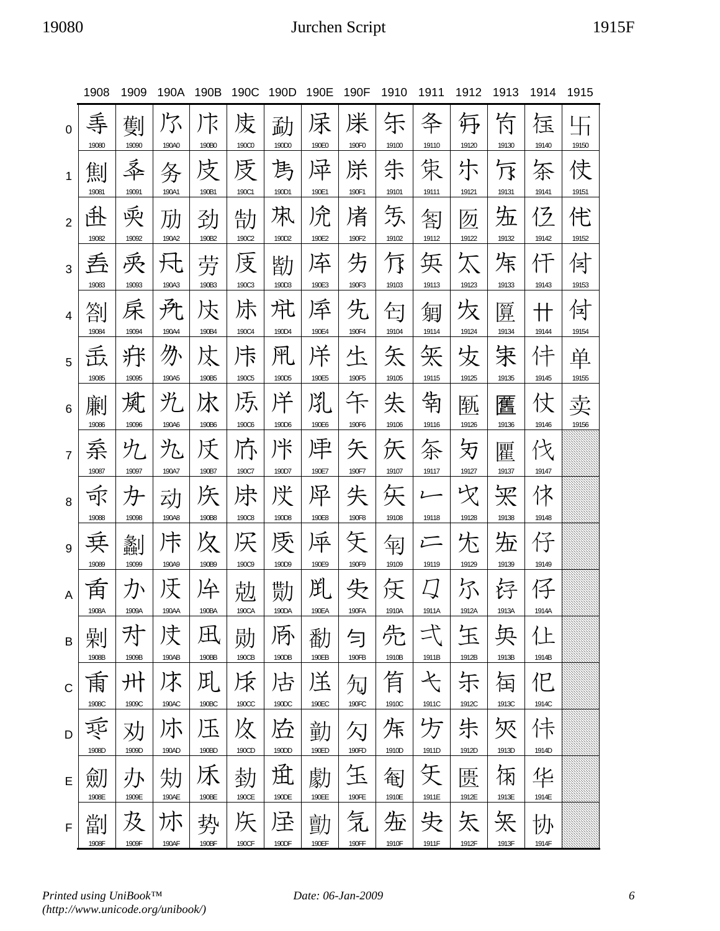## 19080 Jurchen Script 1915F

|                | 1908       | 1909       | 190A         | 190B        | 190C         | 190D       | 190E       | 190F       | 1910       | 1911                    | 1912       | 1913       | 1914        | 1915       |
|----------------|------------|------------|--------------|-------------|--------------|------------|------------|------------|------------|-------------------------|------------|------------|-------------|------------|
| $\Omega$       | 弄<br>19080 | 劐<br>19090 | 乃<br>190A0   | 斥<br>190B0  | 庋<br>190C0   | 勐<br>190D0 | 杘<br>190E0 | 凃<br>190F0 | 乐<br>19100 | 夅<br>19110              | 毋<br>19120 | 冇<br>19130 | 匥<br>19140  | 卐<br>19150 |
| 1              | 劁          | 秊          | 务            | 庋           | 庋            | 雋          | 异          | 凃          | 朱          | 策                       | 尓          | 厅          | 茶           | 伎          |
| $\overline{2}$ | 19081<br>钋 | 19091<br>耎 | 190A1<br>劢   | 190B1<br>劲  | 190C1<br>勂   | 190D1<br>凩 | 190E1<br>凃 | 190F1<br>凊 | 19101<br>気 | 19111<br>匒              | 19121<br>勿 | 19131<br>沲 | 19141<br>イク | 19151<br>侘 |
| 3              | 19082<br>呑 | 19092<br>兎 | 190A2<br>夶   | 190B2<br>劳  | 190C2<br>庋   | 190D2<br>勓 | 190E2<br>厗 | 190F2<br>为 | 19102<br>厅 | 19112<br>奂              | 19122<br>欠 | 19132<br>秌 | 19142<br>仟  | 19152<br>侙 |
| 4              | 19083<br>劄 | 19093<br>杘 | 190A3<br>所   | 190B3<br>犮  | 190C3<br>尗   | 190D3<br>竼 | 190E3<br>厗 | 190F3<br>先 | 19103<br>匄 | 19113<br>匔              | 19123<br>夊 | 19133<br>匴 | 19143<br>╫  | 19153<br>付 |
|                | 19084      | 19094      | 190A4        | 190B4       | 190C4        | 190D4      | 190E4      | 190F4      | 19104      | 19114                   | 19124      | 19134      | 19144       | 19154      |
| 5              | 忎<br>19085 | 粁<br>19095 | 办<br>190A5   | 犮<br>190B5  | 斥<br>190C5   | 阠<br>190D5 | 洋<br>190E5 | 生<br>190F5 | 矢<br>19105 | 矢<br>19115              | 戈<br>19125 | 宋<br>19135 | 仹<br>19145  | 单<br>19155 |
| 6              | 凲<br>19086 | 岚<br>19096 | ŸL.<br>190A6 | 冰<br>190B6  | 氐<br>190C6   | 冸<br>190D6 | 兇<br>190E6 | 午<br>190F6 | 失<br>19106 | 铕<br>19116              | 匦<br>19126 | 匶<br>19136 | 仗<br>19146  | 卖<br>19156 |
| $\overline{7}$ | 系          | 九          | 九            | 仸           | 庎            | 冸          | 渒          | 矢          | 仸          | 奈                       | 刃          | 匷          | 伩           |            |
| 8              | 19087<br>永 | 19097<br>牙 | 190A7<br>动   | 190B7<br>仸  | 190C7<br>凃   | 190D7<br>げ | 190E7<br>犀 | 190F7<br>失 | 19107<br>矢 | 19117<br>$\overline{L}$ | 19127<br>文 | 19137<br>冞 | 19147<br>体  |            |
|                | 19088      | 19098      | 190A8        | 190B8       | <b>190C8</b> | 190D8      | 190E8      | 190F8      | 19108      | 19118                   | 19128      | 19138      | 19148       |            |
| 9              | 珡<br>19089 | 劙<br>19099 | 斥<br>190A9   | 夊<br>190B9  | 190C9        | 顷<br>190D9 | 厗<br>190E9 | F<br>190F9 | 匉<br>19109 | ستن<br>19119            | 尓<br>19129 | 沲<br>19139 | 仔<br>19149  |            |
| A              | 甶          | 刀          | 阹            | 仱           | 勊            | 勚          | 鼡          | 失          | 汏          |                         | 尔          |            |             |            |
| B              | 1908A<br>剝 | 1909A<br>为 | 190AA<br>庋   | 190BA<br>圧  | 190CA<br>勋   | 190DA<br>夃 | 190EA<br>勫 | 190FA<br>勻 | 1910A<br>先 | 1911A                   | 1912A<br>玍 | 1913A<br>奂 | 19 14A<br>仩 |            |
|                | 1908B      | 1909B      | 190AB        | 190BB       | 190CB        | 190DB      | 190EB      | 190FB      | 1910B      | 1911B                   | 1912B      | 1913B      | 1914B       |            |
| $\mathsf{C}$   | 甬<br>1908C | 卅<br>1909C | 坏<br>190AC   | 用.<br>190BC | 斥<br>190CC   | 占<br>190DC | 送<br>190EC | 勼<br>190FC | 有<br>1910C | 弋<br>1911C              | 乐<br>1912C | 闰<br>1913C | 忋<br>1914C  |            |
| D              | 乘          | 劝          | 朩            | 压           | 炇            | 迃          | 勭          | 勽          | 秌          | 方                       | 朱          | 狹          | 佧           |            |
|                | 1908D      | 1909D      | 190AD        | 190BD       | 190CD        | 190DD      | 190ED      | 190FD      | 1910D      | 1911D                   | 1912D      | 1913D      | 1914D       |            |
| E              | 劎<br>1908E | 办<br>1909E | 劮<br>190AE   | 190BE       | 勎<br>190CE   | 觅<br>190DE | 勮<br>190EE | 玉<br>190FE | 匎<br>1910E | 旡<br>1911E              | 匮<br>1912E | 俰<br>1913E | 华<br>1914E  |            |
| $\mathsf F$    | 劏<br>1908F | 及<br>1909F | 尓<br>190AF   | 势<br>190BF  | 厌<br>190CF   | 迳<br>190DF | 勯<br>190EF | 気<br>190FF | 坵<br>1910F | 失<br>1911F              | 矢<br>1912F | 矢<br>1913F | 协<br>1914F  |            |
|                |            |            |              |             |              |            |            |            |            |                         |            |            |             |            |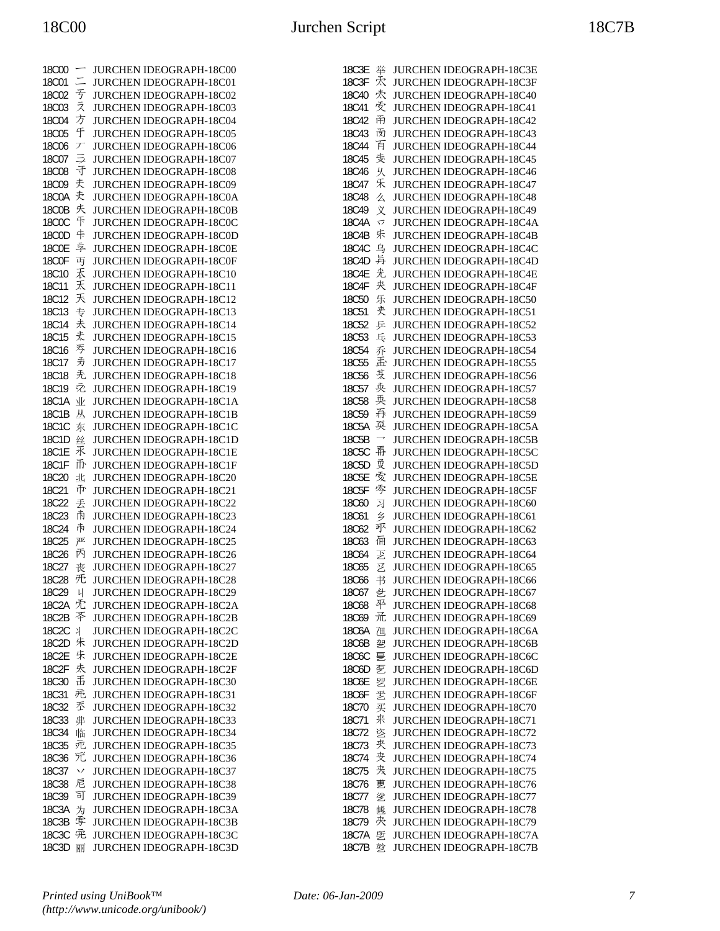| 18C00        | $\overline{\phantom{0}}$ | JURCHEN IDEOGRAPH-18C00        |
|--------------|--------------------------|--------------------------------|
| 18C01        | $\equiv$                 | JURCHEN IDEOGRAPH-18C01        |
| 18C02        | 亐                        | JURCHEN IDEOGRAPH-18C02        |
| 18C03        | え                        | JURCHEN IDEOGRAPH-18C03        |
| <b>18C04</b> | 方                        | JURCHEN IDEOGRAPH-18C04        |
| <b>18C05</b> | 于                        | JURCHEN IDEOGRAPH-18C05        |
| <b>18C06</b> | デ                        | JURCHEN IDEOGRAPH-18C06        |
| 18C07        | ラ                        | JURCHEN IDEOGRAPH-18C07        |
| <b>18C08</b> | 于                        | JURCHEN IDEOGRAPH-18C08        |
| <b>18C09</b> | 夫                        | JURCHEN IDEOGRAPH-18C09        |
| 18C0A        | 灻                        | JURCHEN IDEOGRAPH-18C0A        |
| 18C0B        | 庆                        | JURCHEN IDEOGRAPH-18C0B        |
| <b>18C0C</b> | 干                        | JURCHEN IDEOGRAPH-18C0C        |
| <b>18C0D</b> | 卡                        | JURCHEN IDEOGRAPH-18C0D        |
| <b>18C0E</b> | 享                        | JURCHEN IDEOGRAPH-18C0E        |
| <b>18C0F</b> | 丏                        | JURCHEN IDEOGRAPH-18C0F        |
| 18C10        | 禾                        | JURCHEN IDEOGRAPH-18C10        |
| 18C11        | 天                        | JURCHEN IDEOGRAPH-18C11        |
| 18C12        | 天                        | JURCHEN IDEOGRAPH-18C12        |
| 18C13        | 专                        | JURCHEN IDEOGRAPH-18C13        |
| 18C14        | 夫                        | JURCHEN IDEOGRAPH-18C14        |
| 18C15        | 丈                        |                                |
|              | 亐                        | JURCHEN IDEOGRAPH-18C15        |
| 18C16        | 寿                        | JURCHEN IDEOGRAPH-18C16        |
| 18C17        |                          | JURCHEN IDEOGRAPH-18C17        |
| 18C18        | 禿                        | JURCHEN IDEOGRAPH-18C18        |
| 18C19        | え                        | JURCHEN IDEOGRAPH-18C19        |
| 18C1A        | 业                        | JURCHEN IDEOGRAPH-18C1A        |
| 18C1B        | 丛                        | JURCHEN IDEOGRAPH-18C1B        |
| 18C1C        | 东                        | JURCHEN IDEOGRAPH-18C1C        |
| 18C1D        | 丝                        | JURCHEN IDEOGRAPH-18C1D        |
| 18C1E        | 氶                        | JURCHEN IDEOGRAPH-18C1E        |
| 18C1F        | 币                        | JURCHEN IDEOGRAPH-18C1F        |
| 18C20        | 丠                        | JURCHEN IDEOGRAPH-18C20        |
| 18C21        | 帀                        | JURCHEN IDEOGRAPH-18C21        |
| 18C22        | 丢                        | JURCHEN IDEOGRAPH-18C22        |
| 18C23        | 甬                        | JURCHEN IDEOGRAPH-18C23        |
| 18C24        | 巿                        | JURCHEN IDEOGRAPH-18C24        |
| 18C25        | 严                        | JURCHEN IDEOGRAPH-18C25        |
| 18C26        | 丙                        | JURCHEN IDEOGRAPH-18C26        |
| 18C27        | 丧                        | JURCHEN IDEOGRAPH-18C27        |
| 18C28        | 旡                        | JURCHEN IDEOGRAPH-18C28        |
| 18C29        | $\downarrow$             | JURCHEN IDEOGRAPH-18C29        |
| 18C2A        | 冘                        | <b>JURCHEN IDEOGRAPH-18C2A</b> |
| 18C2B        | 苓                        | <b>JURCHEN IDEOGRAPH-18C2B</b> |
| 18C2C        | 丬                        | JURCHEN IDEOGRAPH-18C2C        |
| 18C2D        | 朱                        | <b>JURCHEN IDEOGRAPH-18C2D</b> |
| 18C2E        | 朱                        | JURCHEN IDEOGRAPH-18C2E        |
| 18C2F        | 失                        | <b>JURCHEN IDEOGRAPH-18C2F</b> |
| 18C30        | 舌                        | JURCHEN IDEOGRAPH-18C30        |
| 18C31        | 乖                        | <b>JURCHEN IDEOGRAPH-18C31</b> |
| 18C32        | 苤                        | JURCHEN IDEOGRAPH-18C32        |
| 18C33        | 丳                        | JURCHEN IDEOGRAPH-18C33        |
| 18C34        | 临                        | <b>JURCHEN IDEOGRAPH-18C34</b> |
| 18C35        | 疤                        | <b>JURCHEN IDEOGRAPH-18C35</b> |
| 18C36        | 冗                        | <b>JURCHEN IDEOGRAPH-18C36</b> |
| 18C37        | $\checkmark$             | <b>JURCHEN IDEOGRAPH-18C37</b> |
| 18C38        | 尼                        | JURCHEN IDEOGRAPH-18C38        |
| 18C39        | 司                        | JURCHEN IDEOGRAPH-18C39        |
| 18C3A        | 为                        | <b>JURCHEN IDEOGRAPH-18C3A</b> |
| 18C3B        | 孛                        | JURCHEN IDEOGRAPH-18C3B        |
| 18C3C        | 兎                        | JURCHEN IDEOGRAPH-18C3C        |
| 18C3D        | 丽                        | JURCHEN IDEOGRAPH-18C3D        |

| 18C3E        | 举             | JURCHEN IDEOGRAPH-18C3E        |
|--------------|---------------|--------------------------------|
| 18C3F        | 秂             | JURCHEN IDEOGRAPH-18C3F        |
| 18C40        | 灻             | JURCHEN IDEOGRAPH-18C40        |
| 18C41        | 受             | JURCHEN IDEOGRAPH-18C41        |
| 18C42        | 甬             | JURCHEN IDEOGRAPH-18C42        |
| 18C43        | 贡             | <b>JURCHEN IDEOGRAPH-18C43</b> |
| 18C44        | 百             | JURCHEN IDEOGRAPH-18C44        |
| 18C45        | 庋             | JURCHEN IDEOGRAPH-18C45        |
| 18C46        | 乆             | JURCHEN IDEOGRAPH-18C46        |
| 18C47        | 禾             | JURCHEN IDEOGRAPH-18C47        |
| 18C48        | 么             | <b>JURCHEN IDEOGRAPH-18C48</b> |
| 18C49        | 义             | JURCHEN IDEOGRAPH-18C49        |
| 18C4A        | 乊             | JURCHEN IDEOGRAPH-18C4A        |
| 18C4B        | 朱             | <b>JURCHEN IDEOGRAPH-18C4B</b> |
| 18C4C        | 乌             | JURCHEN IDEOGRAPH-18C4C        |
| 18C4D        | 异             | JURCHEN IDEOGRAPH-18C4D        |
| <b>18C4E</b> | 光             | JURCHEN IDEOGRAPH-18C4E        |
| 18C4F        | 夹             | JURCHEN IDEOGRAPH-18C4F        |
| 18C50        | 乐             | JURCHEN IDEOGRAPH-18C50        |
| 18C51        | 夹             | JURCHEN IDEOGRAPH-18C51        |
| 18C52        | 乒             | JURCHEN IDEOGRAPH-18C52        |
| 18C53        | 乓             | JURCHEN IDEOGRAPH-18C53        |
| 18C54        | 乔             | JURCHEN IDEOGRAPH-18C54        |
| <b>18C55</b> | 盂             | JURCHEN IDEOGRAPH-18C55        |
| <b>18C56</b> | 芆             | JURCHEN IDEOGRAPH-18C56        |
| 18C57        | 奂             | JURCHEN IDEOGRAPH-18C57        |
| <b>18C58</b> | 耎             | JURCHEN IDEOGRAPH-18C58        |
| <b>18C59</b> | 乔             | JURCHEN IDEOGRAPH-18C59        |
| 18C5A        | 耎             | JURCHEN IDEOGRAPH-18C5A        |
| 18C5B        | $\rightarrow$ | JURCHEN IDEOGRAPH-18C5B        |
| 18C5C        | 再             | JURCHEN IDEOGRAPH-18C5C        |
| 18C5D        | 更             | JURCHEN IDEOGRAPH-18C5D        |
| 18C5E        | 叐             | JURCHEN IDEOGRAPH-18C5E        |
| 18C5F        | 岑             | JURCHEN IDEOGRAPH-18C5F        |
| 18C60        | 习             | JURCHEN IDEOGRAPH-18C60        |
| 18C61        | 乡             | JURCHEN IDEOGRAPH-18C61        |
| 18C62        | 邛             | JURCHEN IDEOGRAPH-18C62        |
| 18C63        | 倆             | JURCHEN IDEOGRAPH-18C63        |
| 18C64        | 乤             | JURCHEN IDEOGRAPH-18C64        |
| 18C65        | 乥             | JURCHEN IDEOGRAPH-18C65        |
| 18C66        | 书             | JURCHEN IDEOGRAPH-18C66        |
| 18C67        | 乧             | <b>JURCHEN IDEOGRAPH-18C67</b> |
| <b>18C68</b> | 平             | JURCHEN IDEOGRAPH-18C68        |
| 18C69        | 禿             | JURCHEN IDEOGRAPH-18C69        |
| 18C6A        | 乪             | JURCHEN IDEOGRAPH-18C6A        |
| 18C6B        | 乫             | JURCHEN IDEOGRAPH-18C6B        |
| 18C6C        | 乬             | JURCHEN IDEOGRAPH-18C6C        |
| 18C6D        | 乭             | <b>JURCHEN IDEOGRAPH-18C6D</b> |
| 18C6E        | 乮             | <b>JURCHEN IDEOGRAPH-18C6E</b> |
| 18C6F        | 乯             | <b>JURCHEN IDEOGRAPH-18C6F</b> |
| 18C70        | 买             | JURCHEN IDEOGRAPH-18C70        |
| 18C71        | 来             | JURCHEN IDEOGRAPH-18C71        |
| 18C72        | 乲             | <b>JURCHEN IDEOGRAPH-18C72</b> |
| 18C73        | 夹             | <b>JURCHEN IDEOGRAPH-18C73</b> |
| 18C74        | 芠             | <b>JURCHEN IDEOGRAPH-18C74</b> |
| 18C75        | 夹             | JURCHEN IDEOGRAPH-18C75        |
| 18C76        | 乶             | JURCHEN IDEOGRAPH-18C76        |
| 18C77        | 乷             | JURCHEN IDEOGRAPH-18C77        |
| 18C78        | 乸             | <b>JURCHEN IDEOGRAPH-18C78</b> |
| 18C79        | 夾             | <b>JURCHEN IDEOGRAPH-18C79</b> |
| 18C7A        | 乺             | JURCHEN IDEOGRAPH-18C7A        |
| 18C7B        | 乻             | JURCHEN IDEOGRAPH-18C7B        |
|              |               |                                |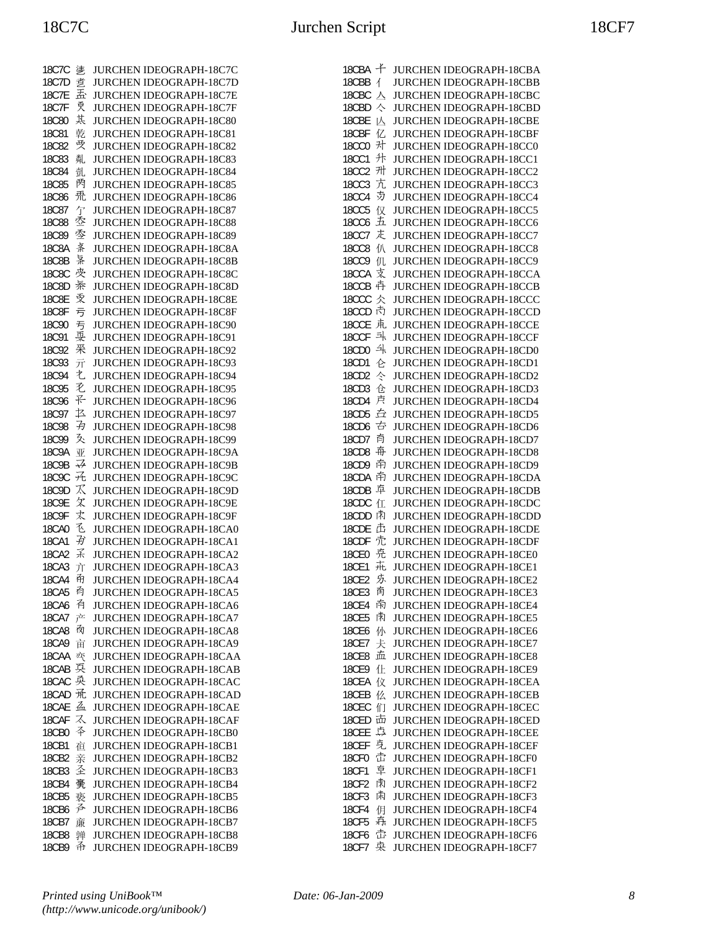| 18C7C        | 乼  | <b>JURCHEN IDEOGRAPH-18C7C</b> |
|--------------|----|--------------------------------|
| 18C7D        | 乽盂 | <b>JURCHEN IDEOGRAPH-18C7D</b> |
| 18C7E        |    | JURCHEN IDEOGRAPH-18C7E        |
| 18C7F        | 更  | JURCHEN IDEOGRAPH-18C7F        |
| <b>18C80</b> | 其  | JURCHEN IDEOGRAPH-18C80        |
| <b>18C81</b> | 乾  | JURCHEN IDEOGRAPH-18C81        |
| 18C82        | 受  | JURCHEN IDEOGRAPH-18C82        |
| <b>18C83</b> | 亃  | JURCHEN IDEOGRAPH-18C83        |
| <b>18C84</b> | 亄  | JURCHEN IDEOGRAPH-18C84        |
| <b>18C85</b> | 閃  | JURCHEN IDEOGRAPH-18C85        |
| <b>18C86</b> | 퓼  | JURCHEN IDEOGRAPH-18C86        |
| <b>18C87</b> | 亇  | JURCHEN IDEOGRAPH-18C87        |
| <b>18C88</b> | 厺  | JURCHEN IDEOGRAPH-18C88        |
| <b>18C89</b> | 季  | JURCHEN IDEOGRAPH-18C89        |
| 18C8A        | 案  | JURCHEN IDEOGRAPH-18C8A        |
| <b>18C8B</b> | 昪  | JURCHEN IDEOGRAPH-18C8B        |
| <b>18C8C</b> | 夾  | JURCHEN IDEOGRAPH-18C8C        |
| 18C8D        | 秦  |                                |
|              | 受  | <b>JURCHEN IDEOGRAPH-18C8D</b> |
| <b>18C8E</b> |    | <b>JURCHEN IDEOGRAPH-18C8E</b> |
| <b>18C8F</b> | 亏  | JURCHEN IDEOGRAPH-18C8F        |
| 18C90        | 亐  | JURCHEN IDEOGRAPH-18C90        |
| 18C91        | 耍  | JURCHEN IDEOGRAPH-18C91        |
| 18C92        | 釆  | JURCHEN IDEOGRAPH-18C92        |
| 18C93        | 亓  | JURCHEN IDEOGRAPH-18C93        |
| 18C94        | 电  | JURCHEN IDEOGRAPH-18C94        |
| <b>18C95</b> | 飞  | JURCHEN IDEOGRAPH-18C95        |
| 18C96        | 孓  | JURCHEN IDEOGRAPH-18C96        |
| 18C97        | 乜  | JURCHEN IDEOGRAPH-18C97        |
| <b>18C98</b> | 劧  | JURCHEN IDEOGRAPH-18C98        |
| 18C99        | 爻  | JURCHEN IDEOGRAPH-18C99        |
| 18C9A        | 亚  | JURCHEN IDEOGRAPH-18C9A        |
| 18C9B        | ⋥  | JURCHEN IDEOGRAPH-18C9B        |
| <b>18C9C</b> | 元  | <b>JURCHEN IDEOGRAPH-18C9C</b> |
| 18C9D        | K  | JURCHEN IDEOGRAPH-18C9D        |
| 18C9E        | 攵  | JURCHEN IDEOGRAPH-18C9E        |
| 18C9F        | 丈  | JURCHEN IDEOGRAPH-18C9F        |
| 18CA0        | 飞  | JURCHEN IDEOGRAPH-18CA0        |
| 18CA1        | 孑  | JURCHEN IDEOGRAPH-18CA1        |
| <b>18CA2</b> | 孓  | JURCHEN IDEOGRAPH-18CA2        |
| 18CA3        | 亣  | JURCHEN IDEOGRAPH-18CA3        |
| 18CA4        | 甬  | <b>JURCHEN IDEOGRAPH-18CA4</b> |
| <b>18CA5</b> | 甬  | JURCHEN IDEOGRAPH-18CA5        |
| 18CA6        | 有  | <b>JURCHEN IDEOGRAPH-18CA6</b> |
| <b>18CA7</b> | 产  | <b>JURCHEN IDEOGRAPH-18CA7</b> |
| <b>18CA8</b> | 肏  | <b>JURCHEN IDEOGRAPH-18CA8</b> |
| 18CA9        | 亩  | JURCHEN IDEOGRAPH-18CA9        |
| 18CAA        | 亪  | JURCHEN IDEOGRAPH-18CAA        |
| 18CAB        | 兵  | JURCHEN IDEOGRAPH-18CAB        |
|              |    |                                |
| 18CAC        | 奂  | <b>JURCHEN IDEOGRAPH-18CAC</b> |
| 18CAD        | 瓩  | <b>JURCHEN IDEOGRAPH-18CAD</b> |
| 18CAE        | 孟  | JURCHEN IDEOGRAPH-18CAE        |
| 18CAF        | ス  | <b>JURCHEN IDEOGRAPH-18CAF</b> |
| 18CB0        | 夲  | JURCHEN IDEOGRAPH-18CB0        |
| 18CB1        | 亱  | JURCHEN IDEOGRAPH-18CB1        |
| 18CB2        | 亲  | JURCHEN IDEOGRAPH-18CB2        |
| 18CB3        | 圣  | JURCHEN IDEOGRAPH-18CB3        |
| 18CB4        | 亴  | <b>JURCHEN IDEOGRAPH-18CB4</b> |
| 18CB5        | 亵  | JURCHEN IDEOGRAPH-18CB5        |
| 18CB6        | 斉  | <b>JURCHEN IDEOGRAPH-18CB6</b> |
| 18CB7        | 亷  | <b>JURCHEN IDEOGRAPH-18CB7</b> |
| <b>18CB8</b> | 亸  | <b>JURCHEN IDEOGRAPH-18CB8</b> |
| 18CB9        | 쥬  | JURCHEN IDEOGRAPH-18CB9        |

| 千<br>18CBA               | JURCHEN IDEOGRAPH-18CBA                            |
|--------------------------|----------------------------------------------------|
| $\overline{A}$<br>18CBB  | <b>JURCHEN IDEOGRAPH-18CBB</b>                     |
| 18CBC<br>스               | JURCHEN IDEOGRAPH-18CBC                            |
| 18CBD<br>ᄾ               | JURCHEN IDEOGRAPH-18CBD                            |
| 18CBE<br>亾               | JURCHEN IDEOGRAPH-18CBE                            |
| 18CBF<br>亿               | JURCHEN IDEOGRAPH-18CBF                            |
| 차<br><b>18CC0</b>        | JURCHEN IDEOGRAPH-18CC0                            |
| 升<br><b>18CC1</b>        | JURCHEN IDEOGRAPH-18CC1                            |
| 캐<br><b>18CC2</b>        | JURCHEN IDEOGRAPH-18CC2                            |
| 亢<br><b>18CC3</b>        | JURCHEN IDEOGRAPH-18CC3                            |
| 芀<br><b>18CC4</b>        | JURCHEN IDEOGRAPH-18CC4                            |
| <b>18CC5</b><br>仅        | JURCHEN IDEOGRAPH-18CC5                            |
| 五<br><b>18CC6</b>        | JURCHEN IDEOGRAPH-18CC6                            |
| 走<br>18CC7               | JURCHEN IDEOGRAPH-18CC7                            |
| 仈<br><b>18CC8</b>        | <b>JURCHEN IDEOGRAPH-18CC8</b>                     |
| <b>18CC9</b><br>仉<br>支   | JURCHEN IDEOGRAPH-18CC9                            |
| 18CCA<br>卉               | JURCHEN IDEOGRAPH-18CCA                            |
| 18CCB                    | <b>JURCHEN IDEOGRAPH-18CCB</b>                     |
| 18CCC<br>仌<br>內<br>18CCD | JURCHEN IDEOGRAPH-18CCC                            |
| 克<br>18CCE               | JURCHEN IDEOGRAPH-18CCD                            |
| 타<br>18CCF               | <b>JURCHEN IDEOGRAPH-18CCE</b>                     |
| 솨<br>18CD0               | JURCHEN IDEOGRAPH-18CCF                            |
| 18CD1                    | JURCHEN IDEOGRAPH-18CD0                            |
| 仑<br>仒                   | JURCHEN IDEOGRAPH-18CD1                            |
| 18CD2<br>18CD3<br>仓      | JURCHEN IDEOGRAPH-18CD2<br>JURCHEN IDEOGRAPH-18CD3 |
| 卢<br>18CD4               | <b>JURCHEN IDEOGRAPH-18CD4</b>                     |
| 彑<br>18CD5               | JURCHEN IDEOGRAPH-18CD5                            |
| 古<br>18CD6               | JURCHEN IDEOGRAPH-18CD6                            |
| 育<br>18CD7               | JURCHEN IDEOGRAPH-18CD7                            |
| 再<br>18CD <sub>8</sub>   | JURCHEN IDEOGRAPH-18CD8                            |
| 南<br>18CD9               | JURCHEN IDEOGRAPH-18CD9                            |
| 南<br>18CDA               | JURCHEN IDEOGRAPH-18CDA                            |
| 車<br>18CDB               | JURCHEN IDEOGRAPH-18CDB                            |
| 18CDC<br>仜               | JURCHEN IDEOGRAPH-18CDC                            |
| 肃<br>18CDD               | JURCHEN IDEOGRAPH-18CDD                            |
| 击<br>18CDE               | JURCHEN IDEOGRAPH-18CDE                            |
| 売<br>18CDF               | JURCHEN IDEOGRAPH-18CDF                            |
| 亮<br><b>18CE0</b>        | JURCHEN IDEOGRAPH-18CE0                            |
| 庇<br>18CE1               | JURCHEN IDEOGRAPH-18CE1                            |
| 苏<br><b>18CE2</b>        | <b>JURCHEN IDEOGRAPH-18CE2</b>                     |
| 商<br><b>18CE3</b>        | <b>JURCHEN IDEOGRAPH-18CE3</b>                     |
| 南<br><b>18CE4</b>        | JURCHEN IDEOGRAPH-18CE4                            |
| 雨<br><b>18CE5</b>        | <b>JURCHEN IDEOGRAPH-18CE5</b>                     |
| 仦<br><b>18CE6</b>        | JURCHEN IDEOGRAPH-18CE6                            |
| 18CE7<br>仧               | JURCHEN IDEOGRAPH-18CE7                            |
| 壶<br><b>18CE8</b>        | <b>JURCHEN IDEOGRAPH-18CE8</b>                     |
| <b>18CE9</b><br>仩        | JURCHEN IDEOGRAPH-18CE9                            |
| 18CEA<br>仪               | JURCHEN IDEOGRAPH-18CEA                            |
| 18CEB<br>仫               | <b>JURCHEN IDEOGRAPH-18CEB</b>                     |
| 们<br>18CEC               | <b>JURCHEN IDEOGRAPH-18CEC</b>                     |
| 击<br>18CED               | <b>JURCHEN IDEOGRAPH-18CED</b>                     |
| 真<br>18CEE               | JURCHEN IDEOGRAPH-18CEE                            |
| 克<br>18CEF               | <b>JURCHEN IDEOGRAPH-18CEF</b>                     |
| 击<br><b>18CF0</b>        | JURCHEN IDEOGRAPH-18CF0                            |
| 卓<br>18CF1               | JURCHEN IDEOGRAPH-18CF1                            |
| 肃<br><b>18CF2</b>        | JURCHEN IDEOGRAPH-18CF2                            |
| 肃<br><b>18CF3</b>        | JURCHEN IDEOGRAPH-18CF3                            |
| <b>18CF4</b><br>仴        | JURCHEN IDEOGRAPH-18CF4                            |
| 森<br><b>18CF5</b>        | <b>JURCHEN IDEOGRAPH-18CF5</b>                     |
| 击<br><b>18CF6</b>        | JURCHEN IDEOGRAPH-18CF6                            |
| 桒<br><b>18CF7</b>        | <b>JURCHEN IDEOGRAPH-18CF7</b>                     |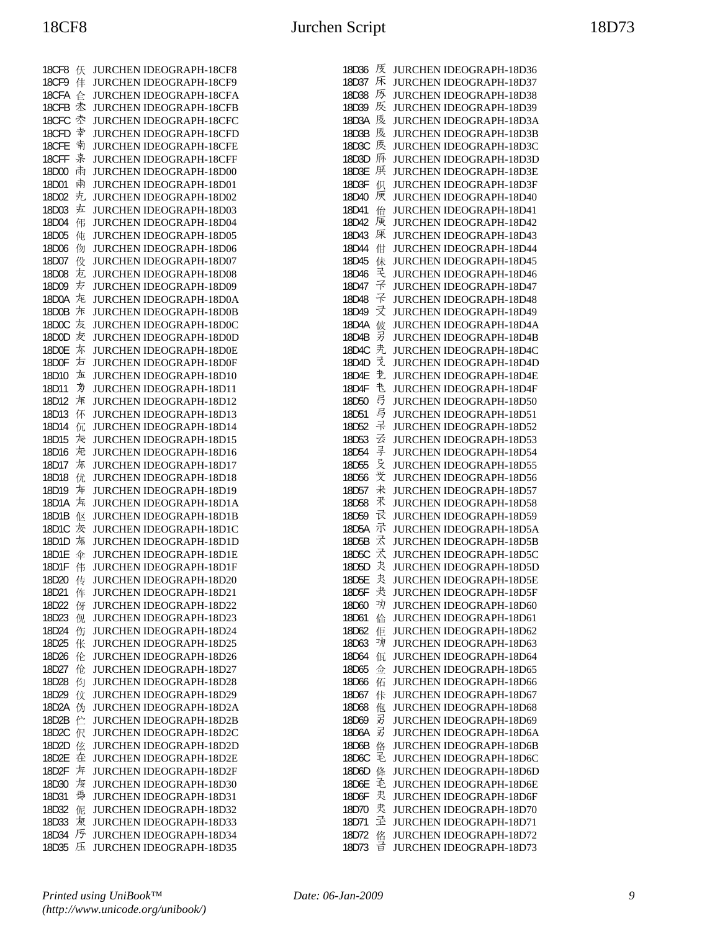| 18CF8              | 仸 | <b>JURCHEN IDEOGRAPH-18CF8</b> |
|--------------------|---|--------------------------------|
| <b>18CF9</b>       | 仹 | JURCHEN IDEOGRAPH-18CF9        |
| 18CFA              | 仺 | JURCHEN IDEOGRAPH-18CFA        |
| 18CFB              | 枩 | <b>JURCHEN IDEOGRAPH-18CFB</b> |
| 18CFC              | 壺 | JURCHEN IDEOGRAPH-18CFC        |
| 18CFD              | 幸 | <b>JURCHEN IDEOGRAPH-18CFD</b> |
| 18CFE              | 南 | JURCHEN IDEOGRAPH-18CFE        |
| 18CFF              | 枽 | <b>JURCHEN IDEOGRAPH-18CFF</b> |
| 18D00              | 雨 | JURCHEN IDEOGRAPH-18D00        |
| 18D01              | 兩 | JURCHEN IDEOGRAPH-18D01        |
| 18D02              | 圥 | JURCHEN IDEOGRAPH-18D02        |
| 18D03              | 左 | JURCHEN IDEOGRAPH-18D03        |
| 18D04              | 伄 | JURCHEN IDEOGRAPH-18D04        |
| 18D05              | 伅 | JURCHEN IDEOGRAPH-18D05        |
| 18D06              | 伆 | JURCHEN IDEOGRAPH-18D06        |
| 18D07              | 伇 | JURCHEN IDEOGRAPH-18D07        |
| 18D08              | 尢 | JURCHEN IDEOGRAPH-18D08        |
| 18D09              | 友 | JURCHEN IDEOGRAPH-18D09        |
| 18D0A              | 龙 | JURCHEN IDEOGRAPH-18D0A        |
| 18D0B              | 斥 | JURCHEN IDEOGRAPH-18D0B        |
| 18D <sub>0</sub> C | 友 | <b>JURCHEN IDEOGRAPH-18D0C</b> |
| 18D0D              | 友 | JURCHEN IDEOGRAPH-18D0D        |
| 18D0E              | 尓 | JURCHEN IDEOGRAPH-18D0E        |
| 18D0F              | 方 | JURCHEN IDEOGRAPH-18D0F        |
| 18D10              | 左 | JURCHEN IDEOGRAPH-18D10        |
| 18D11              | 为 | JURCHEN IDEOGRAPH-18D11        |
| 18D12              | 斥 | JURCHEN IDEOGRAPH-18D12        |
| 18D13              | 伓 | JURCHEN IDEOGRAPH-18D13        |
| 18D14              | 伔 | JURCHEN IDEOGRAPH-18D14        |
| 18D15              | 宊 | JURCHEN IDEOGRAPH-18D15        |
| 18D16              | 炬 | JURCHEN IDEOGRAPH-18D16        |
| 18D17              | 东 | JURCHEN IDEOGRAPH-18D17        |
| 18D18              | 优 | JURCHEN IDEOGRAPH-18D18        |
| 18D19              | 炉 | JURCHEN IDEOGRAPH-18D19        |
| 18D1A              | 左 | JURCHEN IDEOGRAPH-18D1A        |
| 18D1B              | 伛 | JURCHEN IDEOGRAPH-18D1B        |
| 18D1C              | 灰 | JURCHEN IDEOGRAPH-18D1C        |
| 18D1D              | 旊 | JURCHEN IDEOGRAPH-18D1D        |
| 18D1E              | 伞 | JURCHEN IDEOGRAPH-18D1E        |
| 18D1F              | 伟 | JURCHEN IDEOGRAPH-18D1F        |
| 18D20              | 传 | JURCHEN IDEOGRAPH-18D20        |
| 18D21              | 伡 | JURCHEN IDEOGRAPH-18D21        |
| 18D22              | 伢 | <b>JURCHEN IDEOGRAPH-18D22</b> |
| 18D23              | 伣 | <b>JURCHEN IDEOGRAPH-18D23</b> |
| 18D24              | 伤 | <b>JURCHEN IDEOGRAPH-18D24</b> |
| 18D25              | 伥 | JURCHEN IDEOGRAPH-18D25        |
| 18D26              | 伦 | JURCHEN IDEOGRAPH-18D26        |
| 18D27              | 伧 | JURCHEN IDEOGRAPH-18D27        |
| 18D28              | 伨 | <b>JURCHEN IDEOGRAPH-18D28</b> |
| 18D29              | 伩 | JURCHEN IDEOGRAPH-18D29        |
| 18D2A              | 伪 | JURCHEN IDEOGRAPH-18D2A        |
| 18D2B              | 伫 | JURCHEN IDEOGRAPH-18D2B        |
| 18D2C              | 伬 | JURCHEN IDEOGRAPH-18D2C        |
| 18D2D              | 伭 | <b>JURCHEN IDEOGRAPH-18D2D</b> |
| 18D2E              | 在 | <b>JURCHEN IDEOGRAPH-18D2E</b> |
| 18D2F              | 左 | <b>JURCHEN IDEOGRAPH-18D2F</b> |
| 18D30              | 垓 | JURCHEN IDEOGRAPH-18D30        |
| 18D31              | 戞 | JURCHEN IDEOGRAPH-18D31        |
| 18D32              | 伲 | <b>JURCHEN IDEOGRAPH-18D32</b> |
| 18D33              | 亰 | <b>JURCHEN IDEOGRAPH-18D33</b> |
| 18D34              | 序 | JURCHEN IDEOGRAPH-18D34        |
| 18D35              | 压 | JURCHEN IDEOGRAPH-18D35        |

| 18D36 | 庋      | <b>JURCHEN IDEOGRAPH-18D36</b> |
|-------|--------|--------------------------------|
| 18D37 | 床      | <b>JURCHEN IDEOGRAPH-18D37</b> |
|       |        |                                |
| 18D38 | 厉      | <b>JURCHEN IDEOGRAPH-18D38</b> |
| 18D39 | 反      | <b>JURCHEN IDEOGRAPH-18D39</b> |
| 18D3A | 庋      | <b>JURCHEN IDEOGRAPH-18D3A</b> |
|       |        |                                |
| 18D3B | 庋      | <b>JURCHEN IDEOGRAPH-18D3B</b> |
| 18D3C | 庋      | JURCHEN IDEOGRAPH-18D3C        |
| 18D3D | 质      | <b>JURCHEN IDEOGRAPH-18D3D</b> |
|       |        |                                |
| 18D3E | 厌      | <b>JURCHEN IDEOGRAPH-18D3E</b> |
| 18D3F | 伿      | <b>JURCHEN IDEOGRAPH-18D3F</b> |
| 18D40 | 原      | <b>JURCHEN IDEOGRAPH-18D40</b> |
|       |        |                                |
| 18D41 | 佁      | <b>JURCHEN IDEOGRAPH-18D41</b> |
| 18D42 | 庚      | <b>JURCHEN IDEOGRAPH-18D42</b> |
| 18D43 | 厌      | <b>JURCHEN IDEOGRAPH-18D43</b> |
| 18D44 | 佄      | <b>JURCHEN IDEOGRAPH-18D44</b> |
|       |        |                                |
| 18D45 | 佅      | <b>JURCHEN IDEOGRAPH-18D45</b> |
| 18D46 | 毛      | <b>JURCHEN IDEOGRAPH-18D46</b> |
| 18D47 | そ      | <b>JURCHEN IDEOGRAPH-18D47</b> |
|       | ネ      |                                |
| 18D48 |        | <b>JURCHEN IDEOGRAPH-18D48</b> |
| 18D49 | 귯      | <b>JURCHEN IDEOGRAPH-18D49</b> |
| 18D4A | 伎      | <b>JURCHEN IDEOGRAPH-18D4A</b> |
| 18D4B | 另      | <b>JURCHEN IDEOGRAPH-18D4B</b> |
|       |        |                                |
| 18D4C | 尭      | <b>JURCHEN IDEOGRAPH-18D4C</b> |
| 18D4D | 爻      | <b>JURCHEN IDEOGRAPH-18D4D</b> |
| 18D4E | 赱      | <b>JURCHEN IDEOGRAPH-18D4E</b> |
|       | 飞      |                                |
| 18D4F |        | <b>JURCHEN IDEOGRAPH-18D4F</b> |
| 18D50 | 弓      | JURCHEN IDEOGRAPH-18D50        |
| 18D51 | 弓      | JURCHEN IDEOGRAPH-18D51        |
| 18D52 | 굮      | JURCHEN IDEOGRAPH-18D52        |
|       |        |                                |
| 18D53 | 云      | <b>JURCHEN IDEOGRAPH-18D53</b> |
| 18D54 | 旱      | <b>JURCHEN IDEOGRAPH-18D54</b> |
| 18D55 | 殳      | <b>JURCHEN IDEOGRAPH-18D55</b> |
| 18D56 | 芠      | <b>JURCHEN IDEOGRAPH-18D56</b> |
|       |        |                                |
| 18D57 | 未      | <b>JURCHEN IDEOGRAPH-18D57</b> |
|       |        |                                |
| 18D58 | 禾      | <b>JURCHEN IDEOGRAPH-18D58</b> |
|       |        |                                |
| 18D59 | 굱      | <b>JURCHEN IDEOGRAPH-18D59</b> |
| 18D5A | 示      | <b>JURCHEN IDEOGRAPH-18D5A</b> |
| 18D5B | 궀      | <b>JURCHEN IDEOGRAPH-18D5B</b> |
| 18D5C |        |                                |
|       | 氶      | <b>JURCHEN IDEOGRAPH-18D5C</b> |
| 18D5D | 夬      | <b>JURCHEN IDEOGRAPH-18D5D</b> |
| 18D5E | 夬      | <b>JURCHEN IDEOGRAPH-18D5E</b> |
| 18D5F | 夬      | JURCHEN IDEOGRAPH-18D5F        |
|       |        |                                |
| 18D60 | 功      | <b>JURCHEN IDEOGRAPH-18D60</b> |
| 18D61 | 佡      | JURCHEN IDEOGRAPH-18D61        |
| 18D62 | 佢      | JURCHEN IDEOGRAPH-18D62        |
| 18D63 | 功      | <b>JURCHEN IDEOGRAPH-18D63</b> |
|       |        |                                |
| 18D64 | 佤      | JURCHEN IDEOGRAPH-18D64        |
| 18D65 | 佥      | JURCHEN IDEOGRAPH-18D65        |
| 18D66 | 佦      | JURCHEN IDEOGRAPH-18D66        |
|       |        |                                |
| 18D67 | 佧      | JURCHEN IDEOGRAPH-18D67        |
| 18D68 | 佨      | <b>JURCHEN IDEOGRAPH-18D68</b> |
| 18D69 | 另      | <b>JURCHEN IDEOGRAPH-18D69</b> |
| 18D6A | 另      | JURCHEN IDEOGRAPH-18D6A        |
| 18D6B |        |                                |
|       | 佫      | JURCHEN IDEOGRAPH-18D6B        |
| 18D6C | 宒      | JURCHEN IDEOGRAPH-18D6C        |
| 18D6D | 佭      | JURCHEN IDEOGRAPH-18D6D        |
| 18D6E | 毛      | <b>JURCHEN IDEOGRAPH-18D6E</b> |
|       |        |                                |
| 18D6F | 叏      | <b>JURCHEN IDEOGRAPH-18D6F</b> |
| 18D70 | 叏      | <b>JURCHEN IDEOGRAPH-18D70</b> |
| 18D71 | 궆      | JURCHEN IDEOGRAPH-18D71        |
| 18D72 | 佲<br>금 | JURCHEN IDEOGRAPH-18D72        |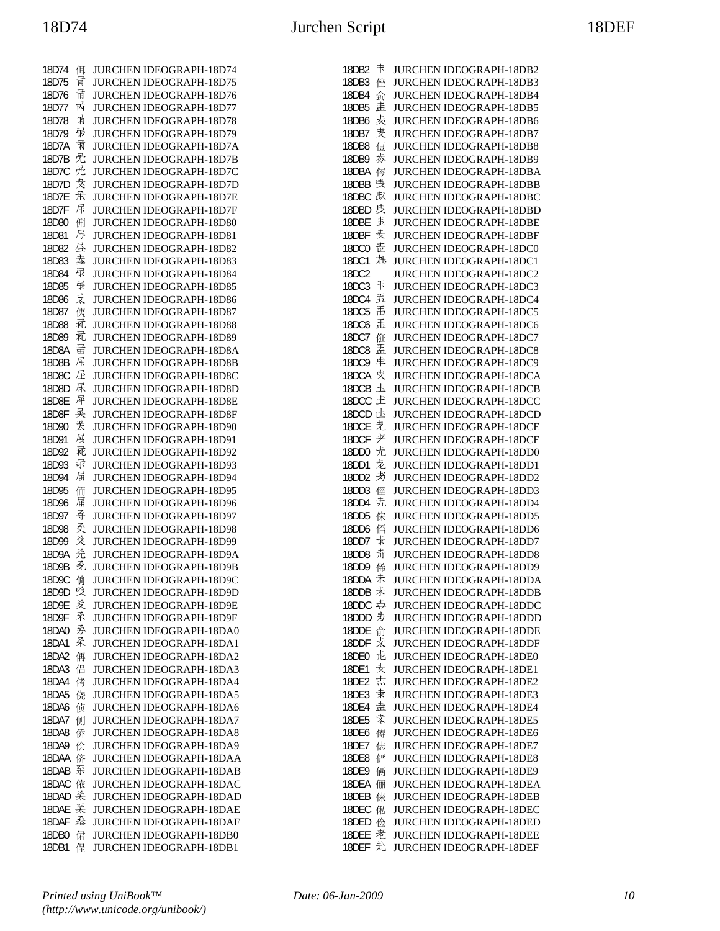| 18D74        | 佴 | JURCHEN IDEOGRAPH-18D74        |
|--------------|---|--------------------------------|
| 18D75        | 肎 | <b>JURCHEN IDEOGRAPH-18D75</b> |
| 18D76        | 甬 | JURCHEN IDEOGRAPH-18D76        |
| 18D77        | 丙 | JURCHEN IDEOGRAPH-18D77        |
| 18D78        | 剥 | JURCHEN IDEOGRAPH-18D78        |
| 18D79        | 帚 | JURCHEN IDEOGRAPH-18D79        |
| 18D7A        | 靑 | JURCHEN IDEOGRAPH-18D7A        |
| 18D7B        | 禿 | JURCHEN IDEOGRAPH-18D7B        |
| 18D7C        | 禿 | JURCHEN IDEOGRAPH-18D7C        |
| 18D7D        | 犮 | JURCHEN IDEOGRAPH-18D7D        |
| 18D7E        | 承 | JURCHEN IDEOGRAPH-18D7E        |
| 18D7F        | 杘 | JURCHEN IDEOGRAPH-18D7F        |
| 18D80        | 侀 | JURCHEN IDEOGRAPH-18D80        |
| 18D81        | 厊 | JURCHEN IDEOGRAPH-18D81        |
| 18D82        | 昼 | JURCHEN IDEOGRAPH-18D82        |
| 18D83        | 坴 | JURCHEN IDEOGRAPH-18D83        |
| 18D84        | 录 | JURCHEN IDEOGRAPH-18D84        |
| 18D85        | 录 | JURCHEN IDEOGRAPH-18D85        |
| 18D86        | 炅 | JURCHEN IDEOGRAPH-18D86        |
| 18D87        | 侇 | JURCHEN IDEOGRAPH-18D87        |
| 18D88        | 贰 | JURCHEN IDEOGRAPH-18D88        |
| 18D89        | 礼 | JURCHEN IDEOGRAPH-18D89        |
| 18D8A        | 긂 | JURCHEN IDEOGRAPH-18D8A        |
| 18D8B        | 杘 | JURCHEN IDEOGRAPH-18D8B        |
| <b>18D8C</b> | 屋 | <b>JURCHEN IDEOGRAPH-18D8C</b> |
| 18D8D        | 杘 | JURCHEN IDEOGRAPH-18D8D        |
| 18D8E        | 犀 | JURCHEN IDEOGRAPH-18D8E        |
| 18D8F        | 灵 | JURCHEN IDEOGRAPH-18D8F        |
| 18D90        | 芙 | JURCHEN IDEOGRAPH-18D90        |
| 18D91        | 屓 | JURCHEN IDEOGRAPH-18D91        |
| 18D92        | 乖 | JURCHEN IDEOGRAPH-18D92        |
| 18D93        | 录 | JURCHEN IDEOGRAPH-18D93        |
| 18D94        | 屇 | JURCHEN IDEOGRAPH-18D94        |
| 18D95        | 侕 | JURCHEN IDEOGRAPH-18D95        |
| 18D96        | 屇 | JURCHEN IDEOGRAPH-18D96        |
| 18D97        | 手 | JURCHEN IDEOGRAPH-18D97        |
| 18D98        | 奀 | JURCHEN IDEOGRAPH-18D98        |
| 18D99        | 爻 | JURCHEN IDEOGRAPH-18D99        |
| 18D9A        | 禿 | JURCHEN IDEOGRAPH-18D9A        |
| 18D9B        | 尧 | JURCHEN IDEOGRAPH-18D9B        |
| 18D9C        | 侜 | JURCHEN IDEOGRAPH-18D9C        |
| 18D9D        | 吳 | <b>JURCHEN IDEOGRAPH-18D9D</b> |
| 18D9E        | 叐 | <b>JURCHEN IDEOGRAPH-18D9E</b> |
| 18D9F        | 矛 | <b>JURCHEN IDEOGRAPH-18D9F</b> |
| 18DA0        | 矛 | JURCHEN IDEOGRAPH-18DA0        |
| 18DA1        | 杀 | JURCHEN IDEOGRAPH-18DA1        |
| 18DA2        | 侢 | JURCHEN IDEOGRAPH-18DA2        |
| 18DA3        | 侣 | <b>JURCHEN IDEOGRAPH-18DA3</b> |
| 18DA4        | 侤 | <b>JURCHEN IDEOGRAPH-18DA4</b> |
| 18DA5        | 侥 | JURCHEN IDEOGRAPH-18DA5        |
| 18DA6        | 侦 | JURCHEN IDEOGRAPH-18DA6        |
| 18DA7        | 侧 | <b>JURCHEN IDEOGRAPH-18DA7</b> |
| 18DA8        | 侨 | <b>JURCHEN IDEOGRAPH-18DA8</b> |
| 18DA9        | 侩 | <b>JURCHEN IDEOGRAPH-18DA9</b> |
| 18DAA        | 侪 | JURCHEN IDEOGRAPH-18DAA        |
| 18DAB        | 系 | <b>JURCHEN IDEOGRAPH-18DAB</b> |
| 18DAC        | 侬 | JURCHEN IDEOGRAPH-18DAC        |
| 18DAD        | 奀 | <b>JURCHEN IDEOGRAPH-18DAD</b> |
| 18DAE        | 奀 | <b>JURCHEN IDEOGRAPH-18DAE</b> |
| 18DAF        | 盉 | JURCHEN IDEOGRAPH-18DAF        |
| 18DB0        | 侰 | JURCHEN IDEOGRAPH-18DB0        |
| 18DB1        | 侱 | JURCHEN IDEOGRAPH-18DB1        |
|              |   |                                |

| 18DB2                 | 卡      | JURCHEN IDEOGRAPH-18DB2                                   |
|-----------------------|--------|-----------------------------------------------------------|
| 18DB3                 | 侳      | JURCHEN IDEOGRAPH-18DB3                                   |
| 18DB4                 | 侴      | JURCHEN IDEOGRAPH-18DB4                                   |
| 18DB5                 | 击      | JURCHEN IDEOGRAPH-18DB5                                   |
| 18DB6                 | 麦      | <b>JURCHEN IDEOGRAPH-18DB6</b>                            |
| 18DB7                 | 叏      | JURCHEN IDEOGRAPH-18DB7                                   |
| <b>18DB8</b>          | 侸      | JURCHEN IDEOGRAPH-18DB8                                   |
| 18DB9                 | 劵      | JURCHEN IDEOGRAPH-18DB9                                   |
| 18DBA                 | 侺      | <b>JURCHEN IDEOGRAPH-18DBA</b>                            |
| 18DBB                 | 奊      | <b>JURCHEN IDEOGRAPH-18DBB</b>                            |
| 18DBC                 | 赵      | JURCHEN IDEOGRAPH-18DBC                                   |
| 18DBD                 | 庋      | JURCHEN IDEOGRAPH-18DBD                                   |
| 18DBE                 | 壴<br>麦 | JURCHEN IDEOGRAPH-18DBE                                   |
| 18DBF                 | 壱      | JURCHEN IDEOGRAPH-18DBF                                   |
| <b>18DC0</b><br>18DC1 | 沊      | JURCHEN IDEOGRAPH-18DC0                                   |
| 18DC2                 |        | JURCHEN IDEOGRAPH-18DC1<br>JURCHEN IDEOGRAPH-18DC2        |
| 18DC3                 | 干      | JURCHEN IDEOGRAPH-18DC3                                   |
| 18DC4                 | 五      | JURCHEN IDEOGRAPH-18DC4                                   |
| <b>18DC5</b>          | 舌      | JURCHEN IDEOGRAPH-18DC5                                   |
| 18DC6                 | 盂      | JURCHEN IDEOGRAPH-18DC6                                   |
| 18DC7                 | 俇      | JURCHEN IDEOGRAPH-18DC7                                   |
| <b>18DC8</b>          | 盂      | JURCHEN IDEOGRAPH-18DC8                                   |
| 18DC9                 | 卓      | JURCHEN IDEOGRAPH-18DC9                                   |
| 18DCA                 | 叏      | JURCHEN IDEOGRAPH-18DCA                                   |
| 18DCB                 | 圡      | <b>JURCHEN IDEOGRAPH-18DCB</b>                            |
| 18DCC                 | 土      | JURCHEN IDEOGRAPH-18DCC                                   |
| 18DCD                 | 圡      | JURCHEN IDEOGRAPH-18DCD                                   |
| 18DCE                 | 圥      | JURCHEN IDEOGRAPH-18DCE                                   |
| 18DCF                 | 耂      | JURCHEN IDEOGRAPH-18DCF                                   |
| 18DD0                 | 圥      | <b>JURCHEN IDEOGRAPH-18DD0</b>                            |
| 18DD1                 | 赱      | <b>JURCHEN IDEOGRAPH-18DD1</b>                            |
| 18DD2                 | 屴      | JURCHEN IDEOGRAPH-18DD2                                   |
| 18DD3                 | 俓      | JURCHEN IDEOGRAPH-18DD3                                   |
| 18DD4                 | 圥      | JURCHEN IDEOGRAPH-18DD4                                   |
| 18DD5                 | 俕      | <b>JURCHEN IDEOGRAPH-18DD5</b>                            |
| 18DD6                 | 俖      | JURCHEN IDEOGRAPH-18DD6                                   |
| 18DD7                 | 耒      | JURCHEN IDEOGRAPH-18DD7                                   |
| 18DD8                 | 疔      | <b>JURCHEN IDEOGRAPH-18DD8</b>                            |
| 18DD9                 | 俙      | JURCHEN IDEOGRAPH-18DD9                                   |
| 18DDA                 | 未      | JURCHEN IDEOGRAPH-18DDA                                   |
| 18DDB                 | 未      | JURCHEN IDEOGRAPH-18DDB                                   |
| 18DDC                 | 宁      | <b>JURCHEN IDEOGRAPH-18DDC</b>                            |
| 18DDD                 | 夷      | <b>JURCHEN IDEOGRAPH-18DDD</b>                            |
| 18DDE                 | 俞      | <b>JURCHEN IDEOGRAPH-18DDE</b>                            |
| 18DDF                 | 卖      | <b>JURCHEN IDEOGRAPH-18DDF</b>                            |
| 18DE0                 | 圥      | JURCHEN IDEOGRAPH-18DE0                                   |
| 18DE1                 | 麦      | JURCHEN IDEOGRAPH-18DE1                                   |
| 18DE2                 | 志      | JURCHEN IDEOGRAPH-18DE2                                   |
| 18DE3                 | 幸      | <b>JURCHEN IDEOGRAPH-18DE3</b>                            |
| 18DE4                 | 击      | JURCHEN IDEOGRAPH-18DE4                                   |
| 18DE5                 | 袁      | JURCHEN IDEOGRAPH-18DE5                                   |
| 18DE6                 | 俦      | <b>JURCHEN IDEOGRAPH-18DE6</b>                            |
| 18DE7                 | 俧      | JURCHEN IDEOGRAPH-18DE7                                   |
| 18DE8                 | 俨      | <b>JURCHEN IDEOGRAPH-18DE8</b>                            |
| 18DE9                 | 俩      | <b>JURCHEN IDEOGRAPH-18DE9</b>                            |
| 18DEA                 | 俪      | <b>JURCHEN IDEOGRAPH-18DEA</b>                            |
| 18DEB<br>18DEC        | 俫      | <b>JURCHEN IDEOGRAPH-18DEB</b><br>JURCHEN IDEOGRAPH-18DEC |
| 18DED                 | 俬<br>俭 | JURCHEN IDEOGRAPH-18DED                                   |
| 18DEE                 | 老      | <b>JURCHEN IDEOGRAPH-18DEE</b>                            |
| 18DEF                 | 丸      | <b>JURCHEN IDEOGRAPH-18DEF</b>                            |
|                       |        |                                                           |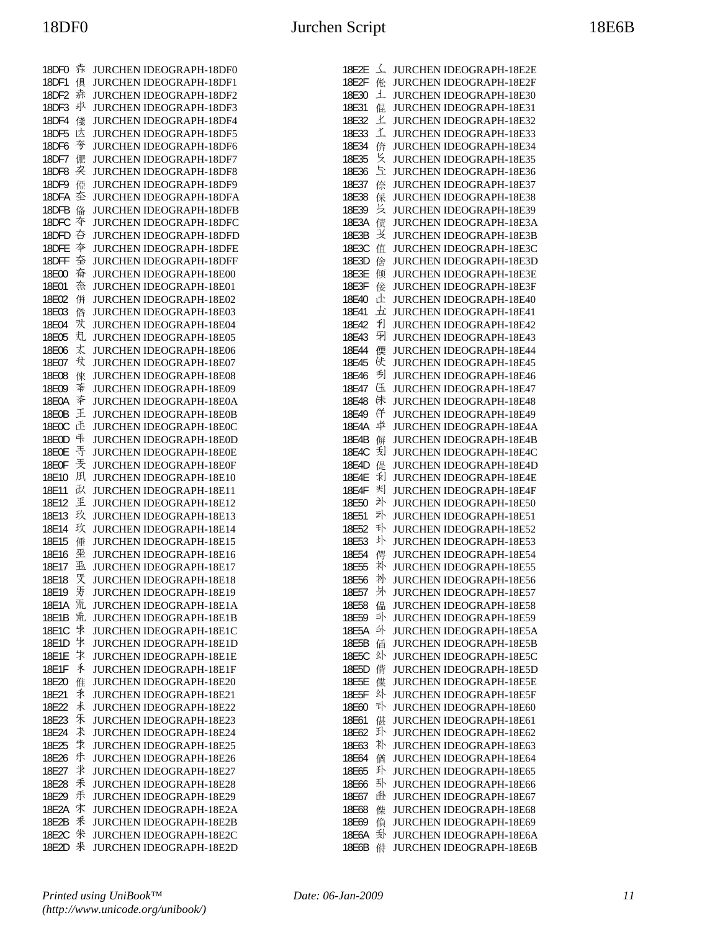| 18DF0        | 疜 | JURCHEN IDEOGRAPH-18DF0        |
|--------------|---|--------------------------------|
| 18DF1        | 俱 | JURCHEN IDEOGRAPH-18DF1        |
| 18DF2        | 赤 | JURCHEN IDEOGRAPH-18DF2        |
| 18DF3        | 求 | JURCHEN IDEOGRAPH-18DF3        |
| 18DF4        | 俴 | JURCHEN IDEOGRAPH-18DF4        |
| 18DF5        | 达 | <b>JURCHEN IDEOGRAPH-18DF5</b> |
| 18DF6        | 夸 | JURCHEN IDEOGRAPH-18DF6        |
| 18DF7        | 俷 | JURCHEN IDEOGRAPH-18DF7        |
| 18DF8        | 朶 | JURCHEN IDEOGRAPH-18DF8        |
| 18DF9        | 俹 | JURCHEN IDEOGRAPH-18DF9        |
| 18DFA        | 圶 | JURCHEN IDEOGRAPH-18DFA        |
| 18DFB        | 俻 | JURCHEN IDEOGRAPH-18DFB        |
| 18DFC        | 夲 | JURCHEN IDEOGRAPH-18DFC        |
| 18DFD        | 夻 | JURCHEN IDEOGRAPH-18DFD        |
| 18DFE        | 夲 | JURCHEN IDEOGRAPH-18DFE        |
| 18DFF        | 夽 | JURCHEN IDEOGRAPH-18DFF        |
| 18E00        | 眘 | JURCHEN IDEOGRAPH-18E00        |
| 18E01        | 奈 | JURCHEN IDEOGRAPH-18E01        |
| 18E02        | 倂 | JURCHEN IDEOGRAPH-18E02        |
| 18E03        | 倃 | JURCHEN IDEOGRAPH-18E03        |
| 18E04        | 犮 | JURCHEN IDEOGRAPH-18E04        |
| 18E05        | 丸 | JURCHEN IDEOGRAPH-18E05        |
| 18E06        | 丈 | JURCHEN IDEOGRAPH-18E06        |
| 18E07        | サ | JURCHEN IDEOGRAPH-18E07        |
| 18E08        | 倈 | JURCHEN IDEOGRAPH-18E08        |
| 18E09        | 紊 | <b>JURCHEN IDEOGRAPH-18E09</b> |
| 18E0A        | 秊 | JURCHEN IDEOGRAPH-18E0A        |
| 18E0B        | 王 | JURCHEN IDEOGRAPH-18E0B        |
| 18E0C        | 正 | JURCHEN IDEOGRAPH-18E0C        |
| 18E0D        | 咔 | JURCHEN IDEOGRAPH-18E0D        |
| <b>18E0E</b> | 手 | JURCHEN IDEOGRAPH-18E0E        |
| <b>18E0F</b> | 秂 | JURCHEN IDEOGRAPH-18E0F        |
| 18E10        | 凤 | JURCHEN IDEOGRAPH-18E10        |
| 18E11        | み | JURCHEN IDEOGRAPH-18E11        |
| 18E12        | 玊 | JURCHEN IDEOGRAPH-18E12        |
| 18E13        | 玫 | JURCHEN IDEOGRAPH-18E13        |
| 18E14        | 玫 | JURCHEN IDEOGRAPH-18E14        |
| 18E15        | 倕 | <b>JURCHEN IDEOGRAPH-18E15</b> |
| 18E16        | 坕 | JURCHEN IDEOGRAPH-18E16        |
| 18E17        | 巠 | JURCHEN IDEOGRAPH-18E17        |
| 18E18        | 烎 | JURCHEN IDEOGRAPH-18E18        |
| 18E19        | 牙 | JURCHEN IDEOGRAPH-18E19        |
| 18E1A        | 氘 | JURCHEN IDEOGRAPH-18E1A        |
| 18E1B        | 巟 | JURCHEN IDEOGRAPH-18E1B        |
| 18E1C        | 孛 | JURCHEN IDEOGRAPH-18E1C        |
| 18E1D        | 牜 | JURCHEN IDEOGRAPH-18E1D        |
| 18E1E        | 才 | JURCHEN IDEOGRAPH-18E1E        |
| 18E1F        | 秉 | <b>JURCHEN IDEOGRAPH-18E1F</b> |
| 18E20        | 倠 | JURCHEN IDEOGRAPH-18E20        |
| 18E21        | 禾 | JURCHEN IDEOGRAPH-18E21        |
| 18E22        | 未 | JURCHEN IDEOGRAPH-18E22        |
| 18E23        | 禾 | JURCHEN IDEOGRAPH-18E23        |
| 18E24        | 术 | JURCHEN IDEOGRAPH-18E24        |
| 18E25        | 求 | JURCHEN IDEOGRAPH-18E25        |
| 18E26        | 尗 | <b>JURCHEN IDEOGRAPH-18E26</b> |
| 18E27        | 求 | JURCHEN IDEOGRAPH-18E27        |
| 18E28        | 禾 | JURCHEN IDEOGRAPH-18E28        |
| 18E29        | 禾 | JURCHEN IDEOGRAPH-18E29        |
| 18E2A        | 宋 | JURCHEN IDEOGRAPH-18E2A        |
| 18E2B        | 釆 | <b>JURCHEN IDEOGRAPH-18E2B</b> |
| 18E2C        | 米 | JURCHEN IDEOGRAPH-18E2C        |
| 18E2D        | 来 | JURCHEN IDEOGRAPH-18E2D        |

| 18E2E          | 소      | JURCHEN IDEOGRAPH-18E2E                            |
|----------------|--------|----------------------------------------------------|
| 18E2F          | 倯      | JURCHEN IDEOGRAPH-18E2F                            |
| 18E30          | 丄      | JURCHEN IDEOGRAPH-18E30                            |
| 18E31          | 倱      | JURCHEN IDEOGRAPH-18E31                            |
| 18E32          | 上      | <b>JURCHEN IDEOGRAPH-18E32</b>                     |
| 18E33          | 芏      | JURCHEN IDEOGRAPH-18E33                            |
| 18E34          | 倴      | JURCHEN IDEOGRAPH-18E34                            |
| 18E35          | 匕      | JURCHEN IDEOGRAPH-18E35                            |
| 18E36          | 彑      | JURCHEN IDEOGRAPH-18E36                            |
| 18E37          | 倷      | JURCHEN IDEOGRAPH-18E37                            |
| 18E38          | 倸      | JURCHEN IDEOGRAPH-18E38                            |
| 18E39          | 攴      | JURCHEN IDEOGRAPH-18E39                            |
| 18E3A          | 债      | JURCHEN IDEOGRAPH-18E3A                            |
| 18E3B          | 乏      | <b>JURCHEN IDEOGRAPH-18E3B</b>                     |
| 18E3C          | 值      | JURCHEN IDEOGRAPH-18E3C                            |
| 18E3D          | 倽      | JURCHEN IDEOGRAPH-18E3D                            |
| 18E3E          | 倾      | JURCHEN IDEOGRAPH-18E3E                            |
| 18E3F          | 倿      | JURCHEN IDEOGRAPH-18E3F                            |
| 18E40          | 止      | JURCHEN IDEOGRAPH-18E40                            |
| 18E41          | 五      | JURCHEN IDEOGRAPH-18E41                            |
| 18E42          | 利      | JURCHEN IDEOGRAPH-18E42                            |
| 18E43          | 羽      | JURCHEN IDEOGRAPH-18E43                            |
| 18E44          | 偄      | JURCHEN IDEOGRAPH-18E44                            |
| 18E45          | 伕      | JURCHEN IDEOGRAPH-18E45                            |
| 18E46          | 刋      | JURCHEN IDEOGRAPH-18E46                            |
| 18E47          | 仼      | JURCHEN IDEOGRAPH-18E47                            |
| 18E48          | 佅      | <b>JURCHEN IDEOGRAPH-18E48</b>                     |
| 18E49          | 伴      | JURCHEN IDEOGRAPH-18E49                            |
| 18E4A          | 卓      | JURCHEN IDEOGRAPH-18E4A                            |
| 18E4B          | 偋      | JURCHEN IDEOGRAPH-18E4B                            |
| 18E4C          | 刮      | JURCHEN IDEOGRAPH-18E4C                            |
| 18E4D          | 偍      | JURCHEN IDEOGRAPH-18E4D                            |
| 18E4E          | 利      | JURCHEN IDEOGRAPH-18E4E                            |
| 18E4F          | 刈      | JURCHEN IDEOGRAPH-18E4F                            |
| 18E50          | 斗      | JURCHEN IDEOGRAPH-18E50                            |
| 18E51          | 卟      | JURCHEN IDEOGRAPH-18E51                            |
| 18E52          | 타      | JURCHEN IDEOGRAPH-18E52                            |
| 18E53          | 圤      | JURCHEN IDEOGRAPH-18E53                            |
| 18E54          | 偔      | JURCHEN IDEOGRAPH-18E54                            |
| 18E55          | 朴      | JURCHEN IDEOGRAPH-18E55                            |
| 18E56          | 朳      | <b>JURCHEN IDEOGRAPH-18E56</b>                     |
| 18E57          | 外      | <b>JURCHEN IDEOGRAPH-18E57</b>                     |
| 18E58          | 偘      | JURCHEN IDEOGRAPH-18E58                            |
| 18E59          | 카      | <b>JURCHEN IDEOGRAPH-18E59</b>                     |
| 18E5A          | 斗      | <b>JURCHEN IDEOGRAPH-18E5A</b>                     |
| 18E5B          | 偛      | JURCHEN IDEOGRAPH-18E5B                            |
| 18E5C          | 外      | JURCHEN IDEOGRAPH-18E5C                            |
| 18E5D          | 偝      | <b>JURCHEN IDEOGRAPH-18E5D</b>                     |
| 18E5E          | 偞      | JURCHEN IDEOGRAPH-18E5E                            |
| 18E5F          | 外      | JURCHEN IDEOGRAPH-18E5F                            |
| 18E60          | 타      | JURCHEN IDEOGRAPH-18E60                            |
| 18E61          | 偡<br>卦 | JURCHEN IDEOGRAPH-18E61                            |
| 18E62          | 朴      | JURCHEN IDEOGRAPH-18E62                            |
| 18E63          |        | JURCHEN IDEOGRAPH-18E63                            |
| 18E64          | 偤<br>卦 | <b>JURCHEN IDEOGRAPH-18E64</b>                     |
| 18E65<br>18E66 | 卦      | JURCHEN IDEOGRAPH-18E65<br>JURCHEN IDEOGRAPH-18E66 |
| 18E67          | 鱼      | JURCHEN IDEOGRAPH-18E67                            |
| 18E68          | 偨      | JURCHEN IDEOGRAPH-18E68                            |
| 18E69          | 偩      | JURCHEN IDEOGRAPH-18E69                            |
| 18E6A          | 卦      | JURCHEN IDEOGRAPH-18E6A                            |
| 18E6B          | 偫      | <b>JURCHEN IDEOGRAPH-18E6B</b>                     |
|                |        |                                                    |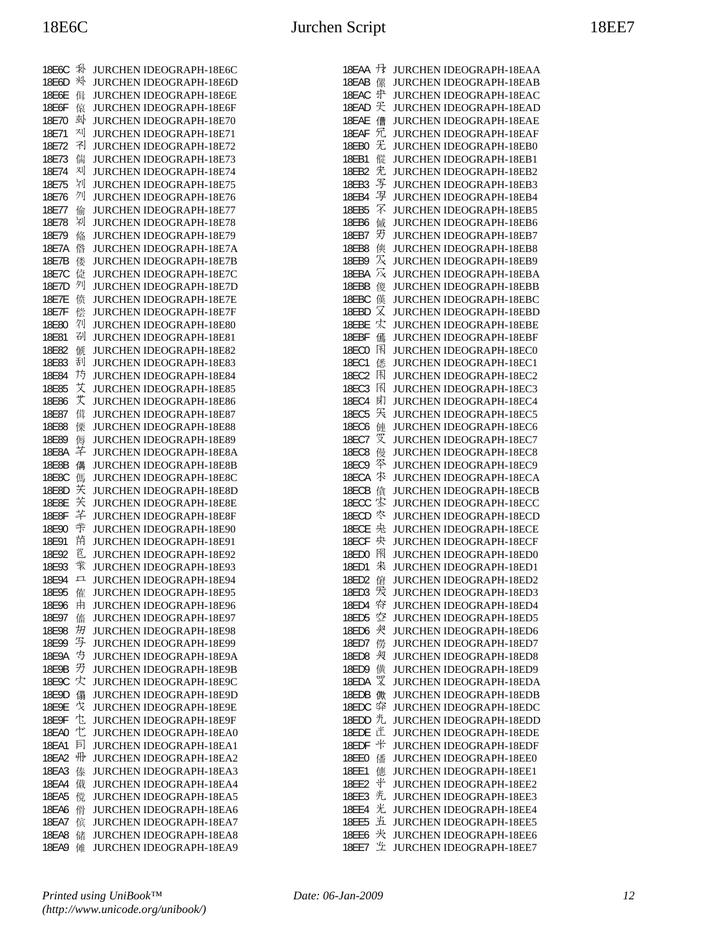| 18E6C        | 乑 | <b>JURCHEN IDEOGRAPH-18E6C</b> |
|--------------|---|--------------------------------|
| 18E6D        | 米 | JURCHEN IDEOGRAPH-18E6D        |
| 18E6E        | 偮 | JURCHEN IDEOGRAPH-18E6E        |
| 18E6F        | 偯 | JURCHEN IDEOGRAPH-18E6F        |
| 18E70        | 邳 | JURCHEN IDEOGRAPH-18E70        |
| 18E71        | 재 | JURCHEN IDEOGRAPH-18E71        |
| 18E72        | 쥐 | JURCHEN IDEOGRAPH-18E72        |
| 18E73        | 偳 | JURCHEN IDEOGRAPH-18E73        |
| 18E74        | 제 | JURCHEN IDEOGRAPH-18E74        |
| 18E75        | 刈 | JURCHEN IDEOGRAPH-18E75        |
| 18E76        | 夘 | JURCHEN IDEOGRAPH-18E76        |
| 18E77        | 偷 | JURCHEN IDEOGRAPH-18E77        |
| 18E78        | 剁 | JURCHEN IDEOGRAPH-18E78        |
| 18E79        | 偹 | JURCHEN IDEOGRAPH-18E79        |
| 18E7A        | 偺 | JURCHEN IDEOGRAPH-18E7A        |
| 18E7B        | 偻 | JURCHEN IDEOGRAPH-18E7B        |
| 18E7C        | 偼 | JURCHEN IDEOGRAPH-18E7C        |
| 18E7D        | 列 | JURCHEN IDEOGRAPH-18E7D        |
| 18E7E        | 偾 | JURCHEN IDEOGRAPH-18E7E        |
| 18E7F        | 偿 | JURCHEN IDEOGRAPH-18E7F        |
| 18E80        | 夘 | JURCHEN IDEOGRAPH-18E80        |
| 18E81        | 刟 | JURCHEN IDEOGRAPH-18E81        |
| 18E82        | 傂 | JURCHEN IDEOGRAPH-18E82        |
| 18E83        | 刮 | JURCHEN IDEOGRAPH-18E83        |
| 18E84        | 芀 | JURCHEN IDEOGRAPH-18E84        |
| 18E85        | 艾 | <b>JURCHEN IDEOGRAPH-18E85</b> |
| 18E86        | 艾 | JURCHEN IDEOGRAPH-18E86        |
| 18E87        | 傇 | JURCHEN IDEOGRAPH-18E87        |
| 18E88        | 傈 | JURCHEN IDEOGRAPH-18E88        |
| 18E89        | 傉 | JURCHEN IDEOGRAPH-18E89        |
| 18E8A        | 芊 | JURCHEN IDEOGRAPH-18E8A        |
| 18E8B        | 傋 | <b>JURCHEN IDEOGRAPH-18E8B</b> |
| 18E8C        | 傌 | <b>JURCHEN IDEOGRAPH-18E8C</b> |
| 18E8D        | 芖 | JURCHEN IDEOGRAPH-18E8D        |
| 18E8E        | 芖 | JURCHEN IDEOGRAPH-18E8E        |
| 18E8F        | 芊 | JURCHEN IDEOGRAPH-18E8F        |
| 18E90        | 芈 | JURCHEN IDEOGRAPH-18E90        |
| 18E91        | 芇 | JURCHEN IDEOGRAPH-18E91        |
| 18E92        | 岜 | JURCHEN IDEOGRAPH-18E92        |
| 18E93        | 業 | JURCHEN IDEOGRAPH-18E93        |
| 18E94        | 口 | JURCHEN IDEOGRAPH-18E94        |
| 18E95        | 傕 | JURCHEN IDEOGRAPH-18E95        |
| 18E96        | 由 | JURCHEN IDEOGRAPH-18E96        |
| 18E97        | 傗 | JURCHEN IDEOGRAPH-18E97        |
| 18E98        | 扨 | JURCHEN IDEOGRAPH-18E98        |
| 18E99        | 写 | JURCHEN IDEOGRAPH-18E99        |
| 18E9A        | 芍 | JURCHEN IDEOGRAPH-18E9A        |
| 18E9B        | 艻 | <b>JURCHEN IDEOGRAPH-18E9B</b> |
| 18E9C        | 灾 | <b>JURCHEN IDEOGRAPH-18E9C</b> |
| 18E9D        | 傝 | JURCHEN IDEOGRAPH-18E9D        |
| 18E9E        | 伩 | <b>JURCHEN IDEOGRAPH-18E9E</b> |
| 18E9F        | 乜 | JURCHEN IDEOGRAPH-18E9F        |
| 18EA0        | 忙 | JURCHEN IDEOGRAPH-18EA0        |
| 18EA1        | 剈 | <b>JURCHEN IDEOGRAPH-18EA1</b> |
| 18EA2        | 卅 | <b>JURCHEN IDEOGRAPH-18EA2</b> |
| 18EA3        | 傣 | <b>JURCHEN IDEOGRAPH-18EA3</b> |
| 18EA4        | 傤 | JURCHEN IDEOGRAPH-18EA4        |
| <b>18EA5</b> | 傥 | JURCHEN IDEOGRAPH-18EA5        |
| 18EA6        | 傦 | <b>JURCHEN IDEOGRAPH-18EA6</b> |
| 18EA7        | 傧 | <b>JURCHEN IDEOGRAPH-18EA7</b> |
| <b>18EA8</b> | 储 | JURCHEN IDEOGRAPH-18EA8        |
| 18EA9        | 傩 | JURCHEN IDEOGRAPH-18EA9        |

| 18EAA        | 母 | <b>JURCHEN IDEOGRAPH-18EAA</b> |
|--------------|---|--------------------------------|
|              |   |                                |
| 18EAB        | 傫 | <b>JURCHEN IDEOGRAPH-18EAB</b> |
| 18EAC        | 中 | <b>JURCHEN IDEOGRAPH-18EAC</b> |
| 18EAD        | 旡 | <b>JURCHEN IDEOGRAPH-18EAD</b> |
|              |   |                                |
| 18EAE        | 傮 | <b>JURCHEN IDEOGRAPH-18EAE</b> |
| 18EAF        | 旡 | <b>JURCHEN IDEOGRAPH-18EAF</b> |
|              | 无 |                                |
| 18EB0        |   | <b>JURCHEN IDEOGRAPH-18EB0</b> |
| 18EB1        | 傱 | <b>JURCHEN IDEOGRAPH-18EB1</b> |
| 18EB2        | 兂 | <b>JURCHEN IDEOGRAPH-18EB2</b> |
|              |   |                                |
| 18EB3        | 写 | <b>JURCHEN IDEOGRAPH-18EB3</b> |
| 18EB4        | 写 | <b>JURCHEN IDEOGRAPH-18EB4</b> |
|              | 罙 |                                |
| 18EB5        |   | <b>JURCHEN IDEOGRAPH-18EB5</b> |
| 18EB6        | 傶 | <b>JURCHEN IDEOGRAPH-18EB6</b> |
| 18EB7        | 刃 | JURCHEN IDEOGRAPH-18EB7        |
|              |   |                                |
| 18EB8        | 傸 | <b>JURCHEN IDEOGRAPH-18EB8</b> |
| 18EB9        | 灭 | <b>JURCHEN IDEOGRAPH-18EB9</b> |
|              | 冗 |                                |
| 18EBA        |   | <b>JURCHEN IDEOGRAPH-18EBA</b> |
| 18EBB        | 傻 | <b>JURCHEN IDEOGRAPH-18EBB</b> |
| 18EBC        | 傼 | <b>JURCHEN IDEOGRAPH-18EBC</b> |
|              |   |                                |
| 18EBD        | 又 | <b>JURCHEN IDEOGRAPH-18EBD</b> |
| 18EBE        | 灾 | <b>JURCHEN IDEOGRAPH-18EBE</b> |
| 18EBF        |   | <b>JURCHEN IDEOGRAPH-18EBF</b> |
|              | 傿 |                                |
| <b>18EC0</b> | 闲 | <b>JURCHEN IDEOGRAPH-18EC0</b> |
| 18EC1        | 僁 | <b>JURCHEN IDEOGRAPH-18EC1</b> |
|              |   |                                |
| <b>18EC2</b> | 闱 | <b>JURCHEN IDEOGRAPH-18EC2</b> |
| <b>18EC3</b> | 闲 | <b>JURCHEN IDEOGRAPH-18EC3</b> |
| <b>18EC4</b> | 甪 | <b>JURCHEN IDEOGRAPH-18EC4</b> |
|              |   |                                |
| <b>18EC5</b> | 天 | <b>JURCHEN IDEOGRAPH-18EC5</b> |
| 18EC6        | 僆 | <b>JURCHEN IDEOGRAPH-18EC6</b> |
| 18EC7        | 贾 | JURCHEN IDEOGRAPH-18EC7        |
|              |   |                                |
| <b>18EC8</b> | 僈 | <b>JURCHEN IDEOGRAPH-18EC8</b> |
| <b>18EC9</b> | 쪽 | <b>JURCHEN IDEOGRAPH-18EC9</b> |
| 18ECA        | 求 | <b>JURCHEN IDEOGRAPH-18ECA</b> |
|              |   |                                |
| 18ECB        | 僋 | <b>JURCHEN IDEOGRAPH-18ECB</b> |
| 18ECC        | 宏 | JURCHEN IDEOGRAPH-18ECC        |
| 18ECD        | 冭 | <b>JURCHEN IDEOGRAPH-18ECD</b> |
|              |   |                                |
| 18ECE        | 央 | <b>JURCHEN IDEOGRAPH-18ECE</b> |
| 18ECF        | 央 | <b>JURCHEN IDEOGRAPH-18ECF</b> |
| 18ED0        | 閇 | <b>JURCHEN IDEOGRAPH-18ED0</b> |
|              |   |                                |
| 18ED1        | 宋 | <b>JURCHEN IDEOGRAPH-18ED1</b> |
| 18ED2        | 僒 | <b>JURCHEN IDEOGRAPH-18ED2</b> |
| 18ED3        | 发 | <b>JURCHEN IDEOGRAPH-18ED3</b> |
|              |   |                                |
| 18ED4        | 符 | <b>JURCHEN IDEOGRAPH-18ED4</b> |
| 18ED5        | 空 | JURCHEN IDEOGRAPH-18ED5        |
| 18ED6        | 宊 | <b>JURCHEN IDEOGRAPH-18ED6</b> |
|              |   |                                |
| 18ED7        | 僗 | JURCHEN IDEOGRAPH-18ED7        |
| 18ED8        | 臾 | <b>JURCHEN IDEOGRAPH-18ED8</b> |
| 18ED9        |   | JURCHEN IDEOGRAPH-18ED9        |
|              | 僙 |                                |
| 18EDA        | 叉 | JURCHEN IDEOGRAPH-18EDA        |
| 18EDB        | 僛 | <b>JURCHEN IDEOGRAPH-18EDB</b> |
|              |   |                                |
| 18EDC        | 弈 | <b>JURCHEN IDEOGRAPH-18EDC</b> |
| 18EDD        | 光 | <b>JURCHEN IDEOGRAPH-18EDD</b> |
| 18EDE        | 迁 | JURCHEN IDEOGRAPH-18EDE        |
|              |   |                                |
| 18EDF        | 半 | JURCHEN IDEOGRAPH-18EDF        |
| 18EE0        | 僠 | JURCHEN IDEOGRAPH-18EE0        |
| 18EE1        | 僡 | JURCHEN IDEOGRAPH-18EE1        |
|              |   |                                |
| 18EE2        | 卝 | JURCHEN IDEOGRAPH-18EE2        |
| 18EE3        | 光 | <b>JURCHEN IDEOGRAPH-18EE3</b> |
|              | 光 |                                |
| 18EE4        |   | JURCHEN IDEOGRAPH-18EE4        |
| <b>18EE5</b> | 光 | JURCHEN IDEOGRAPH-18EE5        |
| <b>18EE6</b> | 米 | JURCHEN IDEOGRAPH-18EE6        |
| 18EE7        | 坐 | JURCHEN IDEOGRAPH-18EE7        |
|              |   |                                |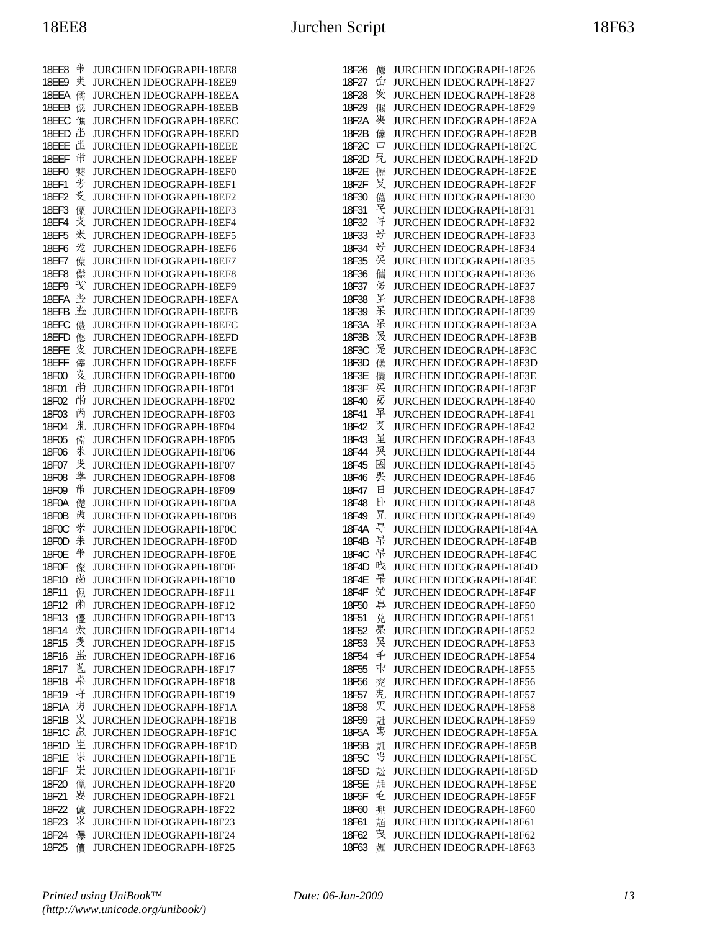| 18EE8          | 半      | JURCHEN IDEOGRAPH-18EE8                                   |
|----------------|--------|-----------------------------------------------------------|
| 18EE9          | 关      | JURCHEN IDEOGRAPH-18EE9                                   |
| 18EEA          | 僪      | JURCHEN IDEOGRAPH-18EEA                                   |
| 18EEB          | 僫      | <b>JURCHEN IDEOGRAPH-18EEB</b>                            |
| 18EEC          | 僬      | JURCHEN IDEOGRAPH-18EEC                                   |
| 18EED          | 出      | JURCHEN IDEOGRAPH-18EED                                   |
| 18EEE          | 迷      | <b>JURCHEN IDEOGRAPH-18EEE</b>                            |
| 18EEF          | 芇      | JURCHEN IDEOGRAPH-18EEF                                   |
| 18EF0<br>18EF1 | 僰<br>芳 | JURCHEN IDEOGRAPH-18EF0                                   |
| 18EF2          | 芰      | JURCHEN IDEOGRAPH-18EF1<br>JURCHEN IDEOGRAPH-18EF2        |
| 18EF3          | 傈      | JURCHEN IDEOGRAPH-18EF3                                   |
| 18EF4          | 芠      | JURCHEN IDEOGRAPH-18EF4                                   |
| 18EF5          | 米      | JURCHEN IDEOGRAPH-18EF5                                   |
| 18EF6          | 光      | JURCHEN IDEOGRAPH-18EF6                                   |
| 18EF7          | 僷      | JURCHEN IDEOGRAPH-18EF7                                   |
| 18EF8          | 僸      | JURCHEN IDEOGRAPH-18EF8                                   |
| 18EF9          | 弋      | JURCHEN IDEOGRAPH-18EF9                                   |
| 18EFA          | 当      | JURCHEN IDEOGRAPH-18EFA                                   |
| 18EFB          | 光      | <b>JURCHEN IDEOGRAPH-18EFB</b>                            |
| 18EFC          | 僼      | JURCHEN IDEOGRAPH-18EFC                                   |
| 18EFD          | 僽      | JURCHEN IDEOGRAPH-18EFD                                   |
| 18EFE          | 发      | JURCHEN IDEOGRAPH-18EFE                                   |
| 18EFF          | 僿      | JURCHEN IDEOGRAPH-18EFF                                   |
| 18F00          | 岌      | JURCHEN IDEOGRAPH-18F00                                   |
| 18F01          | 尚      | JURCHEN IDEOGRAPH-18F01                                   |
| 18F02          | 尚      | JURCHEN IDEOGRAPH-18F02                                   |
| 18F03          | 芮<br>鼡 | JURCHEN IDEOGRAPH-18F03                                   |
| 18F04<br>18F05 | 儅      | JURCHEN IDEOGRAPH-18F04<br>JURCHEN IDEOGRAPH-18F05        |
| 18F06          | 米      | JURCHEN IDEOGRAPH-18F06                                   |
| 18F07          | 戋      | JURCHEN IDEOGRAPH-18F07                                   |
| 18F08          | 学      | <b>JURCHEN IDEOGRAPH-18F08</b>                            |
| 18F09          | 耑      | JURCHEN IDEOGRAPH-18F09                                   |
| 18F0A          | 儊      | JURCHEN IDEOGRAPH-18F0A                                   |
| 18F0B          | 羙      | JURCHEN IDEOGRAPH-18F0B                                   |
| 18F0C          | 米      | JURCHEN IDEOGRAPH-18F0C                                   |
| 18F0D          | 米      | JURCHEN IDEOGRAPH-18F0D                                   |
| 18F0E          | 半      | JURCHEN IDEOGRAPH-18F0E                                   |
| 18F0F          | 儏      | JURCHEN IDEOGRAPH-18F0F                                   |
| 18F10          | 尚      | JURCHEN IDEOGRAPH-18F10                                   |
| 18F11          | 儑      | <b>JURCHEN IDEOGRAPH-18F11</b>                            |
| 18F12          | 闲      | <b>JURCHEN IDEOGRAPH-18F12</b>                            |
| 18F13          | 儓      | <b>JURCHEN IDEOGRAPH-18F13</b>                            |
| 18F14          | 犬<br>羑 | JURCHEN IDEOGRAPH-18F14                                   |
| 18F15<br>18F16 | 蚩      | JURCHEN IDEOGRAPH-18F15<br><b>JURCHEN IDEOGRAPH-18F16</b> |
| 18F17          | 邕      | <b>JURCHEN IDEOGRAPH-18F17</b>                            |
| 18F18          | 岸      | <b>JURCHEN IDEOGRAPH-18F18</b>                            |
| 18F19          | 守      | JURCHEN IDEOGRAPH-18F19                                   |
| 18F1A          | 屴      | <b>JURCHEN IDEOGRAPH-18F1A</b>                            |
| 18F1B          | 义      | JURCHEN IDEOGRAPH-18F1B                                   |
| 18F1C          | 厽      | <b>JURCHEN IDEOGRAPH-18F1C</b>                            |
| 18F1D          | 坣      | JURCHEN IDEOGRAPH-18F1D                                   |
| 18F1E          | 汖      | JURCHEN IDEOGRAPH-18F1E                                   |
| 18F1F          | 汖      | JURCHEN IDEOGRAPH-18F1F                                   |
| 18F20          | 儠      | <b>JURCHEN IDEOGRAPH-18F20</b>                            |
| 18F21          | 岁      | <b>JURCHEN IDEOGRAPH-18F21</b>                            |
| 18F22          | 儢      | <b>JURCHEN IDEOGRAPH-18F22</b>                            |
| 18F23          | 峑      | <b>JURCHEN IDEOGRAPH-18F23</b>                            |
| 18F24          | 儤      | <b>JURCHEN IDEOGRAPH-18F24</b>                            |
| 18F25          | 儥      | JURCHEN IDEOGRAPH-18F25                                   |

| 18F26 | 儦 | <b>JURCHEN IDEOGRAPH-18F26</b> |
|-------|---|--------------------------------|
| 18F27 | 仚 | <b>JURCHEN IDEOGRAPH-18F27</b> |
| 18F28 | 炭 | <b>JURCHEN IDEOGRAPH-18F28</b> |
| 18F29 | 儩 | JURCHEN IDEOGRAPH-18F29        |
| 18F2A | 英 | JURCHEN IDEOGRAPH-18F2A        |
| 18F2B | 儫 | JURCHEN IDEOGRAPH-18F2B        |
| 18F2C | □ | JURCHEN IDEOGRAPH-18F2C        |
| 18F2D | 兄 | JURCHEN IDEOGRAPH-18F2D        |
| 18F2E | 儮 | <b>JURCHEN IDEOGRAPH-18F2E</b> |
| 18F2F | 뮷 | <b>JURCHEN IDEOGRAPH-18F2F</b> |
| 18F30 | 儰 | JURCHEN IDEOGRAPH-18F30        |
| 18F31 | 宅 | JURCHEN IDEOGRAPH-18F31        |
| 18F32 | 导 | JURCHEN IDEOGRAPH-18F32        |
| 18F33 | 号 | <b>JURCHEN IDEOGRAPH-18F33</b> |
| 18F34 | 号 | <b>JURCHEN IDEOGRAPH-18F34</b> |
| 18F35 | 旲 | JURCHEN IDEOGRAPH-18F35        |
| 18F36 | 儶 | <b>JURCHEN IDEOGRAPH-18F36</b> |
| 18F37 | 另 | JURCHEN IDEOGRAPH-18F37        |
| 18F38 | 呈 | JURCHEN IDEOGRAPH-18F38        |
| 18F39 | 呆 | JURCHEN IDEOGRAPH-18F39        |
| 18F3A | 呆 | JURCHEN IDEOGRAPH-18F3A        |
| 18F3B | 叐 | <b>JURCHEN IDEOGRAPH-18F3B</b> |
| 18F3C | 旡 | JURCHEN IDEOGRAPH-18F3C        |
| 18F3D | 儽 | <b>JURCHEN IDEOGRAPH-18F3D</b> |
| 18F3E | 儾 | <b>JURCHEN IDEOGRAPH-18F3E</b> |
| 18F3F | 戻 | JURCHEN IDEOGRAPH-18F3F        |
| 18F40 | 易 | JURCHEN IDEOGRAPH-18F40        |
| 18F41 | 早 | JURCHEN IDEOGRAPH-18F41        |
| 18F42 | 焽 | JURCHEN IDEOGRAPH-18F42        |
| 18F43 | 显 | <b>JURCHEN IDEOGRAPH-18F43</b> |
| 18F44 | 旲 | <b>JURCHEN IDEOGRAPH-18F44</b> |
| 18F45 | 囷 | JURCHEN IDEOGRAPH-18F45        |
| 18F46 | 鴞 | <b>JURCHEN IDEOGRAPH-18F46</b> |
| 18F47 | 日 | JURCHEN IDEOGRAPH-18F47        |
| 18F48 | 日 | <b>JURCHEN IDEOGRAPH-18F48</b> |
| 18F49 | 兄 | <b>JURCHEN IDEOGRAPH-18F49</b> |
| 18F4A | 寻 | JURCHEN IDEOGRAPH-18F4A        |
| 18F4B | 早 | <b>JURCHEN IDEOGRAPH-18F4B</b> |
| 18F4C | 早 | <b>JURCHEN IDEOGRAPH-18F4C</b> |
| 18F4D | 旼 | JURCHEN IDEOGRAPH-18F4D        |
| 18F4E | 롞 | <b>JURCHEN IDEOGRAPH-18F4E</b> |
| 18F4F | 旡 | <b>JURCHEN IDEOGRAPH-18F4F</b> |
| 18F50 | 亭 | <b>JURCHEN IDEOGRAPH-18F50</b> |
| 18F51 | 兑 | JURCHEN IDEOGRAPH-18F51        |
| 18F52 | 晃 | JURCHEN IDEOGRAPH-18F52        |
| 18F53 | 晃 | JURCHEN IDEOGRAPH-18F53        |
| 18F54 | 中 | <b>JURCHEN IDEOGRAPH-18F54</b> |
| 18F55 | 中 | <b>JURCHEN IDEOGRAPH-18F55</b> |
| 18F56 | 兖 | <b>JURCHEN IDEOGRAPH-18F56</b> |
| 18F57 | 兂 | JURCHEN IDEOGRAPH-18F57        |
| 18F58 | 焸 | <b>JURCHEN IDEOGRAPH-18F58</b> |
| 18F59 | 兙 | JURCHEN IDEOGRAPH-18F59        |
| 18F5A | 甹 | JURCHEN IDEOGRAPH-18F5A        |
| 18F5B | 兛 | <b>JURCHEN IDEOGRAPH-18F5B</b> |
| 18F5C | 丐 | <b>JURCHEN IDEOGRAPH-18F5C</b> |
| 18F5D | 兝 | <b>JURCHEN IDEOGRAPH-18F5D</b> |
| 18F5E | 兞 | JURCHEN IDEOGRAPH-18F5E        |
| 18F5F | 毛 | JURCHEN IDEOGRAPH-18F5F        |
| 18F60 | 兠 | JURCHEN IDEOGRAPH-18F60        |
| 18F61 | 兡 | <b>JURCHEN IDEOGRAPH-18F61</b> |
| 18F62 | 曳 | JURCHEN IDEOGRAPH-18F62        |
| 18F63 | 兣 | JURCHEN IDEOGRAPH-18F63        |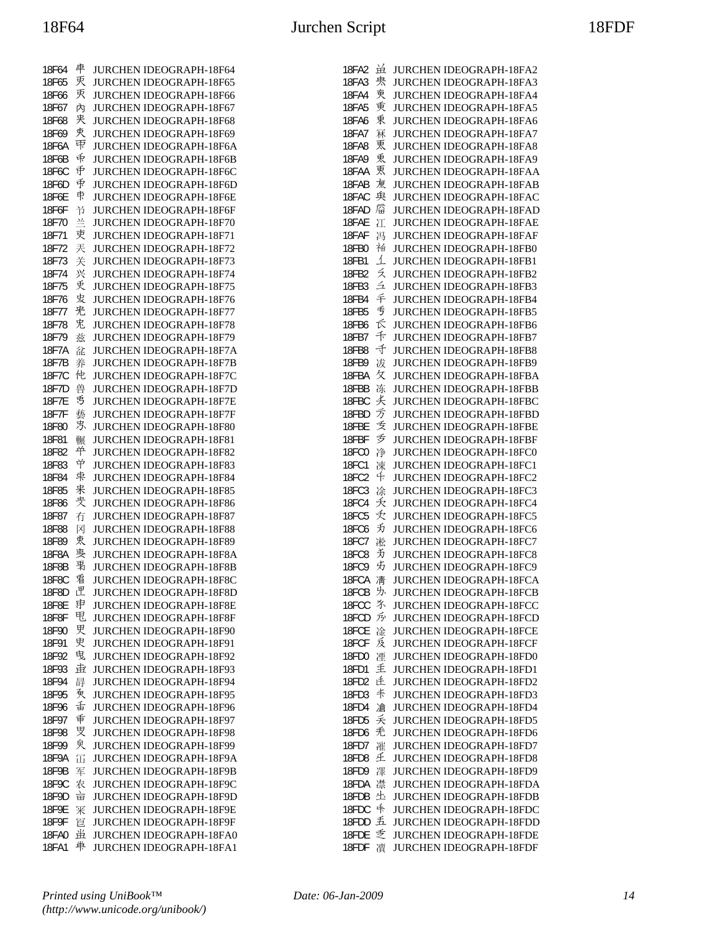| 18F64        | 車 | JURCHEN IDEOGRAPH-18F64        |
|--------------|---|--------------------------------|
| 18F65        | 灭 | JURCHEN IDEOGRAPH-18F65        |
|              | 灭 |                                |
| 18F66        |   | <b>JURCHEN IDEOGRAPH-18F66</b> |
| 18F67        | 內 | <b>JURCHEN IDEOGRAPH-18F67</b> |
| 18F68        | 夹 | JURCHEN IDEOGRAPH-18F68        |
| 18F69        | 夾 | JURCHEN IDEOGRAPH-18F69        |
| 18F6A        | 曱 | JURCHEN IDEOGRAPH-18F6A        |
|              |   |                                |
| 18F6B        | 币 | <b>JURCHEN IDEOGRAPH-18F6B</b> |
| 18F6C        | 币 | JURCHEN IDEOGRAPH-18F6C        |
| 18F6D        | 手 | JURCHEN IDEOGRAPH-18F6D        |
| 18F6E        | 束 | <b>JURCHEN IDEOGRAPH-18F6E</b> |
| 18F6F        | 兯 | <b>JURCHEN IDEOGRAPH-18F6F</b> |
|              |   |                                |
| 18F70        | 兰 | <b>JURCHEN IDEOGRAPH-18F70</b> |
| 18F71        | 吏 | JURCHEN IDEOGRAPH-18F71        |
| 18F72        | 兲 | JURCHEN IDEOGRAPH-18F72        |
| 18F73        | 关 | JURCHEN IDEOGRAPH-18F73        |
| 18F74        | 兴 | JURCHEN IDEOGRAPH-18F74        |
| 18F75        | 更 | <b>JURCHEN IDEOGRAPH-18F75</b> |
|              |   |                                |
| 18F76        | 叏 | JURCHEN IDEOGRAPH-18F76        |
| 18F77        | 兂 | JURCHEN IDEOGRAPH-18F77        |
| 18F78        | 兂 | <b>JURCHEN IDEOGRAPH-18F78</b> |
| 18F79        | 兹 | JURCHEN IDEOGRAPH-18F79        |
| 18F7A        |   | <b>JURCHEN IDEOGRAPH-18F7A</b> |
|              | 兺 |                                |
| 18F7B        | 养 | JURCHEN IDEOGRAPH-18F7B        |
| 18F7C        | 他 | <b>JURCHEN IDEOGRAPH-18F7C</b> |
| 18F7D        | 兽 | JURCHEN IDEOGRAPH-18F7D        |
| 18F7E        | 丐 | JURCHEN IDEOGRAPH-18F7E        |
| 18F7F        | 藝 | JURCHEN IDEOGRAPH-18F7F        |
|              | 屶 |                                |
| 18F80        |   | <b>JURCHEN IDEOGRAPH-18F80</b> |
| 18F81        | 冁 | JURCHEN IDEOGRAPH-18F81        |
| 18F82        | 单 | JURCHEN IDEOGRAPH-18F82        |
| 18F83        | 兯 | JURCHEN IDEOGRAPH-18F83        |
| 18F84        | 束 | JURCHEN IDEOGRAPH-18F84        |
| 18F85        | 来 | <b>JURCHEN IDEOGRAPH-18F85</b> |
|              | 叏 |                                |
| 18F86        |   | <b>JURCHEN IDEOGRAPH-18F86</b> |
| 18F87        | 冇 | <b>JURCHEN IDEOGRAPH-18F87</b> |
| 18F88        | 冈 | JURCHEN IDEOGRAPH-18F88        |
| 18F89        | 衷 | JURCHEN IDEOGRAPH-18F89        |
| 18F8A        | 夷 | <b>JURCHEN IDEOGRAPH-18F8A</b> |
| 18F8B        | 禹 | <b>JURCHEN IDEOGRAPH-18F8B</b> |
|              | 看 |                                |
| 18F8C        |   | <b>JURCHEN IDEOGRAPH-18F8C</b> |
| 18F8D        | 匣 | <b>JURCHEN IDEOGRAPH-18F8D</b> |
| 18F8E        | 申 | JURCHEN IDEOGRAPH-18F8E        |
| <b>18F8F</b> | 甩 | JURCHEN IDEOGRAPH-18F8F        |
| 18F90        | 更 | <b>JURCHEN IDEOGRAPH-18F90</b> |
| 18F91        | 史 | JURCHEN IDEOGRAPH-18F91        |
| 18F92        | 曳 |                                |
|              |   | JURCHEN IDEOGRAPH-18F92        |
| 18F93        | 垚 | JURCHEN IDEOGRAPH-18F93        |
| 18F94        | 冔 | <b>JURCHEN IDEOGRAPH-18F94</b> |
| 18F95        | 氡 | <b>JURCHEN IDEOGRAPH-18F95</b> |
| 18F96        | 舌 | JURCHEN IDEOGRAPH-18F96        |
| 18F97        | 重 | <b>JURCHEN IDEOGRAPH-18F97</b> |
|              | 罗 |                                |
| 18F98        |   | <b>JURCHEN IDEOGRAPH-18F98</b> |
| 18F99        | 臾 | JURCHEN IDEOGRAPH-18F99        |
| 18F9A        | 冚 | JURCHEN IDEOGRAPH-18F9A        |
| 18F9B        | 军 | JURCHEN IDEOGRAPH-18F9B        |
| 18F9C        | 农 | JURCHEN IDEOGRAPH-18F9C        |
| 18F9D        | 늡 | JURCHEN IDEOGRAPH-18F9D        |
|              |   |                                |
| 18F9E        | 冞 | JURCHEN IDEOGRAPH-18F9E        |
| 18F9F        | 冟 | JURCHEN IDEOGRAPH-18F9F        |
| <b>18FA0</b> | 畄 | JURCHEN IDEOGRAPH-18FA0        |
| 18FA1        | 単 | JURCHEN IDEOGRAPH-18FA1        |

| 18FA2          | 畄      | <b>JURCHEN IDEOGRAPH-18FA2</b>                     |
|----------------|--------|----------------------------------------------------|
| 18FA3          | 泉      | <b>JURCHEN IDEOGRAPH-18FA3</b>                     |
| 18FA4          | 叀      | <b>JURCHEN IDEOGRAPH-18FA4</b>                     |
| 18FA5          | 重      | <b>JURCHEN IDEOGRAPH-18FA5</b>                     |
| 18FA6          | 東      | <b>JURCHEN IDEOGRAPH-18FA6</b>                     |
| <b>18FA7</b>   | 冧      | <b>JURCHEN IDEOGRAPH-18FA7</b>                     |
| <b>18FA8</b>   | 更      | JURCHEN IDEOGRAPH-18FA8                            |
|                | 兎      |                                                    |
| 18FA9          |        | JURCHEN IDEOGRAPH-18FA9                            |
| 18FAA          | 更      | <b>JURCHEN IDEOGRAPH-18FAA</b>                     |
| 18FAB          | 東      | <b>JURCHEN IDEOGRAPH-18FAB</b>                     |
| 18FAC          | 臾      | <b>JURCHEN IDEOGRAPH-18FAC</b>                     |
| 18FAD          | 庿      | <b>JURCHEN IDEOGRAPH-18FAD</b>                     |
| 18FAE          | 江      | JURCHEN IDEOGRAPH-18FAE                            |
| 18FAF          | 冯      | <b>JURCHEN IDEOGRAPH-18FAF</b>                     |
| 18FB0          | 袖      | <b>JURCHEN IDEOGRAPH-18FB0</b>                     |
| 18FB1          | 1      | <b>JURCHEN IDEOGRAPH-18FB1</b>                     |
| 18FB2          | 彡      | <b>JURCHEN IDEOGRAPH-18FB2</b>                     |
| 18FB3          | 彑      | JURCHEN IDEOGRAPH-18FB3                            |
| 18FB4          | 手      | <b>JURCHEN IDEOGRAPH-18FB4</b>                     |
| 18FB5          | 亐      | <b>JURCHEN IDEOGRAPH-18FB5</b>                     |
| 18FB6          | 长      | <b>JURCHEN IDEOGRAPH-18FB6</b>                     |
| 18FB7          | 千      | <b>JURCHEN IDEOGRAPH-18FB7</b>                     |
| <b>18FB8</b>   | 千      | JURCHEN IDEOGRAPH-18FB8                            |
| 18FB9          | 冹      | <b>JURCHEN IDEOGRAPH-18FB9</b>                     |
| 18FBA          | 攵      | <b>JURCHEN IDEOGRAPH-18FBA</b>                     |
| 18FBB          | 冻      | <b>JURCHEN IDEOGRAPH-18FBB</b>                     |
| 18FBC          | 夭      | <b>JURCHEN IDEOGRAPH-18FBC</b>                     |
| 18FBD          | 万      | JURCHEN IDEOGRAPH-18FBD                            |
| 18FBE          | 叐      | JURCHEN IDEOGRAPH-18FBE                            |
| 18FBF          | 亏      | <b>JURCHEN IDEOGRAPH-18FBF</b>                     |
| <b>18FC0</b>   | 净      | <b>JURCHEN IDEOGRAPH-18FC0</b>                     |
| 18FC1          | 凁      | <b>JURCHEN IDEOGRAPH-18FC1</b>                     |
| <b>18FC2</b>   | 仟      | <b>JURCHEN IDEOGRAPH-18FC2</b>                     |
| 18FC3          | 凃      | <b>JURCHEN IDEOGRAPH-18FC3</b>                     |
| <b>18FC4</b>   | 夭      | <b>JURCHEN IDEOGRAPH-18FC4</b>                     |
| <b>18FC5</b>   | 夭      | <b>JURCHEN IDEOGRAPH-18FC5</b>                     |
| <b>18FC6</b>   | 刃      | <b>JURCHEN IDEOGRAPH-18FC6</b>                     |
| 18FC7          | 凇      | JURCHEN IDEOGRAPH-18FC7                            |
| <b>18FC8</b>   | 艻      | JURCHEN IDEOGRAPH-18FC8                            |
| <b>18FC9</b>   | 艻      | JURCHEN IDEOGRAPH-18FC9                            |
| 18FCA          | 淸      | <b>JURCHEN IDEOGRAPH-18FCA</b>                     |
|                |        |                                                    |
| 18FCB<br>18FCC | ガ<br>氺 | JURCHEN IDEOGRAPH-18FCB<br>JURCHEN IDEOGRAPH-18FCC |
| 18FCD          | 夃      | <b>JURCHEN IDEOGRAPH-18FCD</b>                     |
| 18FCE          | 凎      | <b>JURCHEN IDEOGRAPH-18FCE</b>                     |
| 18FCF          | 反      | <b>JURCHEN IDEOGRAPH-18FCF</b>                     |
| 18FD0          |        | <b>JURCHEN IDEOGRAPH-18FD0</b>                     |
|                | 湮<br>丢 |                                                    |
| 18FD1          | 连      | JURCHEN IDEOGRAPH-18FD1                            |
| 18FD2          | 丰      | JURCHEN IDEOGRAPH-18FD2                            |
| 18FD3          |        | JURCHEN IDEOGRAPH-18FD3                            |
| 18FD4          | 凔      | <b>JURCHEN IDEOGRAPH-18FD4</b>                     |
| 18FD5          | 夭      | JURCHEN IDEOGRAPH-18FD5                            |
| 18FD6          | 禿      | <b>JURCHEN IDEOGRAPH-18FD6</b>                     |
| 18FD7          | 凗      | JURCHEN IDEOGRAPH-18FD7                            |
| 18FD8          | 巫      | JURCHEN IDEOGRAPH-18FD8                            |
| 18FD9          | 凙      | <b>JURCHEN IDEOGRAPH-18FD9</b>                     |
| 18FDA          | 凚      | <b>JURCHEN IDEOGRAPH-18FDA</b>                     |
| 18FDB          | 圡      | <b>JURCHEN IDEOGRAPH-18FDB</b>                     |
| 18FDC          | 仹      | JURCHEN IDEOGRAPH-18FDC                            |
| 18FDD          | 五      | JURCHEN IDEOGRAPH-18FDD                            |
| 18FDE          | 乏      | JURCHEN IDEOGRAPH-18FDE                            |
| 18FDF          | 瀆      | <b>JURCHEN IDEOGRAPH-18FDF</b>                     |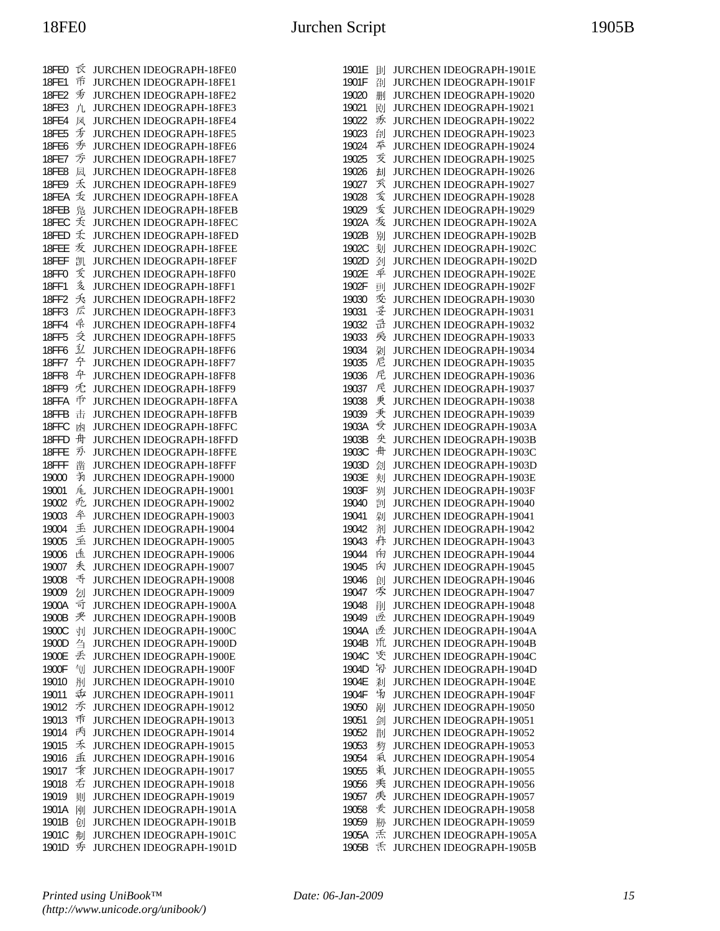| 反<br><b>18FE0</b><br>JURCHEN IDEOGRAPH-18FE0<br>币<br>18FE1<br>JURCHEN IDEOGRAPH-18FE1<br>叐<br>18FE2<br>JURCHEN IDEOGRAPH-18FE2<br>18FE3<br>凣<br>JURCHEN IDEOGRAPH-18FE3<br>18FE4<br>JURCHEN IDEOGRAPH-18FE4<br>凤<br>叐<br>JURCHEN IDEOGRAPH-18FE5<br>18FE5<br>叐<br>18FE6<br><b>JURCHEN IDEOGRAPH-18FE6</b><br>万<br>18FE7<br>JURCHEN IDEOGRAPH-18FE7<br><b>JURCHEN IDEOGRAPH-18FE8</b><br><b>18FE8</b><br>凨<br>禾<br>18FE9<br>JURCHEN IDEOGRAPH-18FE9<br>叐<br><b>JURCHEN IDEOGRAPH-18FEA</b><br>18FEA<br>凫<br><b>JURCHEN IDEOGRAPH-18FEB</b><br>18FEB<br>夭<br>18FEC<br><b>JURCHEN IDEOGRAPH-18FEC</b><br>夭<br>18FED<br>JURCHEN IDEOGRAPH-18FED<br>叐<br>18FEE<br><b>JURCHEN IDEOGRAPH-18FEE</b><br>18FEF<br>凯<br>JURCHEN IDEOGRAPH-18FEF<br>叐<br>18FF0<br>JURCHEN IDEOGRAPH-18FF0<br>亥<br>18FF1<br><b>JURCHEN IDEOGRAPH-18FF1</b><br>夭<br>18FF2<br><b>JURCHEN IDEOGRAPH-18FF2</b><br>広<br>18FF3<br>JURCHEN IDEOGRAPH-18FF3<br>异<br>18FF4<br>JURCHEN IDEOGRAPH-18FF4<br>乏<br>JURCHEN IDEOGRAPH-18FF5<br>18FF5<br>丒<br><b>18FF6</b><br><b>JURCHEN IDEOGRAPH-18FF6</b><br>宁<br>18FF7<br><b>JURCHEN IDEOGRAPH-18FF7</b><br>平<br><b>18FF8</b><br><b>JURCHEN IDEOGRAPH-18FF8</b><br>兂<br>18FF9<br>JURCHEN IDEOGRAPH-18FF9<br>币<br>JURCHEN IDEOGRAPH-18FFA<br>18FFA<br>18FFB<br>击<br><b>JURCHEN IDEOGRAPH-18FFB</b><br>18FFC<br>JURCHEN IDEOGRAPH-18FFC<br>凼<br>舟<br>18FFD<br><b>JURCHEN IDEOGRAPH-18FFD</b><br>刃<br>18FFE<br><b>JURCHEN IDEOGRAPH-18FFE</b><br>18FFF<br>凿<br><b>JURCHEN IDEOGRAPH-18FFF</b><br>靑<br>19000<br>JURCHEN IDEOGRAPH-19000<br>兎<br>19001<br>JURCHEN IDEOGRAPH-19001<br>无<br>19002<br>JURCHEN IDEOGRAPH-19002<br>夅<br>19003<br>JURCHEN IDEOGRAPH-19003<br>丢<br>19004<br><b>JURCHEN IDEOGRAPH-19004</b><br>重<br>JURCHEN IDEOGRAPH-19005<br>19005<br>违<br>19006<br><b>JURCHEN IDEOGRAPH-19006</b><br>秃<br>19007<br>JURCHEN IDEOGRAPH-19007<br>乕<br>19008<br><b>JURCHEN IDEOGRAPH-19008</b><br>JURCHEN IDEOGRAPH-19009<br>19009<br>刉<br>可<br>1900A<br><b>JURCHEN IDEOGRAPH-1900A</b><br>夹<br>1900B<br><b>JURCHEN IDEOGRAPH-1900B</b><br>1900C<br>JURCHEN IDEOGRAPH-1900C<br>刌<br>刍<br><b>JURCHEN IDEOGRAPH-1900D</b><br>1900D<br>丢<br>JURCHEN IDEOGRAPH-1900E<br>1900E<br>1900F<br>刏<br>JURCHEN IDEOGRAPH-1900F<br>刐<br>19010<br><b>JURCHEN IDEOGRAPH-19010</b><br>屯<br>19011<br>JURCHEN IDEOGRAPH-19011<br>禾<br>19012<br>JURCHEN IDEOGRAPH-19012<br>币<br>19013<br>JURCHEN IDEOGRAPH-19013<br>丙<br>19014<br><b>JURCHEN IDEOGRAPH-19014</b><br>禾<br>19015<br>JURCHEN IDEOGRAPH-19015<br>孟<br>JURCHEN IDEOGRAPH-19016<br>19016<br>乖<br>19017<br>JURCHEN IDEOGRAPH-19017<br>右<br>19018<br>JURCHEN IDEOGRAPH-19018<br>19019<br>JURCHEN IDEOGRAPH-19019<br>则<br>1901A<br>刚<br>JURCHEN IDEOGRAPH-1901A<br>1901B<br>创<br>JURCHEN IDEOGRAPH-1901B<br>1901C<br>刜<br>JURCHEN IDEOGRAPH-1901C<br>秀<br>1901D |  |                         |
|--------------------------------------------------------------------------------------------------------------------------------------------------------------------------------------------------------------------------------------------------------------------------------------------------------------------------------------------------------------------------------------------------------------------------------------------------------------------------------------------------------------------------------------------------------------------------------------------------------------------------------------------------------------------------------------------------------------------------------------------------------------------------------------------------------------------------------------------------------------------------------------------------------------------------------------------------------------------------------------------------------------------------------------------------------------------------------------------------------------------------------------------------------------------------------------------------------------------------------------------------------------------------------------------------------------------------------------------------------------------------------------------------------------------------------------------------------------------------------------------------------------------------------------------------------------------------------------------------------------------------------------------------------------------------------------------------------------------------------------------------------------------------------------------------------------------------------------------------------------------------------------------------------------------------------------------------------------------------------------------------------------------------------------------------------------------------------------------------------------------------------------------------------------------------------------------------------------------------------------------------------------------------------------------------------------------------------------------------------------------------------------------------------------------------------------------------------------------------------------------------------------------------------------------------------------------------------------------------------------------------------------------------------------------------------------------------------------------------------------------------------------------------------------------------------------|--|-------------------------|
|                                                                                                                                                                                                                                                                                                                                                                                                                                                                                                                                                                                                                                                                                                                                                                                                                                                                                                                                                                                                                                                                                                                                                                                                                                                                                                                                                                                                                                                                                                                                                                                                                                                                                                                                                                                                                                                                                                                                                                                                                                                                                                                                                                                                                                                                                                                                                                                                                                                                                                                                                                                                                                                                                                                                                                                                              |  |                         |
|                                                                                                                                                                                                                                                                                                                                                                                                                                                                                                                                                                                                                                                                                                                                                                                                                                                                                                                                                                                                                                                                                                                                                                                                                                                                                                                                                                                                                                                                                                                                                                                                                                                                                                                                                                                                                                                                                                                                                                                                                                                                                                                                                                                                                                                                                                                                                                                                                                                                                                                                                                                                                                                                                                                                                                                                              |  |                         |
|                                                                                                                                                                                                                                                                                                                                                                                                                                                                                                                                                                                                                                                                                                                                                                                                                                                                                                                                                                                                                                                                                                                                                                                                                                                                                                                                                                                                                                                                                                                                                                                                                                                                                                                                                                                                                                                                                                                                                                                                                                                                                                                                                                                                                                                                                                                                                                                                                                                                                                                                                                                                                                                                                                                                                                                                              |  |                         |
|                                                                                                                                                                                                                                                                                                                                                                                                                                                                                                                                                                                                                                                                                                                                                                                                                                                                                                                                                                                                                                                                                                                                                                                                                                                                                                                                                                                                                                                                                                                                                                                                                                                                                                                                                                                                                                                                                                                                                                                                                                                                                                                                                                                                                                                                                                                                                                                                                                                                                                                                                                                                                                                                                                                                                                                                              |  |                         |
|                                                                                                                                                                                                                                                                                                                                                                                                                                                                                                                                                                                                                                                                                                                                                                                                                                                                                                                                                                                                                                                                                                                                                                                                                                                                                                                                                                                                                                                                                                                                                                                                                                                                                                                                                                                                                                                                                                                                                                                                                                                                                                                                                                                                                                                                                                                                                                                                                                                                                                                                                                                                                                                                                                                                                                                                              |  |                         |
|                                                                                                                                                                                                                                                                                                                                                                                                                                                                                                                                                                                                                                                                                                                                                                                                                                                                                                                                                                                                                                                                                                                                                                                                                                                                                                                                                                                                                                                                                                                                                                                                                                                                                                                                                                                                                                                                                                                                                                                                                                                                                                                                                                                                                                                                                                                                                                                                                                                                                                                                                                                                                                                                                                                                                                                                              |  |                         |
|                                                                                                                                                                                                                                                                                                                                                                                                                                                                                                                                                                                                                                                                                                                                                                                                                                                                                                                                                                                                                                                                                                                                                                                                                                                                                                                                                                                                                                                                                                                                                                                                                                                                                                                                                                                                                                                                                                                                                                                                                                                                                                                                                                                                                                                                                                                                                                                                                                                                                                                                                                                                                                                                                                                                                                                                              |  |                         |
|                                                                                                                                                                                                                                                                                                                                                                                                                                                                                                                                                                                                                                                                                                                                                                                                                                                                                                                                                                                                                                                                                                                                                                                                                                                                                                                                                                                                                                                                                                                                                                                                                                                                                                                                                                                                                                                                                                                                                                                                                                                                                                                                                                                                                                                                                                                                                                                                                                                                                                                                                                                                                                                                                                                                                                                                              |  |                         |
|                                                                                                                                                                                                                                                                                                                                                                                                                                                                                                                                                                                                                                                                                                                                                                                                                                                                                                                                                                                                                                                                                                                                                                                                                                                                                                                                                                                                                                                                                                                                                                                                                                                                                                                                                                                                                                                                                                                                                                                                                                                                                                                                                                                                                                                                                                                                                                                                                                                                                                                                                                                                                                                                                                                                                                                                              |  |                         |
|                                                                                                                                                                                                                                                                                                                                                                                                                                                                                                                                                                                                                                                                                                                                                                                                                                                                                                                                                                                                                                                                                                                                                                                                                                                                                                                                                                                                                                                                                                                                                                                                                                                                                                                                                                                                                                                                                                                                                                                                                                                                                                                                                                                                                                                                                                                                                                                                                                                                                                                                                                                                                                                                                                                                                                                                              |  |                         |
|                                                                                                                                                                                                                                                                                                                                                                                                                                                                                                                                                                                                                                                                                                                                                                                                                                                                                                                                                                                                                                                                                                                                                                                                                                                                                                                                                                                                                                                                                                                                                                                                                                                                                                                                                                                                                                                                                                                                                                                                                                                                                                                                                                                                                                                                                                                                                                                                                                                                                                                                                                                                                                                                                                                                                                                                              |  |                         |
|                                                                                                                                                                                                                                                                                                                                                                                                                                                                                                                                                                                                                                                                                                                                                                                                                                                                                                                                                                                                                                                                                                                                                                                                                                                                                                                                                                                                                                                                                                                                                                                                                                                                                                                                                                                                                                                                                                                                                                                                                                                                                                                                                                                                                                                                                                                                                                                                                                                                                                                                                                                                                                                                                                                                                                                                              |  |                         |
|                                                                                                                                                                                                                                                                                                                                                                                                                                                                                                                                                                                                                                                                                                                                                                                                                                                                                                                                                                                                                                                                                                                                                                                                                                                                                                                                                                                                                                                                                                                                                                                                                                                                                                                                                                                                                                                                                                                                                                                                                                                                                                                                                                                                                                                                                                                                                                                                                                                                                                                                                                                                                                                                                                                                                                                                              |  |                         |
|                                                                                                                                                                                                                                                                                                                                                                                                                                                                                                                                                                                                                                                                                                                                                                                                                                                                                                                                                                                                                                                                                                                                                                                                                                                                                                                                                                                                                                                                                                                                                                                                                                                                                                                                                                                                                                                                                                                                                                                                                                                                                                                                                                                                                                                                                                                                                                                                                                                                                                                                                                                                                                                                                                                                                                                                              |  |                         |
|                                                                                                                                                                                                                                                                                                                                                                                                                                                                                                                                                                                                                                                                                                                                                                                                                                                                                                                                                                                                                                                                                                                                                                                                                                                                                                                                                                                                                                                                                                                                                                                                                                                                                                                                                                                                                                                                                                                                                                                                                                                                                                                                                                                                                                                                                                                                                                                                                                                                                                                                                                                                                                                                                                                                                                                                              |  |                         |
|                                                                                                                                                                                                                                                                                                                                                                                                                                                                                                                                                                                                                                                                                                                                                                                                                                                                                                                                                                                                                                                                                                                                                                                                                                                                                                                                                                                                                                                                                                                                                                                                                                                                                                                                                                                                                                                                                                                                                                                                                                                                                                                                                                                                                                                                                                                                                                                                                                                                                                                                                                                                                                                                                                                                                                                                              |  |                         |
|                                                                                                                                                                                                                                                                                                                                                                                                                                                                                                                                                                                                                                                                                                                                                                                                                                                                                                                                                                                                                                                                                                                                                                                                                                                                                                                                                                                                                                                                                                                                                                                                                                                                                                                                                                                                                                                                                                                                                                                                                                                                                                                                                                                                                                                                                                                                                                                                                                                                                                                                                                                                                                                                                                                                                                                                              |  |                         |
|                                                                                                                                                                                                                                                                                                                                                                                                                                                                                                                                                                                                                                                                                                                                                                                                                                                                                                                                                                                                                                                                                                                                                                                                                                                                                                                                                                                                                                                                                                                                                                                                                                                                                                                                                                                                                                                                                                                                                                                                                                                                                                                                                                                                                                                                                                                                                                                                                                                                                                                                                                                                                                                                                                                                                                                                              |  |                         |
|                                                                                                                                                                                                                                                                                                                                                                                                                                                                                                                                                                                                                                                                                                                                                                                                                                                                                                                                                                                                                                                                                                                                                                                                                                                                                                                                                                                                                                                                                                                                                                                                                                                                                                                                                                                                                                                                                                                                                                                                                                                                                                                                                                                                                                                                                                                                                                                                                                                                                                                                                                                                                                                                                                                                                                                                              |  |                         |
|                                                                                                                                                                                                                                                                                                                                                                                                                                                                                                                                                                                                                                                                                                                                                                                                                                                                                                                                                                                                                                                                                                                                                                                                                                                                                                                                                                                                                                                                                                                                                                                                                                                                                                                                                                                                                                                                                                                                                                                                                                                                                                                                                                                                                                                                                                                                                                                                                                                                                                                                                                                                                                                                                                                                                                                                              |  |                         |
|                                                                                                                                                                                                                                                                                                                                                                                                                                                                                                                                                                                                                                                                                                                                                                                                                                                                                                                                                                                                                                                                                                                                                                                                                                                                                                                                                                                                                                                                                                                                                                                                                                                                                                                                                                                                                                                                                                                                                                                                                                                                                                                                                                                                                                                                                                                                                                                                                                                                                                                                                                                                                                                                                                                                                                                                              |  |                         |
|                                                                                                                                                                                                                                                                                                                                                                                                                                                                                                                                                                                                                                                                                                                                                                                                                                                                                                                                                                                                                                                                                                                                                                                                                                                                                                                                                                                                                                                                                                                                                                                                                                                                                                                                                                                                                                                                                                                                                                                                                                                                                                                                                                                                                                                                                                                                                                                                                                                                                                                                                                                                                                                                                                                                                                                                              |  |                         |
|                                                                                                                                                                                                                                                                                                                                                                                                                                                                                                                                                                                                                                                                                                                                                                                                                                                                                                                                                                                                                                                                                                                                                                                                                                                                                                                                                                                                                                                                                                                                                                                                                                                                                                                                                                                                                                                                                                                                                                                                                                                                                                                                                                                                                                                                                                                                                                                                                                                                                                                                                                                                                                                                                                                                                                                                              |  |                         |
|                                                                                                                                                                                                                                                                                                                                                                                                                                                                                                                                                                                                                                                                                                                                                                                                                                                                                                                                                                                                                                                                                                                                                                                                                                                                                                                                                                                                                                                                                                                                                                                                                                                                                                                                                                                                                                                                                                                                                                                                                                                                                                                                                                                                                                                                                                                                                                                                                                                                                                                                                                                                                                                                                                                                                                                                              |  |                         |
|                                                                                                                                                                                                                                                                                                                                                                                                                                                                                                                                                                                                                                                                                                                                                                                                                                                                                                                                                                                                                                                                                                                                                                                                                                                                                                                                                                                                                                                                                                                                                                                                                                                                                                                                                                                                                                                                                                                                                                                                                                                                                                                                                                                                                                                                                                                                                                                                                                                                                                                                                                                                                                                                                                                                                                                                              |  |                         |
|                                                                                                                                                                                                                                                                                                                                                                                                                                                                                                                                                                                                                                                                                                                                                                                                                                                                                                                                                                                                                                                                                                                                                                                                                                                                                                                                                                                                                                                                                                                                                                                                                                                                                                                                                                                                                                                                                                                                                                                                                                                                                                                                                                                                                                                                                                                                                                                                                                                                                                                                                                                                                                                                                                                                                                                                              |  |                         |
|                                                                                                                                                                                                                                                                                                                                                                                                                                                                                                                                                                                                                                                                                                                                                                                                                                                                                                                                                                                                                                                                                                                                                                                                                                                                                                                                                                                                                                                                                                                                                                                                                                                                                                                                                                                                                                                                                                                                                                                                                                                                                                                                                                                                                                                                                                                                                                                                                                                                                                                                                                                                                                                                                                                                                                                                              |  |                         |
|                                                                                                                                                                                                                                                                                                                                                                                                                                                                                                                                                                                                                                                                                                                                                                                                                                                                                                                                                                                                                                                                                                                                                                                                                                                                                                                                                                                                                                                                                                                                                                                                                                                                                                                                                                                                                                                                                                                                                                                                                                                                                                                                                                                                                                                                                                                                                                                                                                                                                                                                                                                                                                                                                                                                                                                                              |  |                         |
|                                                                                                                                                                                                                                                                                                                                                                                                                                                                                                                                                                                                                                                                                                                                                                                                                                                                                                                                                                                                                                                                                                                                                                                                                                                                                                                                                                                                                                                                                                                                                                                                                                                                                                                                                                                                                                                                                                                                                                                                                                                                                                                                                                                                                                                                                                                                                                                                                                                                                                                                                                                                                                                                                                                                                                                                              |  |                         |
|                                                                                                                                                                                                                                                                                                                                                                                                                                                                                                                                                                                                                                                                                                                                                                                                                                                                                                                                                                                                                                                                                                                                                                                                                                                                                                                                                                                                                                                                                                                                                                                                                                                                                                                                                                                                                                                                                                                                                                                                                                                                                                                                                                                                                                                                                                                                                                                                                                                                                                                                                                                                                                                                                                                                                                                                              |  |                         |
|                                                                                                                                                                                                                                                                                                                                                                                                                                                                                                                                                                                                                                                                                                                                                                                                                                                                                                                                                                                                                                                                                                                                                                                                                                                                                                                                                                                                                                                                                                                                                                                                                                                                                                                                                                                                                                                                                                                                                                                                                                                                                                                                                                                                                                                                                                                                                                                                                                                                                                                                                                                                                                                                                                                                                                                                              |  |                         |
|                                                                                                                                                                                                                                                                                                                                                                                                                                                                                                                                                                                                                                                                                                                                                                                                                                                                                                                                                                                                                                                                                                                                                                                                                                                                                                                                                                                                                                                                                                                                                                                                                                                                                                                                                                                                                                                                                                                                                                                                                                                                                                                                                                                                                                                                                                                                                                                                                                                                                                                                                                                                                                                                                                                                                                                                              |  |                         |
|                                                                                                                                                                                                                                                                                                                                                                                                                                                                                                                                                                                                                                                                                                                                                                                                                                                                                                                                                                                                                                                                                                                                                                                                                                                                                                                                                                                                                                                                                                                                                                                                                                                                                                                                                                                                                                                                                                                                                                                                                                                                                                                                                                                                                                                                                                                                                                                                                                                                                                                                                                                                                                                                                                                                                                                                              |  |                         |
|                                                                                                                                                                                                                                                                                                                                                                                                                                                                                                                                                                                                                                                                                                                                                                                                                                                                                                                                                                                                                                                                                                                                                                                                                                                                                                                                                                                                                                                                                                                                                                                                                                                                                                                                                                                                                                                                                                                                                                                                                                                                                                                                                                                                                                                                                                                                                                                                                                                                                                                                                                                                                                                                                                                                                                                                              |  |                         |
|                                                                                                                                                                                                                                                                                                                                                                                                                                                                                                                                                                                                                                                                                                                                                                                                                                                                                                                                                                                                                                                                                                                                                                                                                                                                                                                                                                                                                                                                                                                                                                                                                                                                                                                                                                                                                                                                                                                                                                                                                                                                                                                                                                                                                                                                                                                                                                                                                                                                                                                                                                                                                                                                                                                                                                                                              |  |                         |
|                                                                                                                                                                                                                                                                                                                                                                                                                                                                                                                                                                                                                                                                                                                                                                                                                                                                                                                                                                                                                                                                                                                                                                                                                                                                                                                                                                                                                                                                                                                                                                                                                                                                                                                                                                                                                                                                                                                                                                                                                                                                                                                                                                                                                                                                                                                                                                                                                                                                                                                                                                                                                                                                                                                                                                                                              |  |                         |
|                                                                                                                                                                                                                                                                                                                                                                                                                                                                                                                                                                                                                                                                                                                                                                                                                                                                                                                                                                                                                                                                                                                                                                                                                                                                                                                                                                                                                                                                                                                                                                                                                                                                                                                                                                                                                                                                                                                                                                                                                                                                                                                                                                                                                                                                                                                                                                                                                                                                                                                                                                                                                                                                                                                                                                                                              |  |                         |
|                                                                                                                                                                                                                                                                                                                                                                                                                                                                                                                                                                                                                                                                                                                                                                                                                                                                                                                                                                                                                                                                                                                                                                                                                                                                                                                                                                                                                                                                                                                                                                                                                                                                                                                                                                                                                                                                                                                                                                                                                                                                                                                                                                                                                                                                                                                                                                                                                                                                                                                                                                                                                                                                                                                                                                                                              |  |                         |
|                                                                                                                                                                                                                                                                                                                                                                                                                                                                                                                                                                                                                                                                                                                                                                                                                                                                                                                                                                                                                                                                                                                                                                                                                                                                                                                                                                                                                                                                                                                                                                                                                                                                                                                                                                                                                                                                                                                                                                                                                                                                                                                                                                                                                                                                                                                                                                                                                                                                                                                                                                                                                                                                                                                                                                                                              |  |                         |
|                                                                                                                                                                                                                                                                                                                                                                                                                                                                                                                                                                                                                                                                                                                                                                                                                                                                                                                                                                                                                                                                                                                                                                                                                                                                                                                                                                                                                                                                                                                                                                                                                                                                                                                                                                                                                                                                                                                                                                                                                                                                                                                                                                                                                                                                                                                                                                                                                                                                                                                                                                                                                                                                                                                                                                                                              |  |                         |
|                                                                                                                                                                                                                                                                                                                                                                                                                                                                                                                                                                                                                                                                                                                                                                                                                                                                                                                                                                                                                                                                                                                                                                                                                                                                                                                                                                                                                                                                                                                                                                                                                                                                                                                                                                                                                                                                                                                                                                                                                                                                                                                                                                                                                                                                                                                                                                                                                                                                                                                                                                                                                                                                                                                                                                                                              |  |                         |
|                                                                                                                                                                                                                                                                                                                                                                                                                                                                                                                                                                                                                                                                                                                                                                                                                                                                                                                                                                                                                                                                                                                                                                                                                                                                                                                                                                                                                                                                                                                                                                                                                                                                                                                                                                                                                                                                                                                                                                                                                                                                                                                                                                                                                                                                                                                                                                                                                                                                                                                                                                                                                                                                                                                                                                                                              |  |                         |
|                                                                                                                                                                                                                                                                                                                                                                                                                                                                                                                                                                                                                                                                                                                                                                                                                                                                                                                                                                                                                                                                                                                                                                                                                                                                                                                                                                                                                                                                                                                                                                                                                                                                                                                                                                                                                                                                                                                                                                                                                                                                                                                                                                                                                                                                                                                                                                                                                                                                                                                                                                                                                                                                                                                                                                                                              |  |                         |
|                                                                                                                                                                                                                                                                                                                                                                                                                                                                                                                                                                                                                                                                                                                                                                                                                                                                                                                                                                                                                                                                                                                                                                                                                                                                                                                                                                                                                                                                                                                                                                                                                                                                                                                                                                                                                                                                                                                                                                                                                                                                                                                                                                                                                                                                                                                                                                                                                                                                                                                                                                                                                                                                                                                                                                                                              |  |                         |
|                                                                                                                                                                                                                                                                                                                                                                                                                                                                                                                                                                                                                                                                                                                                                                                                                                                                                                                                                                                                                                                                                                                                                                                                                                                                                                                                                                                                                                                                                                                                                                                                                                                                                                                                                                                                                                                                                                                                                                                                                                                                                                                                                                                                                                                                                                                                                                                                                                                                                                                                                                                                                                                                                                                                                                                                              |  |                         |
|                                                                                                                                                                                                                                                                                                                                                                                                                                                                                                                                                                                                                                                                                                                                                                                                                                                                                                                                                                                                                                                                                                                                                                                                                                                                                                                                                                                                                                                                                                                                                                                                                                                                                                                                                                                                                                                                                                                                                                                                                                                                                                                                                                                                                                                                                                                                                                                                                                                                                                                                                                                                                                                                                                                                                                                                              |  |                         |
|                                                                                                                                                                                                                                                                                                                                                                                                                                                                                                                                                                                                                                                                                                                                                                                                                                                                                                                                                                                                                                                                                                                                                                                                                                                                                                                                                                                                                                                                                                                                                                                                                                                                                                                                                                                                                                                                                                                                                                                                                                                                                                                                                                                                                                                                                                                                                                                                                                                                                                                                                                                                                                                                                                                                                                                                              |  |                         |
|                                                                                                                                                                                                                                                                                                                                                                                                                                                                                                                                                                                                                                                                                                                                                                                                                                                                                                                                                                                                                                                                                                                                                                                                                                                                                                                                                                                                                                                                                                                                                                                                                                                                                                                                                                                                                                                                                                                                                                                                                                                                                                                                                                                                                                                                                                                                                                                                                                                                                                                                                                                                                                                                                                                                                                                                              |  |                         |
|                                                                                                                                                                                                                                                                                                                                                                                                                                                                                                                                                                                                                                                                                                                                                                                                                                                                                                                                                                                                                                                                                                                                                                                                                                                                                                                                                                                                                                                                                                                                                                                                                                                                                                                                                                                                                                                                                                                                                                                                                                                                                                                                                                                                                                                                                                                                                                                                                                                                                                                                                                                                                                                                                                                                                                                                              |  |                         |
|                                                                                                                                                                                                                                                                                                                                                                                                                                                                                                                                                                                                                                                                                                                                                                                                                                                                                                                                                                                                                                                                                                                                                                                                                                                                                                                                                                                                                                                                                                                                                                                                                                                                                                                                                                                                                                                                                                                                                                                                                                                                                                                                                                                                                                                                                                                                                                                                                                                                                                                                                                                                                                                                                                                                                                                                              |  |                         |
|                                                                                                                                                                                                                                                                                                                                                                                                                                                                                                                                                                                                                                                                                                                                                                                                                                                                                                                                                                                                                                                                                                                                                                                                                                                                                                                                                                                                                                                                                                                                                                                                                                                                                                                                                                                                                                                                                                                                                                                                                                                                                                                                                                                                                                                                                                                                                                                                                                                                                                                                                                                                                                                                                                                                                                                                              |  |                         |
|                                                                                                                                                                                                                                                                                                                                                                                                                                                                                                                                                                                                                                                                                                                                                                                                                                                                                                                                                                                                                                                                                                                                                                                                                                                                                                                                                                                                                                                                                                                                                                                                                                                                                                                                                                                                                                                                                                                                                                                                                                                                                                                                                                                                                                                                                                                                                                                                                                                                                                                                                                                                                                                                                                                                                                                                              |  |                         |
|                                                                                                                                                                                                                                                                                                                                                                                                                                                                                                                                                                                                                                                                                                                                                                                                                                                                                                                                                                                                                                                                                                                                                                                                                                                                                                                                                                                                                                                                                                                                                                                                                                                                                                                                                                                                                                                                                                                                                                                                                                                                                                                                                                                                                                                                                                                                                                                                                                                                                                                                                                                                                                                                                                                                                                                                              |  |                         |
|                                                                                                                                                                                                                                                                                                                                                                                                                                                                                                                                                                                                                                                                                                                                                                                                                                                                                                                                                                                                                                                                                                                                                                                                                                                                                                                                                                                                                                                                                                                                                                                                                                                                                                                                                                                                                                                                                                                                                                                                                                                                                                                                                                                                                                                                                                                                                                                                                                                                                                                                                                                                                                                                                                                                                                                                              |  |                         |
|                                                                                                                                                                                                                                                                                                                                                                                                                                                                                                                                                                                                                                                                                                                                                                                                                                                                                                                                                                                                                                                                                                                                                                                                                                                                                                                                                                                                                                                                                                                                                                                                                                                                                                                                                                                                                                                                                                                                                                                                                                                                                                                                                                                                                                                                                                                                                                                                                                                                                                                                                                                                                                                                                                                                                                                                              |  |                         |
|                                                                                                                                                                                                                                                                                                                                                                                                                                                                                                                                                                                                                                                                                                                                                                                                                                                                                                                                                                                                                                                                                                                                                                                                                                                                                                                                                                                                                                                                                                                                                                                                                                                                                                                                                                                                                                                                                                                                                                                                                                                                                                                                                                                                                                                                                                                                                                                                                                                                                                                                                                                                                                                                                                                                                                                                              |  |                         |
|                                                                                                                                                                                                                                                                                                                                                                                                                                                                                                                                                                                                                                                                                                                                                                                                                                                                                                                                                                                                                                                                                                                                                                                                                                                                                                                                                                                                                                                                                                                                                                                                                                                                                                                                                                                                                                                                                                                                                                                                                                                                                                                                                                                                                                                                                                                                                                                                                                                                                                                                                                                                                                                                                                                                                                                                              |  |                         |
|                                                                                                                                                                                                                                                                                                                                                                                                                                                                                                                                                                                                                                                                                                                                                                                                                                                                                                                                                                                                                                                                                                                                                                                                                                                                                                                                                                                                                                                                                                                                                                                                                                                                                                                                                                                                                                                                                                                                                                                                                                                                                                                                                                                                                                                                                                                                                                                                                                                                                                                                                                                                                                                                                                                                                                                                              |  |                         |
|                                                                                                                                                                                                                                                                                                                                                                                                                                                                                                                                                                                                                                                                                                                                                                                                                                                                                                                                                                                                                                                                                                                                                                                                                                                                                                                                                                                                                                                                                                                                                                                                                                                                                                                                                                                                                                                                                                                                                                                                                                                                                                                                                                                                                                                                                                                                                                                                                                                                                                                                                                                                                                                                                                                                                                                                              |  |                         |
|                                                                                                                                                                                                                                                                                                                                                                                                                                                                                                                                                                                                                                                                                                                                                                                                                                                                                                                                                                                                                                                                                                                                                                                                                                                                                                                                                                                                                                                                                                                                                                                                                                                                                                                                                                                                                                                                                                                                                                                                                                                                                                                                                                                                                                                                                                                                                                                                                                                                                                                                                                                                                                                                                                                                                                                                              |  |                         |
|                                                                                                                                                                                                                                                                                                                                                                                                                                                                                                                                                                                                                                                                                                                                                                                                                                                                                                                                                                                                                                                                                                                                                                                                                                                                                                                                                                                                                                                                                                                                                                                                                                                                                                                                                                                                                                                                                                                                                                                                                                                                                                                                                                                                                                                                                                                                                                                                                                                                                                                                                                                                                                                                                                                                                                                                              |  |                         |
|                                                                                                                                                                                                                                                                                                                                                                                                                                                                                                                                                                                                                                                                                                                                                                                                                                                                                                                                                                                                                                                                                                                                                                                                                                                                                                                                                                                                                                                                                                                                                                                                                                                                                                                                                                                                                                                                                                                                                                                                                                                                                                                                                                                                                                                                                                                                                                                                                                                                                                                                                                                                                                                                                                                                                                                                              |  |                         |
|                                                                                                                                                                                                                                                                                                                                                                                                                                                                                                                                                                                                                                                                                                                                                                                                                                                                                                                                                                                                                                                                                                                                                                                                                                                                                                                                                                                                                                                                                                                                                                                                                                                                                                                                                                                                                                                                                                                                                                                                                                                                                                                                                                                                                                                                                                                                                                                                                                                                                                                                                                                                                                                                                                                                                                                                              |  |                         |
|                                                                                                                                                                                                                                                                                                                                                                                                                                                                                                                                                                                                                                                                                                                                                                                                                                                                                                                                                                                                                                                                                                                                                                                                                                                                                                                                                                                                                                                                                                                                                                                                                                                                                                                                                                                                                                                                                                                                                                                                                                                                                                                                                                                                                                                                                                                                                                                                                                                                                                                                                                                                                                                                                                                                                                                                              |  |                         |
|                                                                                                                                                                                                                                                                                                                                                                                                                                                                                                                                                                                                                                                                                                                                                                                                                                                                                                                                                                                                                                                                                                                                                                                                                                                                                                                                                                                                                                                                                                                                                                                                                                                                                                                                                                                                                                                                                                                                                                                                                                                                                                                                                                                                                                                                                                                                                                                                                                                                                                                                                                                                                                                                                                                                                                                                              |  |                         |
|                                                                                                                                                                                                                                                                                                                                                                                                                                                                                                                                                                                                                                                                                                                                                                                                                                                                                                                                                                                                                                                                                                                                                                                                                                                                                                                                                                                                                                                                                                                                                                                                                                                                                                                                                                                                                                                                                                                                                                                                                                                                                                                                                                                                                                                                                                                                                                                                                                                                                                                                                                                                                                                                                                                                                                                                              |  |                         |
|                                                                                                                                                                                                                                                                                                                                                                                                                                                                                                                                                                                                                                                                                                                                                                                                                                                                                                                                                                                                                                                                                                                                                                                                                                                                                                                                                                                                                                                                                                                                                                                                                                                                                                                                                                                                                                                                                                                                                                                                                                                                                                                                                                                                                                                                                                                                                                                                                                                                                                                                                                                                                                                                                                                                                                                                              |  |                         |
|                                                                                                                                                                                                                                                                                                                                                                                                                                                                                                                                                                                                                                                                                                                                                                                                                                                                                                                                                                                                                                                                                                                                                                                                                                                                                                                                                                                                                                                                                                                                                                                                                                                                                                                                                                                                                                                                                                                                                                                                                                                                                                                                                                                                                                                                                                                                                                                                                                                                                                                                                                                                                                                                                                                                                                                                              |  |                         |
|                                                                                                                                                                                                                                                                                                                                                                                                                                                                                                                                                                                                                                                                                                                                                                                                                                                                                                                                                                                                                                                                                                                                                                                                                                                                                                                                                                                                                                                                                                                                                                                                                                                                                                                                                                                                                                                                                                                                                                                                                                                                                                                                                                                                                                                                                                                                                                                                                                                                                                                                                                                                                                                                                                                                                                                                              |  |                         |
|                                                                                                                                                                                                                                                                                                                                                                                                                                                                                                                                                                                                                                                                                                                                                                                                                                                                                                                                                                                                                                                                                                                                                                                                                                                                                                                                                                                                                                                                                                                                                                                                                                                                                                                                                                                                                                                                                                                                                                                                                                                                                                                                                                                                                                                                                                                                                                                                                                                                                                                                                                                                                                                                                                                                                                                                              |  |                         |
|                                                                                                                                                                                                                                                                                                                                                                                                                                                                                                                                                                                                                                                                                                                                                                                                                                                                                                                                                                                                                                                                                                                                                                                                                                                                                                                                                                                                                                                                                                                                                                                                                                                                                                                                                                                                                                                                                                                                                                                                                                                                                                                                                                                                                                                                                                                                                                                                                                                                                                                                                                                                                                                                                                                                                                                                              |  |                         |
|                                                                                                                                                                                                                                                                                                                                                                                                                                                                                                                                                                                                                                                                                                                                                                                                                                                                                                                                                                                                                                                                                                                                                                                                                                                                                                                                                                                                                                                                                                                                                                                                                                                                                                                                                                                                                                                                                                                                                                                                                                                                                                                                                                                                                                                                                                                                                                                                                                                                                                                                                                                                                                                                                                                                                                                                              |  |                         |
|                                                                                                                                                                                                                                                                                                                                                                                                                                                                                                                                                                                                                                                                                                                                                                                                                                                                                                                                                                                                                                                                                                                                                                                                                                                                                                                                                                                                                                                                                                                                                                                                                                                                                                                                                                                                                                                                                                                                                                                                                                                                                                                                                                                                                                                                                                                                                                                                                                                                                                                                                                                                                                                                                                                                                                                                              |  |                         |
|                                                                                                                                                                                                                                                                                                                                                                                                                                                                                                                                                                                                                                                                                                                                                                                                                                                                                                                                                                                                                                                                                                                                                                                                                                                                                                                                                                                                                                                                                                                                                                                                                                                                                                                                                                                                                                                                                                                                                                                                                                                                                                                                                                                                                                                                                                                                                                                                                                                                                                                                                                                                                                                                                                                                                                                                              |  |                         |
|                                                                                                                                                                                                                                                                                                                                                                                                                                                                                                                                                                                                                                                                                                                                                                                                                                                                                                                                                                                                                                                                                                                                                                                                                                                                                                                                                                                                                                                                                                                                                                                                                                                                                                                                                                                                                                                                                                                                                                                                                                                                                                                                                                                                                                                                                                                                                                                                                                                                                                                                                                                                                                                                                                                                                                                                              |  |                         |
|                                                                                                                                                                                                                                                                                                                                                                                                                                                                                                                                                                                                                                                                                                                                                                                                                                                                                                                                                                                                                                                                                                                                                                                                                                                                                                                                                                                                                                                                                                                                                                                                                                                                                                                                                                                                                                                                                                                                                                                                                                                                                                                                                                                                                                                                                                                                                                                                                                                                                                                                                                                                                                                                                                                                                                                                              |  |                         |
|                                                                                                                                                                                                                                                                                                                                                                                                                                                                                                                                                                                                                                                                                                                                                                                                                                                                                                                                                                                                                                                                                                                                                                                                                                                                                                                                                                                                                                                                                                                                                                                                                                                                                                                                                                                                                                                                                                                                                                                                                                                                                                                                                                                                                                                                                                                                                                                                                                                                                                                                                                                                                                                                                                                                                                                                              |  |                         |
|                                                                                                                                                                                                                                                                                                                                                                                                                                                                                                                                                                                                                                                                                                                                                                                                                                                                                                                                                                                                                                                                                                                                                                                                                                                                                                                                                                                                                                                                                                                                                                                                                                                                                                                                                                                                                                                                                                                                                                                                                                                                                                                                                                                                                                                                                                                                                                                                                                                                                                                                                                                                                                                                                                                                                                                                              |  | JURCHEN IDEOGRAPH-1901D |

| 1901E | 刞 | JURCHEN IDEOGRAPH-1901E        |
|-------|---|--------------------------------|
| 1901F | 刟 | JURCHEN IDEOGRAPH-1901F        |
| 19020 | 删 | JURCHEN IDEOGRAPH-19020        |
| 19021 | 刡 | JURCHEN IDEOGRAPH-19021        |
| 19022 | 叐 | JURCHEN IDEOGRAPH-19022        |
| 19023 | 刣 | JURCHEN IDEOGRAPH-19023        |
| 19024 | 呑 | JURCHEN IDEOGRAPH-19024        |
| 19025 | 叐 | JURCHEN IDEOGRAPH-19025        |
| 19026 | 刦 | JURCHEN IDEOGRAPH-19026        |
| 19027 | 秂 |                                |
|       |   | JURCHEN IDEOGRAPH-19027        |
| 19028 | 叐 | JURCHEN IDEOGRAPH-19028        |
| 19029 | 叐 | JURCHEN IDEOGRAPH-19029        |
| 1902A | 叐 | JURCHEN IDEOGRAPH-1902A        |
| 1902B | 别 | JURCHEN IDEOGRAPH-1902B        |
| 1902C | 刬 | JURCHEN IDEOGRAPH-1902C        |
| 1902D | 刭 | JURCHEN IDEOGRAPH-1902D        |
| 1902E | 秊 | JURCHEN IDEOGRAPH-1902E        |
| 1902F | 刯 | JURCHEN IDEOGRAPH-1902F        |
| 19030 | 叐 | JURCHEN IDEOGRAPH-19030        |
| 19031 | 妥 | JURCHEN IDEOGRAPH-19031        |
| 19032 | 큔 | JURCHEN IDEOGRAPH-19032        |
| 19033 | 戾 | JURCHEN IDEOGRAPH-19033        |
| 19034 | 刴 | <b>JURCHEN IDEOGRAPH-19034</b> |
| 19035 | 卮 | JURCHEN IDEOGRAPH-19035        |
|       |   |                                |
| 19036 | 尾 | <b>JURCHEN IDEOGRAPH-19036</b> |
| 19037 | 戻 | JURCHEN IDEOGRAPH-19037        |
| 19038 | 秉 | JURCHEN IDEOGRAPH-19038        |
| 19039 | 秉 | JURCHEN IDEOGRAPH-19039        |
| 1903A | 殳 | JURCHEN IDEOGRAPH-1903A        |
| 1903B | 奂 | JURCHEN IDEOGRAPH-1903B        |
| 1903C | 舟 | JURCHEN IDEOGRAPH-1903C        |
| 1903D | 刽 | JURCHEN IDEOGRAPH-1903D        |
| 1903E | 刾 | JURCHEN IDEOGRAPH-1903E        |
| 1903F | 刿 | JURCHEN IDEOGRAPH-1903F        |
| 19040 | 剀 | JURCHEN IDEOGRAPH-19040        |
| 19041 | 剁 | JURCHEN IDEOGRAPH-19041        |
| 19042 | 剂 | JURCHEN IDEOGRAPH-19042        |
| 19043 | 尗 | JURCHEN IDEOGRAPH-19043        |
| 19044 | 甪 | JURCHEN IDEOGRAPH-19044        |
| 19045 | 闵 | JURCHEN IDEOGRAPH-19045        |
| 19046 |   |                                |
|       | 剆 | JURCHEN IDEOGRAPH-19046        |
| 19047 | 豕 | <b>JURCHEN IDEOGRAPH-19047</b> |
| 19048 | 剈 | <b>JURCHEN IDEOGRAPH-19048</b> |
| 19049 | 匝 | JURCHEN IDEOGRAPH-19049        |
| 1904A | 匝 | JURCHEN IDEOGRAPH-1904A        |
| 1904B | 巟 | JURCHEN IDEOGRAPH-1904B        |
| 1904C | 煲 | JURCHEN IDEOGRAPH-1904C        |
| 1904D | 钚 | JURCHEN IDEOGRAPH-1904D        |
| 1904E | 刹 | JURCHEN IDEOGRAPH-1904E        |
| 1904F | 洧 | JURCHEN IDEOGRAPH-1904F        |
| 19050 | 剐 | JURCHEN IDEOGRAPH-19050        |
| 19051 | 剑 | JURCHEN IDEOGRAPH-19051        |
| 19052 | 剒 | JURCHEN IDEOGRAPH-19052        |
| 19053 | 剓 | <b>JURCHEN IDEOGRAPH-19053</b> |
| 19054 | 利 | JURCHEN IDEOGRAPH-19054        |
| 19055 | 耒 | JURCHEN IDEOGRAPH-19055        |
|       | 耒 |                                |
| 19056 |   | JURCHEN IDEOGRAPH-19056        |
| 19057 | 秂 | JURCHEN IDEOGRAPH-19057        |
| 19058 | 叐 | JURCHEN IDEOGRAPH-19058        |
| 19059 | 剙 | JURCHEN IDEOGRAPH-19059        |
| 1905A | 羔 | JURCHEN IDEOGRAPH-1905A        |
| 1905B | 忎 | <b>JURCHEN IDEOGRAPH-1905B</b> |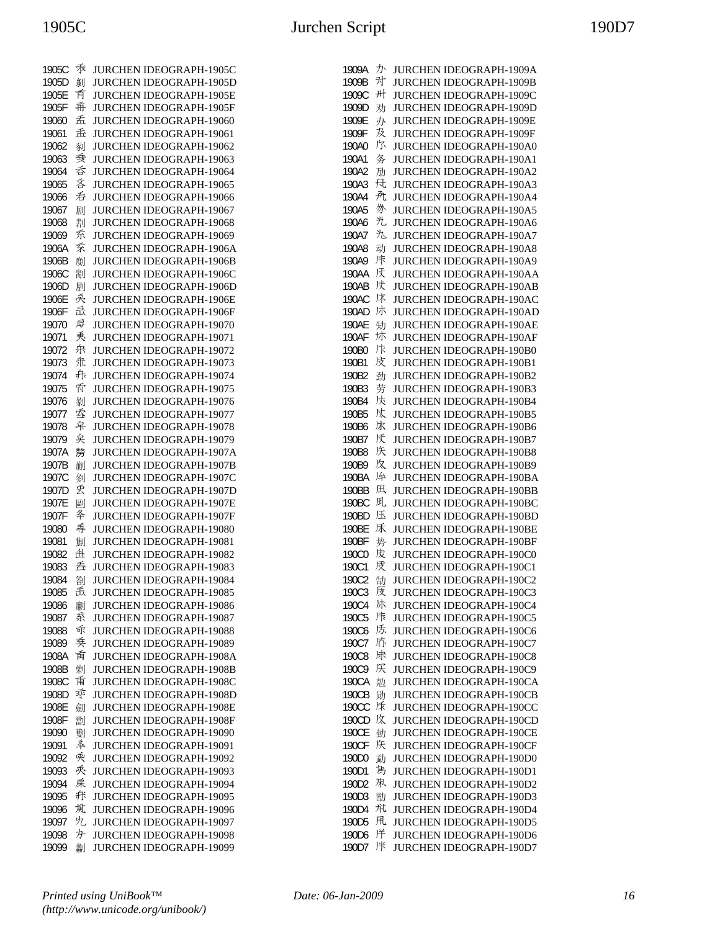| 1905C | 乖 | JURCHEN IDEOGRAPH-1905C        |
|-------|---|--------------------------------|
| 1905D | 剝 | JURCHEN IDEOGRAPH-1905D        |
| 1905E | 育 | JURCHEN IDEOGRAPH-1905E        |
| 1905F | 希 | JURCHEN IDEOGRAPH-1905F        |
| 19060 | 孟 | JURCHEN IDEOGRAPH-19060        |
| 19061 | 孟 | JURCHEN IDEOGRAPH-19061        |
| 19062 | 剢 | JURCHEN IDEOGRAPH-19062        |
| 19063 | 委 | JURCHEN IDEOGRAPH-19063        |
| 19064 | 呑 | JURCHEN IDEOGRAPH-19064        |
| 19065 | 吝 | JURCHEN IDEOGRAPH-19065        |
| 19066 | 呑 | JURCHEN IDEOGRAPH-19066        |
| 19067 | 剧 | JURCHEN IDEOGRAPH-19067        |
| 19068 | 剨 | <b>JURCHEN IDEOGRAPH-19068</b> |
| 19069 | 乔 | JURCHEN IDEOGRAPH-19069        |
| 1906A | 袞 | JURCHEN IDEOGRAPH-1906A        |
| 1906B | 剫 | JURCHEN IDEOGRAPH-1906B        |
| 1906C | 剬 | JURCHEN IDEOGRAPH-1906C        |
| 1906D | 剭 | JURCHEN IDEOGRAPH-1906D        |
| 1906E | 戾 | JURCHEN IDEOGRAPH-1906E        |
| 1906F | 氙 | JURCHEN IDEOGRAPH-1906F        |
| 19070 | 戽 | JURCHEN IDEOGRAPH-19070        |
| 19071 | 兲 | JURCHEN IDEOGRAPH-19071        |
| 19072 | 弁 | JURCHEN IDEOGRAPH-19072        |
| 19073 | 氘 | JURCHEN IDEOGRAPH-19073        |
| 19074 | 尗 | JURCHEN IDEOGRAPH-19074        |
| 19075 | 侨 | JURCHEN IDEOGRAPH-19075        |
| 19076 | 剶 | JURCHEN IDEOGRAPH-19076        |
| 19077 | 季 | JURCHEN IDEOGRAPH-19077        |
| 19078 | 皁 | JURCHEN IDEOGRAPH-19078        |
| 19079 | 矣 | JURCHEN IDEOGRAPH-19079        |
| 1907A | 剺 | JURCHEN IDEOGRAPH-1907A        |
| 1907B | 剻 | JURCHEN IDEOGRAPH-1907B        |
| 1907C | 剼 | JURCHEN IDEOGRAPH-1907C        |
| 1907D | 吏 | JURCHEN IDEOGRAPH-1907D        |
| 1907E | 剾 | JURCHEN IDEOGRAPH-1907E        |
| 1907F | 夅 | JURCHEN IDEOGRAPH-1907F        |
| 19080 | 丰 | <b>JURCHEN IDEOGRAPH-19080</b> |
| 19081 | 劁 | JURCHEN IDEOGRAPH-19081        |
| 19082 | 赴 | JURCHEN IDEOGRAPH-19082        |
| 19083 | 呑 | JURCHEN IDEOGRAPH-19083        |
| 19084 | 劄 | <b>JURCHEN IDEOGRAPH-19084</b> |
| 19085 | 岳 | JURCHEN IDEOGRAPH-19085        |
| 19086 | 劆 | JURCHEN IDEOGRAPH-19086        |
| 19087 | 系 | JURCHEN IDEOGRAPH-19087        |
| 19088 | 斥 | <b>JURCHEN IDEOGRAPH-19088</b> |
| 19089 | 乗 | JURCHEN IDEOGRAPH-19089        |
| 1908A | 臿 | JURCHEN IDEOGRAPH-1908A        |
| 1908B | 劋 | JURCHEN IDEOGRAPH-1908B        |
| 1908C | 甫 | JURCHEN IDEOGRAPH-1908C        |
| 1908D | 乘 | JURCHEN IDEOGRAPH-1908D        |
| 1908E | 劎 | <b>JURCHEN IDEOGRAPH-1908E</b> |
| 1908F | 劏 | JURCHEN IDEOGRAPH-1908F        |
| 19090 | 劐 | JURCHEN IDEOGRAPH-19090        |
| 19091 | 秊 | JURCHEN IDEOGRAPH-19091        |
| 19092 | 乘 | JURCHEN IDEOGRAPH-19092        |
| 19093 | 兎 | JURCHEN IDEOGRAPH-19093        |
| 19094 | 扆 | JURCHEN IDEOGRAPH-19094        |
| 19095 | 疔 | JURCHEN IDEOGRAPH-19095        |
| 19096 | 岚 | JURCHEN IDEOGRAPH-19096        |
| 19097 | 允 | JURCHEN IDEOGRAPH-19097        |
| 19098 | 为 | JURCHEN IDEOGRAPH-19098        |
| 19099 | 劙 | JURCHEN IDEOGRAPH-19099        |

| 1909A             | ゕ  | JURCHEN IDEOGRAPH-1909A        |
|-------------------|----|--------------------------------|
| 1909B             | 对  | <b>JURCHEN IDEOGRAPH-1909B</b> |
| 1909C             | 卅  | JURCHEN IDEOGRAPH-1909C        |
| 1909D             | 劝  | <b>JURCHEN IDEOGRAPH-1909D</b> |
| 1909E             | 办  | JURCHEN IDEOGRAPH-1909E        |
| 1909F             | 及  | JURCHEN IDEOGRAPH-1909F        |
| 190A0             | 尔  | JURCHEN IDEOGRAPH-190A0        |
| 190A1             | 务  | JURCHEN IDEOGRAPH-190A1        |
| 190A2             | 劢  | JURCHEN IDEOGRAPH-190A2        |
| 190A3             | 凡  | JURCHEN IDEOGRAPH-190A3        |
| 190A4             | 禿  | JURCHEN IDEOGRAPH-190A4        |
| 190A5             | 办  | JURCHEN IDEOGRAPH-190A5        |
| 190A6             | 光  | JURCHEN IDEOGRAPH-190A6        |
| 190A7             | 九  | JURCHEN IDEOGRAPH-190A7        |
| 190A8             | 动  | JURCHEN IDEOGRAPH-190A8        |
| 190A9             | 炜  | JURCHEN IDEOGRAPH-190A9        |
| 190AA             | 厌  | JURCHEN IDEOGRAPH-190AA        |
| 190AB             | 庆  | JURCHEN IDEOGRAPH-190AB        |
| 190AC             | 床  | <b>JURCHEN IDEOGRAPH-190AC</b> |
| 190AD             | 炑  | JURCHEN IDEOGRAPH-190AD        |
| 190AE             | 劮  | JURCHEN IDEOGRAPH-190AE        |
| 190AF             | 炑  | JURCHEN IDEOGRAPH-190AF        |
| 190B0             | 汴  | JURCHEN IDEOGRAPH-190B0        |
| 190B1             | 皮  | JURCHEN IDEOGRAPH-190B1        |
| 190B2             | 劲  | JURCHEN IDEOGRAPH-190B2        |
| 190B3             | 劳  | JURCHEN IDEOGRAPH-190B3        |
| 190B4             | 冹  | JURCHEN IDEOGRAPH-190B4        |
| 190B5             | 呔  | JURCHEN IDEOGRAPH-190B5        |
| 190B6             | 冰  | JURCHEN IDEOGRAPH-190B6        |
| 190B7             | 质  | JURCHEN IDEOGRAPH-190B7        |
| 190B8             | 垁  | JURCHEN IDEOGRAPH-190B8        |
| 190B9             | 炇  | JURCHEN IDEOGRAPH-190B9        |
| 190BA             | 14 | JURCHEN IDEOGRAPH-190BA        |
| 190BB             | 凪  | JURCHEN IDEOGRAPH-190BB        |
| 190BC             | 凡  | JURCHEN IDEOGRAPH-190BC        |
| 190BD             | 压  | JURCHEN IDEOGRAPH-190BD        |
| 190BE             | 秌  | <b>JURCHEN IDEOGRAPH-190BE</b> |
| 190BF             | 势  | JURCHEN IDEOGRAPH-190BF        |
| 190C0             | 庋  | JURCHEN IDEOGRAPH-190C0        |
| 190C1             | 庋  | JURCHEN IDEOGRAPH-190C1        |
| 190C2             | 勂  | JURCHEN IDEOGRAPH-190C2        |
| 190C3             | 庋  | JURCHEN IDEOGRAPH-190C3        |
| 190C4             | 沬  | <b>JURCHEN IDEOGRAPH-190C4</b> |
| 190C5             | 炜  | JURCHEN IDEOGRAPH-190C5        |
| 190C6             | 泺  | JURCHEN IDEOGRAPH-190C6        |
| 190C7             | 庎  | JURCHEN IDEOGRAPH-190C7        |
| <b>190C8</b>      | 决  | <b>JURCHEN IDEOGRAPH-190C8</b> |
| 190C9             | 厌  | JURCHEN IDEOGRAPH-190C9        |
| 190CA             | 勊  | <b>JURCHEN IDEOGRAPH-190CA</b> |
| 190CB             | 勋  | <b>JURCHEN IDEOGRAPH-190CB</b> |
| 190CC             | 秌  | JURCHEN IDEOGRAPH-190CC        |
| 190CD             | 炇  | JURCHEN IDEOGRAPH-190CD        |
| <b>190CE</b>      | 勎  | JURCHEN IDEOGRAPH-190CE        |
| 190CF             | 垁  | <b>JURCHEN IDEOGRAPH-190CF</b> |
| 190D0             | 勐  | JURCHEN IDEOGRAPH-190D0        |
| 190D1             | 雋  | JURCHEN IDEOGRAPH-190D1        |
| 190D2             | 凩  | JURCHEN IDEOGRAPH-190D2        |
| 190D3             | 勓  | JURCHEN IDEOGRAPH-190D3        |
| 190D4             | 芃  | <b>JURCHEN IDEOGRAPH-190D4</b> |
| 190D <sub>5</sub> | 阠  | JURCHEN IDEOGRAPH-190D5        |
| 190D6             | 烊  | JURCHEN IDEOGRAPH-190D6        |
| 190D7             | 冸  | JURCHEN IDEOGRAPH-190D7        |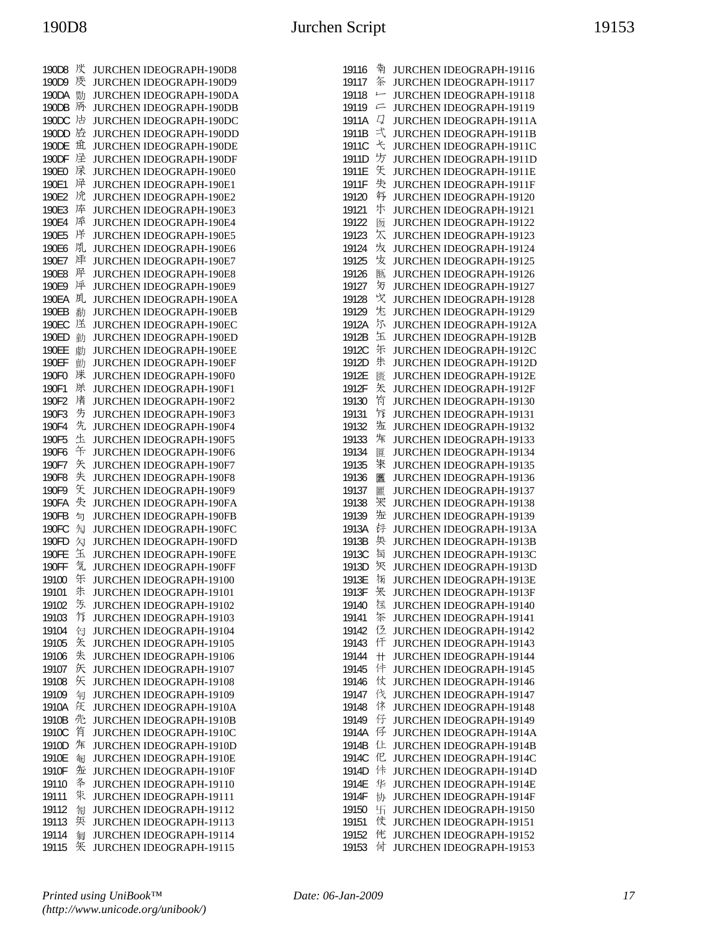| 190D8        | げ | <b>JURCHEN IDEOGRAPH-190D8</b> |
|--------------|---|--------------------------------|
| 190D9        | 质 | JURCHEN IDEOGRAPH-190D9        |
|              |   |                                |
| 190DA        | 勚 | JURCHEN IDEOGRAPH-190DA        |
| 190DB        | 质 | JURCHEN IDEOGRAPH-190DB        |
| 190DC        | 店 | JURCHEN IDEOGRAPH-190DC        |
|              | 庅 |                                |
| 190DD        |   | JURCHEN IDEOGRAPH-190DD        |
| 190DE        | 觅 | <b>JURCHEN IDEOGRAPH-190DE</b> |
| 190DF        | 迳 | JURCHEN IDEOGRAPH-190DF        |
| 190E0        | 床 | JURCHEN IDEOGRAPH-190E0        |
|              | 异 |                                |
| 190E1        |   | <b>JURCHEN IDEOGRAPH-190E1</b> |
| 190E2        | 凃 | JURCHEN IDEOGRAPH-190E2        |
| 190E3        | 序 | JURCHEN IDEOGRAPH-190E3        |
| 190E4        | 厗 | JURCHEN IDEOGRAPH-190E4        |
|              |   |                                |
| 190E5        | 烊 | JURCHEN IDEOGRAPH-190E5        |
| 190E6        | 胤 | JURCHEN IDEOGRAPH-190E6        |
| 190E7        | 庘 | JURCHEN IDEOGRAPH-190E7        |
| 190E8        | 坪 | JURCHEN IDEOGRAPH-190E8        |
|              |   |                                |
| 190E9        | 厗 | JURCHEN IDEOGRAPH-190E9        |
| 190EA        | 胤 | JURCHEN IDEOGRAPH-190EA        |
| 190EB        | 勫 | JURCHEN IDEOGRAPH-190EB        |
| 190EC        | 送 | JURCHEN IDEOGRAPH-190EC        |
|              |   |                                |
| 190ED        | 勭 | JURCHEN IDEOGRAPH-190ED        |
| 190EE        | 勮 | JURCHEN IDEOGRAPH-190EE        |
| 190EF        | 勯 | JURCHEN IDEOGRAPH-190EF        |
| 190F0        | 脒 |                                |
|              |   | JURCHEN IDEOGRAPH-190F0        |
| 190F1        | 凃 | JURCHEN IDEOGRAPH-190F1        |
| 190F2        | 凊 | JURCHEN IDEOGRAPH-190F2        |
| 190F3        | 竻 | JURCHEN IDEOGRAPH-190F3        |
| 190F4        | 先 | JURCHEN IDEOGRAPH-190F4        |
|              | 生 |                                |
| 190F5        |   | JURCHEN IDEOGRAPH-190F5        |
| 190F6        | 午 | <b>JURCHEN IDEOGRAPH-190F6</b> |
| 190F7        | 矢 | JURCHEN IDEOGRAPH-190F7        |
| 190F8        | 失 | JURCHEN IDEOGRAPH-190F8        |
| 190F9        | 矢 | JURCHEN IDEOGRAPH-190F9        |
| 190FA        | 失 | JURCHEN IDEOGRAPH-190FA        |
|              |   |                                |
| 190FB        | 匀 | JURCHEN IDEOGRAPH-190FB        |
| 190FC        | 勼 | JURCHEN IDEOGRAPH-190FC        |
| 190FD        | 勽 | JURCHEN IDEOGRAPH-190FD        |
| 190FE        | 玍 | JURCHEN IDEOGRAPH-190FE        |
| <b>190FF</b> | 氕 | <b>JURCHEN IDEOGRAPH-190FF</b> |
|              |   |                                |
| 19100        | 乐 | <b>JURCHEN IDEOGRAPH-19100</b> |
| 19101        | 朱 | JURCHEN IDEOGRAPH-19101        |
| 19102        | 気 | JURCHEN IDEOGRAPH-19102        |
| 19103        | 厅 | <b>JURCHEN IDEOGRAPH-19103</b> |
| 19104        | 匄 | JURCHEN IDEOGRAPH-19104        |
|              |   |                                |
| 19105        | 矢 | JURCHEN IDEOGRAPH-19105        |
| 19106        | 失 | JURCHEN IDEOGRAPH-19106        |
| 19107        | 矢 | JURCHEN IDEOGRAPH-19107        |
| 19108        | 矢 | JURCHEN IDEOGRAPH-19108        |
| 19109        | 匉 | <b>JURCHEN IDEOGRAPH-19109</b> |
|              |   |                                |
| 1910A        | 仸 | JURCHEN IDEOGRAPH-1910A        |
| 1910B        | 先 | JURCHEN IDEOGRAPH-1910B        |
| 1910C        | 侑 | JURCHEN IDEOGRAPH-1910C        |
| 1910D        | 秌 | JURCHEN IDEOGRAPH-1910D        |
| 1910E        | 匎 | JURCHEN IDEOGRAPH-1910E        |
|              |   |                                |
| 1910F        | 坵 | JURCHEN IDEOGRAPH-1910F        |
| 19110        | 夅 | JURCHEN IDEOGRAPH-19110        |
| 19111        | 束 | JURCHEN IDEOGRAPH-19111        |
| 19112        | 匒 | JURCHEN IDEOGRAPH-19112        |
| 19113        | 奂 | JURCHEN IDEOGRAPH-19113        |
| 19114        | 匔 | JURCHEN IDEOGRAPH-19114        |
|              |   |                                |
| 19115        | 矢 | JURCHEN IDEOGRAPH-19115        |

| 19116 | 匉                        | JURCHEN IDEOGRAPH-19116        |
|-------|--------------------------|--------------------------------|
| 19117 | 奈                        | <b>JURCHEN IDEOGRAPH-19117</b> |
| 19118 | $\overline{a}$           | JURCHEN IDEOGRAPH-19118        |
| 19119 | 二                        | JURCHEN IDEOGRAPH-19119        |
| 1911A | Д                        | JURCHEN IDEOGRAPH-1911A        |
| 1911B | 弌                        | JURCHEN IDEOGRAPH-1911B        |
| 1911C | $\overline{\mathcal{X}}$ | JURCHEN IDEOGRAPH-1911C        |
| 1911D | 步                        | JURCHEN IDEOGRAPH-1911D        |
| 1911E | 矢                        | JURCHEN IDEOGRAPH-1911E        |
| 1911F | 失                        | JURCHEN IDEOGRAPH-1911F        |
| 19120 | 毎                        | JURCHEN IDEOGRAPH-19120        |
| 19121 | 炞                        | JURCHEN IDEOGRAPH-19121        |
| 19122 | 匢                        | JURCHEN IDEOGRAPH-19122        |
| 19123 | 太                        | JURCHEN IDEOGRAPH-19123        |
| 19124 | 垁                        | JURCHEN IDEOGRAPH-19124        |
| 19125 | 发                        | JURCHEN IDEOGRAPH-19125        |
| 19126 | 匦                        | JURCHEN IDEOGRAPH-19126        |
| 19127 | 另                        | JURCHEN IDEOGRAPH-19127        |
| 19128 | 戈                        | JURCHEN IDEOGRAPH-19128        |
| 19129 | 冘                        | JURCHEN IDEOGRAPH-19129        |
| 1912A | 尔                        | JURCHEN IDEOGRAPH-1912A        |
| 1912B | 玉                        | JURCHEN IDEOGRAPH-1912B        |
| 1912C | 朱                        | JURCHEN IDEOGRAPH-1912C        |
| 1912D | 朱                        | JURCHEN IDEOGRAPH-1912D        |
| 1912E | 匮                        | JURCHEN IDEOGRAPH-1912E        |
| 1912F | 矢                        | JURCHEN IDEOGRAPH-1912F        |
| 19130 | 竹                        | JURCHEN IDEOGRAPH-19130        |
| 19131 | 厅                        | JURCHEN IDEOGRAPH-19131        |
| 19132 | 沲                        | JURCHEN IDEOGRAPH-19132        |
| 19133 | 秌                        | JURCHEN IDEOGRAPH-19133        |
| 19134 | 匴                        | JURCHEN IDEOGRAPH-19134        |
| 19135 | 朱                        | JURCHEN IDEOGRAPH-19135        |
| 19136 | 匶                        | JURCHEN IDEOGRAPH-19136        |
| 19137 | 匷                        | JURCHEN IDEOGRAPH-19137        |
| 19138 | 冞                        | JURCHEN IDEOGRAPH-19138        |
| 19139 | 沲                        | JURCHEN IDEOGRAPH-19139        |
| 1913A | 捋                        | JURCHEN IDEOGRAPH-1913A        |
| 1913B | 奂                        | JURCHEN IDEOGRAPH-1913B        |
| 1913C | 饲                        | JURCHEN IDEOGRAPH-1913C        |
| 1913D | 灰                        | JURCHEN IDEOGRAPH-1913D        |
| 1913E | 倆                        | JURCHEN IDEOGRAPH-1913E        |
| 1913F | 矢                        | JURCHEN IDEOGRAPH-1913F        |
| 19140 | 洭                        | JURCHEN IDEOGRAPH-19140        |
| 19141 | 茶                        | JURCHEN IDEOGRAPH-19141        |
| 19142 | 俹                        | JURCHEN IDEOGRAPH-19142        |
| 19143 | 仠                        | JURCHEN IDEOGRAPH-19143        |
| 19144 | $^{\rm +}$               | JURCHEN IDEOGRAPH-19144        |
| 19145 | 仹                        | JURCHEN IDEOGRAPH-19145        |
| 19146 | 仗                        | <b>JURCHEN IDEOGRAPH-19146</b> |
| 19147 | 伐                        | <b>JURCHEN IDEOGRAPH-19147</b> |
| 19148 | 休                        | JURCHEN IDEOGRAPH-19148        |
| 19149 | 仔                        | JURCHEN IDEOGRAPH-19149        |
| 1914A | 仔                        | JURCHEN IDEOGRAPH-1914A        |
| 1914B | 仩                        | JURCHEN IDEOGRAPH-1914B        |
| 1914C | 忋                        | JURCHEN IDEOGRAPH-1914C        |
| 1914D | 佧                        | JURCHEN IDEOGRAPH-1914D        |
| 1914E | 华                        | JURCHEN IDEOGRAPH-1914E        |
| 1914F | 协                        | JURCHEN IDEOGRAPH-1914F        |
| 19150 | 卐                        | JURCHEN IDEOGRAPH-19150        |
| 19151 | 仗                        | JURCHEN IDEOGRAPH-19151        |
| 19152 | 代                        | JURCHEN IDEOGRAPH-19152        |
| 19153 | 付                        | JURCHEN IDEOGRAPH-19153        |
|       |                          |                                |